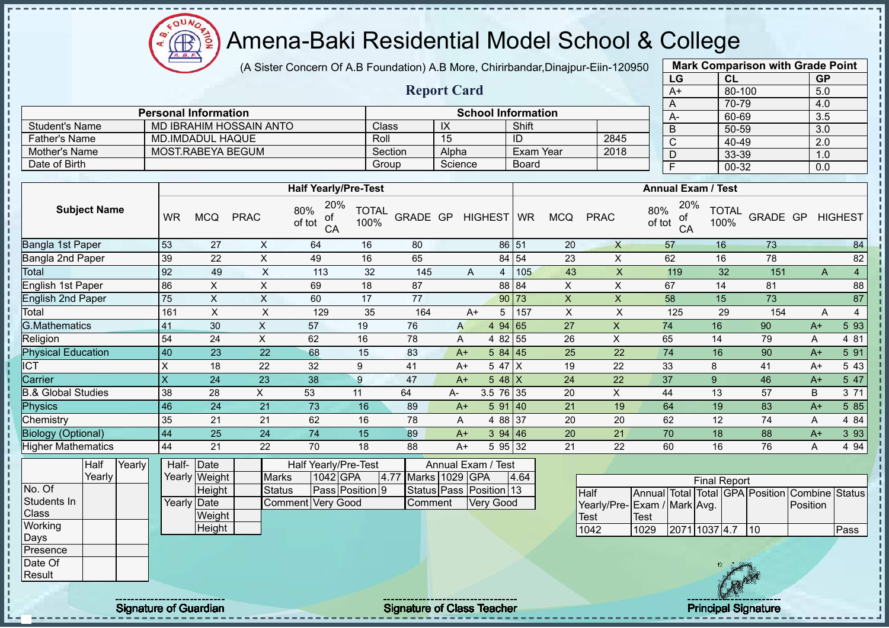(A Sister Concern Of A.B Foundation) A.B More, Chirirbandar,Dinajpur-Eiin-120950

|                               |           |                             |                                |                                  |                      |                     |                 |                           |                  |                |                             |               | LG                        |                     | CL                   |                                                | <b>GP</b>        |                         |
|-------------------------------|-----------|-----------------------------|--------------------------------|----------------------------------|----------------------|---------------------|-----------------|---------------------------|------------------|----------------|-----------------------------|---------------|---------------------------|---------------------|----------------------|------------------------------------------------|------------------|-------------------------|
|                               |           |                             |                                |                                  |                      | <b>Report Card</b>  |                 |                           |                  |                |                             |               | $A+$                      |                     | 80-100               |                                                | 5.0              |                         |
|                               |           |                             |                                |                                  |                      |                     |                 |                           |                  |                |                             |               | A                         |                     | 70-79                |                                                | 4.0              |                         |
|                               |           | <b>Personal Information</b> |                                |                                  |                      |                     |                 | <b>School Information</b> |                  |                |                             |               | A-                        |                     | 60-69                |                                                | 3.5              |                         |
| <b>Student's Name</b>         |           |                             | <b>MD IBRAHIM HOSSAIN ANTO</b> |                                  | Class                |                     | IX              |                           | Shift            |                |                             |               | $\overline{B}$            |                     | $50 - 59$            |                                                | 3.0              |                         |
| <b>Father's Name</b>          |           | <b>MD.IMDADUL HAQUE</b>     |                                |                                  | Roll                 |                     | $\overline{15}$ |                           | ID               |                | 2845                        |               | $\overline{\mathsf{C}}$   |                     | $40 - 49$            |                                                | $\overline{2.0}$ |                         |
| Mother's Name                 |           | <b>MOST.RABEYA BEGUM</b>    |                                |                                  |                      | Section             | Alpha           |                           | <b>Exam Year</b> |                | 2018                        |               | $\overline{D}$            |                     | 33-39                |                                                | 1.0              |                         |
| Date of Birth                 |           |                             |                                |                                  | Group                |                     | Science         |                           | <b>Board</b>     |                |                             |               | $\overline{F}$            |                     | $00 - 32$            |                                                | 0.0              |                         |
|                               |           |                             |                                |                                  |                      |                     |                 |                           |                  |                |                             |               |                           |                     |                      |                                                |                  |                         |
|                               |           |                             |                                | <b>Half Yearly/Pre-Test</b>      |                      |                     |                 |                           |                  |                |                             |               | <b>Annual Exam / Test</b> |                     |                      |                                                |                  |                         |
| <b>Subject Name</b>           | <b>WR</b> | <b>MCQ</b>                  | <b>PRAC</b>                    | 20%<br>80%<br>οt<br>of tot<br>CA | <b>TOTAL</b><br>100% | GRADE GP            |                 | <b>HIGHEST</b>            | <b>WR</b>        | <b>MCQ</b>     | <b>PRAC</b>                 | 80%<br>of tot | 20%<br>of<br>CA           |                     | <b>TOTAL</b><br>100% | GRADE GP                                       |                  | <b>HIGHEST</b>          |
| Bangla 1st Paper              | 53        | 27                          | $\boldsymbol{\mathsf{X}}$      | 64                               | 16                   | 80                  |                 |                           | 86 51            | 20             | $\mathsf{X}$                |               | 57                        | 16                  |                      | 73                                             |                  | 84                      |
| <b>Bangla 2nd Paper</b>       | 39        | 22                          | $\times$                       | 49                               | 16                   | 65                  |                 |                           | 84 54            | 23             | $\mathsf{X}$                |               | 62                        | 16                  |                      | 78                                             |                  | 82                      |
| Total                         | 92        | 49                          | $\mathsf X$                    | 113                              | 32                   | 145                 |                 | A<br>4                    | 105              | 43             | $\mathsf{X}$                |               | 119                       |                     | 32                   | 151                                            | A                | $\overline{\mathbf{4}}$ |
| <b>English 1st Paper</b>      | 86        | $\times$                    | $\boldsymbol{\mathsf{X}}$      | 69                               | 18                   | 87                  |                 |                           | 88 84            | $\pmb{\times}$ | $\mathsf X$                 |               | 67                        | 14                  |                      | 81                                             |                  | 88                      |
| <b>English 2nd Paper</b>      | 75        | $\mathsf{X}$                | $\times$                       | 60                               | 17                   | 77                  |                 |                           | $90$ 73          | $\mathsf X$    | $\pmb{\mathsf{X}}$          |               | 58                        | 15                  |                      | 73                                             |                  | 87                      |
| Total                         | 161       | $\sf X$                     | $\sf X$                        | 129                              | 35                   | 164                 |                 | 5<br>$A+$                 | 157              | $\sf X$        | $\sf X$                     |               | 125                       |                     | 29                   | 154                                            | A                | $\overline{4}$          |
| <b>G.Mathematics</b>          | 41        | 30                          | X                              | 57                               | 19                   | 76                  | $\mathsf{A}$    | 4 94 65                   |                  | 27             | X                           |               | 74                        | 16                  |                      | 90                                             | $A+$             | 5 9 3                   |
| Religion                      | 54        | 24                          | X                              | 62                               | 16                   | 78                  | A               | 4 82                      | 55               | 26             | $\sf X$                     |               | 65                        | $\overline{14}$     |                      | 79                                             | A                | 4 81                    |
| <b>Physical Education</b>     | 40        | 23                          | 22                             | 68                               | 15                   | 83                  | $A+$            | 584   45                  |                  | 25             | 22                          |               | 74                        | 16                  |                      | 90                                             | $A+$             | 5 91                    |
| ICT                           | $\sf X$   | 18                          | 22                             | 32                               | 9                    | 41                  | $A+$            | 5 47                      | $\times$         | 19             | 22                          | 33            |                           | 8                   |                      | 41                                             | $A+$             | 5 4 3                   |
| Carrier                       | X         | 24                          | 23                             | 38                               | $\overline{9}$       | 47                  | $A+$            | $548$ X                   |                  | 24             | 22                          | 37            |                           | 9                   |                      | 46                                             | $A+$             | 5 47                    |
| <b>B.&amp; Global Studies</b> | 38        | 28                          | $\pmb{\times}$                 | 53                               | 11                   | 64                  | А-              | 3.5 76 35                 |                  | 20             | $\sf X$                     | 44            |                           | 13                  |                      | 57                                             | $\overline{B}$   | 3 7 1                   |
| <b>Physics</b>                | 46        | 24                          | 21                             | 73                               | 16                   | 89                  | $A+$            | 591 40                    |                  | 21             | 19                          |               | 64                        | 19                  |                      | 83                                             | $A+$             | 5 8 5                   |
| Chemistry                     | 35        | 21                          | 21                             | 62                               | 16                   | 78                  | Α               | 4 88 37                   |                  | 20             | 20                          |               | 62                        | 12                  |                      | 74                                             | A                | 4 84                    |
| <b>Biology (Optional)</b>     | 44        | 25                          | 24                             | 74                               | 15                   | 89                  | $A+$            | 394   46                  |                  | 20             | 21                          |               | 70                        | 18                  |                      | 88                                             | $A+$             | 3 9 3                   |
| <b>Higher Mathematics</b>     | 44        | 21                          | 22                             | 70                               | 18                   | 88                  | $A+$            | 5 95 32                   |                  | 21             | 22                          |               | 60                        | 16                  |                      | 76                                             | A                | 4 9 4                   |
| Yearly<br>Half                | Half-     | Date                        |                                | Half Yearly/Pre-Test             |                      |                     |                 | Annual Exam / Test        |                  |                |                             |               |                           |                     |                      |                                                |                  |                         |
| Yearly                        |           | Yearly Weight               | <b>Marks</b>                   | 1042 GPA                         |                      | 4.77 Marks 1029 GPA |                 |                           | 4.64             |                |                             |               |                           | <b>Final Report</b> |                      |                                                |                  |                         |
| No. Of                        |           | Height                      | <b>Status</b>                  |                                  | Pass Position 9      |                     |                 | Status Pass Position 13   |                  |                | <b>Half</b>                 |               |                           |                     |                      | Annual Total Total GPA Position Combine Status |                  |                         |
| Students In                   |           | Yearly Date                 |                                | Comment Very Good                |                      | Comment             |                 | <b>Very Good</b>          |                  |                | Yearly/Pre-Exam / Mark Avg. |               |                           |                     |                      |                                                | Position         |                         |
| Class                         |           | Weight                      |                                |                                  |                      |                     |                 |                           |                  |                | <b>Test</b>                 | Test          |                           |                     |                      |                                                |                  |                         |
| Working                       |           | Height                      |                                |                                  |                      |                     |                 |                           |                  |                | 1042                        | 1029          | 2071 1037 4.7 10          |                     |                      |                                                |                  | Pass                    |
|                               |           |                             |                                |                                  |                      |                     |                 |                           |                  |                |                             |               |                           |                     |                      |                                                |                  |                         |



**Mark Comparison with Grade Point**

 $\bigoplus_{\Delta,\Delta,\sigma}$ 

No. Of Students In **Class Working** Days Presence Date Of Result

Signature of Guardian Signature of Class Teacher Principal Signature of Class Teacher Principal Signature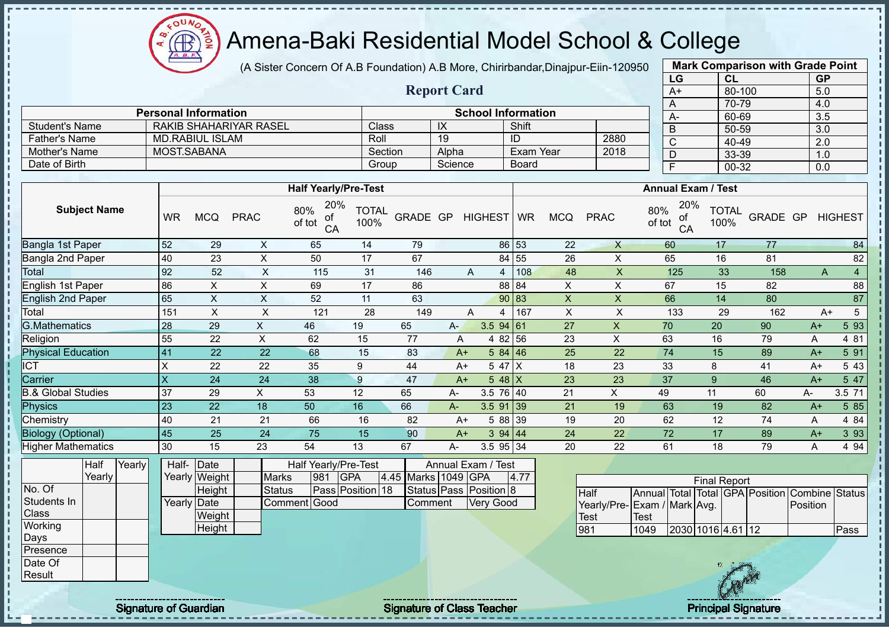(A Sister Concern Of A.B Foundation) A.B More, Chirirbandar,Dinajpur-Eiin-120950

|                                 |                         |                                        |                           |                                            |                      |                     |                    |                                            |                         |                 |                            | LG                                                                                           | <b>CL</b>            |          | <b>GP</b>        |                  |
|---------------------------------|-------------------------|----------------------------------------|---------------------------|--------------------------------------------|----------------------|---------------------|--------------------|--------------------------------------------|-------------------------|-----------------|----------------------------|----------------------------------------------------------------------------------------------|----------------------|----------|------------------|------------------|
|                                 |                         |                                        |                           |                                            |                      |                     | <b>Report Card</b> |                                            |                         |                 |                            | $A+$                                                                                         | 80-100               |          | 5.0              |                  |
|                                 |                         |                                        |                           |                                            |                      |                     |                    |                                            |                         |                 |                            | A                                                                                            | 70-79                |          | 4.0              |                  |
|                                 |                         | <b>Personal Information</b>            |                           |                                            |                      |                     |                    | <b>School Information</b>                  |                         |                 |                            | $A -$                                                                                        | 60-69                |          | 3.5              |                  |
| <b>Student's Name</b>           |                         | <b>RAKIB SHAHARIYAR RASEL</b>          |                           |                                            | Class                |                     | IX                 |                                            | Shift                   |                 |                            | $\overline{B}$                                                                               | $50 - 59$            |          | 3.0              |                  |
| <b>Father's Name</b>            |                         | <b>MD.RABIUL ISLAM</b>                 |                           |                                            | Roll                 |                     | $\overline{19}$    |                                            | ID                      |                 | 2880                       | $\overline{\text{c}}$                                                                        | 40-49                |          | $\overline{2.0}$ |                  |
| Mother's Name                   |                         | MOST.SABANA                            |                           |                                            | Section              |                     | Alpha              |                                            | <b>Exam Year</b>        |                 | 2018                       | D                                                                                            | 33-39                |          | 1.0              |                  |
| Date of Birth                   |                         |                                        |                           |                                            | Group                |                     | Science            |                                            | <b>Board</b>            |                 |                            | $\overline{F}$                                                                               | $00 - 32$            |          | 0.0              |                  |
|                                 |                         |                                        |                           | <b>Half Yearly/Pre-Test</b>                |                      |                     |                    |                                            |                         |                 |                            | <b>Annual Exam / Test</b>                                                                    |                      |          |                  |                  |
| <b>Subject Name</b>             | <b>WR</b>               | <b>MCQ</b>                             | <b>PRAC</b>               | 20%<br>80%<br>Οľ<br>of tot<br>CA           | <b>TOTAL</b><br>100% | GRADE GP            |                    | <b>HIGHEST</b>                             | <b>WR</b>               | <b>MCQ</b>      | <b>PRAC</b>                | 20%<br>80%<br>ot<br>of tot<br>CA                                                             | <b>TOTAL</b><br>100% | GRADE GP |                  | <b>HIGHEST</b>   |
| <b>Bangla 1st Paper</b>         | 52                      | 29                                     | $\pmb{\times}$            | 65                                         | 14                   | 79                  |                    |                                            | 86 53                   | 22              | $\mathsf{X}$               | 60                                                                                           | 17                   | 77       |                  | 84               |
| Bangla 2nd Paper                | 40                      | 23                                     | $\boldsymbol{\mathsf{X}}$ | 50                                         | 17                   | 67                  |                    |                                            | 84 55                   | 26              | $\mathsf{X}$               | 65                                                                                           | 16                   | 81       |                  | 82               |
| Total                           | 92                      | 52                                     | $\pmb{\chi}$              | 115                                        | 31                   | 146                 |                    | A<br>$\overline{4}$                        | 108                     | 48              | $\mathsf X$                | 125                                                                                          | 33                   | 158      | $\overline{A}$   | $\overline{4}$   |
| English 1st Paper               | 86                      | $\pmb{\times}$                         | $\mathsf X$               | 69                                         | 17                   | 86                  |                    |                                            | 88 84                   | $\mathsf X$     | $\mathsf X$                | 67                                                                                           | 15                   | 82       |                  | 88               |
| English 2nd Paper               | 65                      | $\mathsf X$                            | $\mathsf X$               | 52                                         | 11                   | 63                  |                    |                                            | 90 83                   | $\mathsf X$     | $\boldsymbol{\mathsf{X}}$  | 66                                                                                           | 14                   | 80       |                  | 87               |
| Total                           | 151                     | $\times$                               | $\times$                  | 121                                        | 28                   | 149                 |                    | A<br>4                                     | 167                     | $\pmb{\times}$  | $\mathsf X$                | 133                                                                                          | 29                   | 162      | $A+$             | 5                |
| <b>G.Mathematics</b>            | 28                      | 29                                     | $\mathsf X$               | 46                                         | 19                   | 65                  | $A-$               | 3.594 61                                   |                         | $\overline{27}$ | $\mathsf X$                | 70                                                                                           | 20                   | 90       | $A+$             | 593              |
| Religion                        | 55                      | 22                                     | X                         | 62                                         | 15                   | 77                  | A                  | 4 82 56                                    |                         | 23              | $\boldsymbol{\mathsf{X}}$  | 63                                                                                           | 16                   | 79       | $\mathsf{A}$     | 4 81             |
| <b>Physical Education</b>       | 41                      | 22                                     | 22                        | 68                                         | 15                   | 83                  | $A+$               | 5 84 46                                    |                         | 25              | 22                         | 74                                                                                           | 15                   | 89       | $A+$             | 5 91             |
| $\overline{\text{CT}}$          | $\sf X$                 | 22                                     | 22                        | 35                                         | 9                    | 44                  | $A+$               | 5 47                                       | X                       | 18              | 23                         | 33                                                                                           | $\bf 8$              | 41       | $A+$             | 5 4 3            |
| Carrier                         | $\overline{\mathsf{x}}$ | 24                                     | 24                        | 38                                         | 9                    | 47                  | $A+$               | 5 48                                       | $\overline{\mathsf{x}}$ | 23              | 23                         | 37                                                                                           | 9                    | 46       | $A+$             | $5\overline{47}$ |
| <b>B.&amp; Global Studies</b>   | 37                      | 29                                     | $\times$                  | 53                                         | 12                   | 65                  | А-                 | 3.5 76                                     | 40                      | 21              | $\pmb{\times}$             | 49                                                                                           | 11                   | 60       | А-               | 3.5 71           |
| Physics                         | 23                      | 22                                     | 18                        | 50                                         | 16                   | 66                  | $A-$               | $3.5$ 91 39                                |                         | 21              | 19                         | 63                                                                                           | 19                   | 82       | $A+$             | 5 85             |
| Chemistry                       | 40                      | 21                                     | 21                        | 66                                         | 16                   | 82                  | $A+$               | 5 88                                       | 39                      | 19              | 20                         | 62                                                                                           | $\overline{12}$      | 74       | A                | 4 8 4            |
| <b>Biology (Optional)</b>       | 45                      | 25                                     | 24                        | 75                                         | 15                   | 90                  | $A+$               | 3 94 44                                    |                         | 24              | 22                         | 72                                                                                           | 17                   | 89       | $A+$             | 3 9 3            |
| <b>Higher Mathematics</b>       | 30                      | 15                                     | 23                        | 54                                         | 13                   | 67                  | А-                 | 3.5 95 34                                  |                         | 20              | 22                         | 61                                                                                           | 18                   | 79       | A                | 4 9 4            |
| <b>Half</b><br>Yearly<br>Yearly |                         | Half- Date<br>Yearly Weight            | <b>Marks</b>              | Half Yearly/Pre-Test<br>981<br><b>IGPA</b> |                      | 4.45 Marks 1049 GPA |                    | Annual Exam / Test                         | 4.77                    |                 |                            |                                                                                              | <b>Final Report</b>  |          |                  |                  |
| No. Of<br>Students In<br>Class  |                         | Height<br><b>Yearly Date</b><br>Weight | <b>Status</b>             | Comment Good                               | Pass Position 18     | Comment             |                    | Status Pass Position 8<br><b>Very Good</b> |                         |                 | <b>Half</b><br><b>Test</b> | Annual Total Total GPA Position Combine Status<br>Yearly/Pre-Exam / Mark Avg.<br><b>Test</b> |                      |          | Position         |                  |
| Working                         |                         | Height                                 |                           |                                            |                      |                     |                    |                                            |                         |                 | 981                        | 1049                                                                                         | 2030 1016 4.61 12    |          |                  | Pass             |
| Days                            |                         |                                        |                           |                                            |                      |                     |                    |                                            |                         |                 |                            |                                                                                              |                      |          |                  |                  |
| Presence                        |                         |                                        |                           |                                            |                      |                     |                    |                                            |                         |                 |                            |                                                                                              |                      |          |                  |                  |
| Date Of<br>Result               |                         |                                        |                           |                                            |                      |                     |                    |                                            |                         |                 |                            |                                                                                              |                      |          |                  |                  |
|                                 |                         |                                        |                           |                                            |                      |                     |                    |                                            |                         |                 |                            |                                                                                              |                      |          |                  |                  |

 $\bigoplus_{\Delta,\Delta,\sigma}$ 

Signature of Guardian Signature of Class Teacher



**Mark Comparison with Grade Point**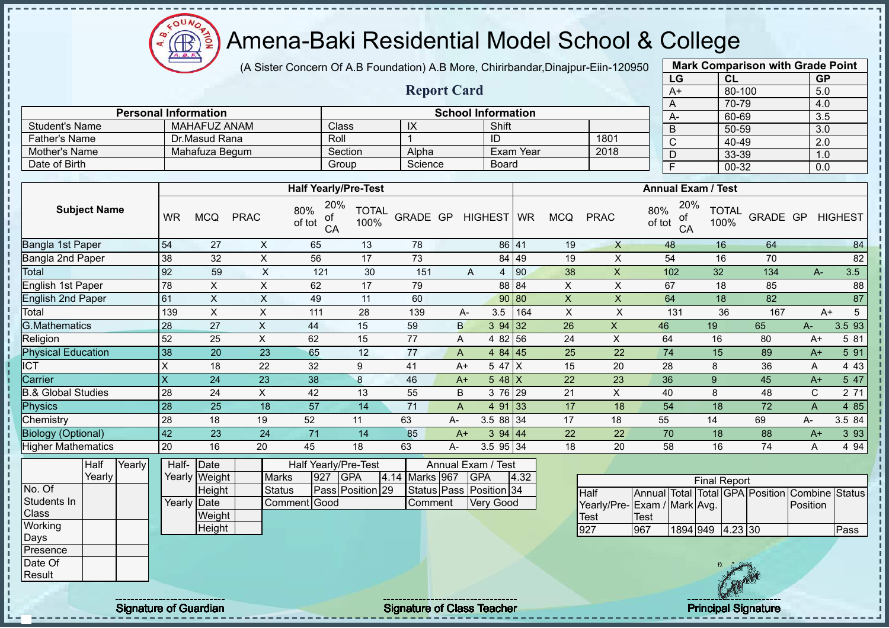OUN Æ

# Amena-Baki Residential Model School & College

(A Sister Concern Of A.B Foundation) A.B More, Chirirbandar,Dinajpur-Eiin-120950

**Report Card**

| <b>Mark Comparison with Grade Point</b><br>LG |           |  |  |  |  |  |  |  |  |  |
|-----------------------------------------------|-----------|--|--|--|--|--|--|--|--|--|
| CL                                            | <b>GP</b> |  |  |  |  |  |  |  |  |  |
| 80-100                                        | 5.0       |  |  |  |  |  |  |  |  |  |
| 70-79                                         | 4.0       |  |  |  |  |  |  |  |  |  |
| 60-69                                         | 3.5       |  |  |  |  |  |  |  |  |  |
| 50-59                                         | 3.0       |  |  |  |  |  |  |  |  |  |
| 40-49                                         | 2.0       |  |  |  |  |  |  |  |  |  |
| 33-39                                         | 1.0       |  |  |  |  |  |  |  |  |  |
| $00 - 32$<br>F<br>0.0                         |           |  |  |  |  |  |  |  |  |  |
|                                               |           |  |  |  |  |  |  |  |  |  |

|                      |                             |                             |                           |              |           |      | $\overline{A}$            | 70-79 |
|----------------------|-----------------------------|-----------------------------|---------------------------|--------------|-----------|------|---------------------------|-------|
|                      | <b>Personal Information</b> |                             | <b>School Information</b> |              |           |      | $A-$                      | 60-69 |
| Student's Name       | MAHAFUZ ANAM                | Class                       | IX                        | Shift        |           |      | B                         | 50-59 |
| <b>Father's Name</b> | Dr.Masud Rana               | Roll                        |                           | ID           |           | 1801 |                           | 40-49 |
| Mother's Name        | Mahafuza Begum              | Section                     | Alpha                     |              | Exam Year | 2018 |                           | 33-39 |
| Date of Birth        |                             | Group                       | Science                   | <b>Board</b> |           |      |                           | 00-32 |
|                      |                             |                             |                           |              |           |      |                           |       |
|                      |                             | <b>Half Yearly/Pre-Test</b> |                           |              |           |      | <b>Annual Exam / Test</b> |       |
|                      |                             |                             | 200/                      |              |           |      |                           |       |

| <b>Subject Name</b>           | <b>WR</b> | <b>MCQ</b> | <b>PRAC</b> | 20%<br>80%<br>of<br>of tot<br>CA | TOTAL<br>100% | GRADE GP |      | <b>HIGHEST</b> | <b>WR</b>  | <b>MCQ</b> | <b>PRAC</b> | 20%<br>80%<br>οf<br>of tot<br>CA | TOTAL<br>100% | GRADE GP |      | <b>HIGHEST</b> |
|-------------------------------|-----------|------------|-------------|----------------------------------|---------------|----------|------|----------------|------------|------------|-------------|----------------------------------|---------------|----------|------|----------------|
| Bangla 1st Paper              | 54        | 27         | X           | 65                               | 13            | 78       |      |                | 86 41      | 19         | X           | 48                               | 16            | 64       |      | 84             |
| Bangla 2nd Paper              | 38        | 32         | X           | 56                               | 17            | 73       |      |                | 84 49      | 19         | X           | 54                               | 16            | 70       |      | 82             |
| Total                         | 92        | 59         | X           | 121                              | 30            | 151      |      | A<br>4         | 90         | 38         | X           | 102                              | 32            | 134      | А-   | 3.5            |
| <b>English 1st Paper</b>      | 78        | X          | X           | 62                               | 17            | 79       |      |                | 88 84      | X          | X           | 67                               | 18            | 85       |      | 88             |
| <b>English 2nd Paper</b>      | 61        | X          | X           | 49                               | 11            | 60       |      |                | 90 80      | X          | X           | 64                               | 18            | 82       |      | 87             |
| Total                         | 139       | X          | X           | 111                              | 28            | 139      |      | 3.5<br>А-      | 164        | X          | X           | 131                              | 36            | 167      |      | 5<br>$A+$      |
| <b>G.Mathematics</b>          | 28        | 27         | X           | 44                               | 15            | 59       | B    | 3 94 32        |            | 26         | X           | 46                               | 19            | 65       | A-   | 3.593          |
| Religion                      | 52        | 25         | X           | 62                               | 15            | 77       | A    | 4 82 56        |            | 24         | X           | 64                               | 16            | 80       | A+   | 5 81           |
| <b>Physical Education</b>     | 38        | 20         | 23          | 65                               | 12            | 77       | A    | $484$   45     |            | 25         | 22          | 74                               | 15            | 89       | $A+$ | 5 91           |
| ICT                           | X         | 18         | 22          | 32                               | 9             | 41       | $A+$ | 5 47 X         |            | 15         | 20          | 28                               | 8             | 36       | A    | 4 4 3          |
| Carrier                       | ΙX        | 24         | 23          | 38 <sup>°</sup>                  | 8             | 46       | $A+$ | 5 48 X         |            | 22         | 23          | 36                               | 9             | 45       | $A+$ | 5 47           |
| <b>B.&amp; Global Studies</b> | 28        | 24         | X           | 42                               | 13            | 55       | B    | 3 76 29        |            | 21         | X           | 40                               | 8             | 48       | C.   | 2 71           |
| Physics                       | 28        | 25         | 18          | 57                               | 14            | 71       | A    | 4 91           | $\vert$ 33 | 17         | 18          | 54                               | 18            | 72       | A    | 4 8 5          |
| Chemistry                     | 28        | 18         | 19          | 52                               | 11            | 63       | A-   | 3.5 88 34      |            | 17         | 18          | 55                               | 14            | 69       | A-   | 3.5 84         |
| <b>Biology (Optional)</b>     | 42        | 23         | 24          | 71                               | 14            | 85       | $A+$ | 394 44         |            | 22         | 22          | 70                               | 18            | 88       | $A+$ | 3 9 3          |
| <b>Higher Mathematics</b>     | 20        | 16         | 20          | 45                               | 18            | 63       | А-   | 3.5 95 34      |            | 18         | 20          | 58                               | 16            | 74       | Α    | 4 9 4          |

|                 | Half   | Yearly | Half- Date  |               |               |     | Half Yearly/Pre-Test |                | Annual Exam / Test      |      |                         |              |      |
|-----------------|--------|--------|-------------|---------------|---------------|-----|----------------------|----------------|-------------------------|------|-------------------------|--------------|------|
|                 | Yearly |        |             | Yearly Weight | <b>Marks</b>  | 927 | <b>IGPA</b>          | 4.14 Marks 967 | <b>IGPA</b>             | 4.32 |                         |              |      |
| No. Of          |        |        |             | Height        | <b>Status</b> |     | Pass Position 29     |                | Status Pass Position 34 |      | Half                    | Annual Total |      |
| Students In     |        |        | Yearly Date |               | Comment Good  |     |                      | Comment        | <b>Very Good</b>        |      | Yearly/Pre- Exam / Mark |              |      |
| <b>Class</b>    |        |        |             | Weight        |               |     |                      |                |                         |      | <b>Test</b>             | Test         |      |
| Working         |        |        |             | Height        |               |     |                      |                |                         |      | 927                     | 967          | 1894 |
| Days            |        |        |             |               |               |     |                      |                |                         |      |                         |              |      |
| <b>Presence</b> |        |        |             |               |               |     |                      |                |                         |      |                         |              |      |
| Date Of         |        |        |             |               |               |     |                      |                |                         |      |                         |              |      |
| Result          |        |        |             |               |               |     |                      |                |                         |      |                         |              |      |

Final Report Total Mark Total GPA Position Combine Status Avg. Position **949 4.23 30 Pass** 

J.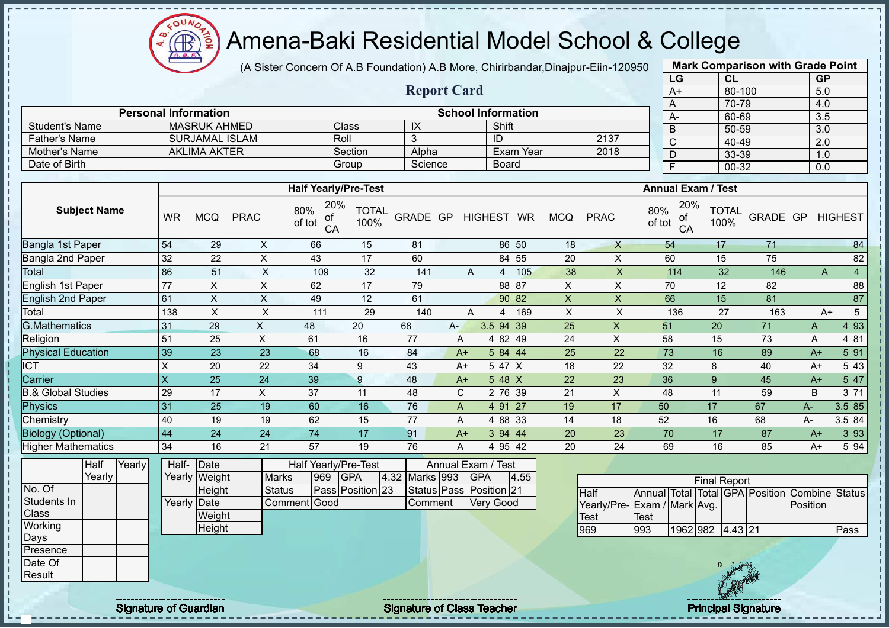$QUN$ Æ

# Amena-Baki Residential Model School & College

(A Sister Concern Of A.B Foundation) A.B More, Chirirbandar,Dinajpur-Eiin-120950

**Report Card**

**Personal Information School Information** 

Father's Name SURJAMAL ISLAM Roll 3 ID 2137

Student's Name MASRUK AHMED Class IX Shift

|                   | <b>Mark Comparison with Grade Point</b> |           |  |  |  |  |  |  |
|-------------------|-----------------------------------------|-----------|--|--|--|--|--|--|
| LG                | <b>CL</b>                               | <b>GP</b> |  |  |  |  |  |  |
| $A+$              | 80-100                                  | 5.0       |  |  |  |  |  |  |
| A                 | 70-79                                   | 4.0       |  |  |  |  |  |  |
| А-                | 60-69                                   | 3.5       |  |  |  |  |  |  |
| B                 | 50-59                                   | 3.0       |  |  |  |  |  |  |
| C                 | 40-49                                   | 2.0       |  |  |  |  |  |  |
| D                 | 33-39                                   | 1.0       |  |  |  |  |  |  |
| 00-32<br>F<br>0.0 |                                         |           |  |  |  |  |  |  |
|                   |                                         |           |  |  |  |  |  |  |

| Mother's Name                      |                 | <b>AKLIMA AKTER</b>             |                               |                                  | Section                        | Alpha          |       |                                                             | Exam Year    |                           | 2018        |                                                 |                      |          |      |                     |
|------------------------------------|-----------------|---------------------------------|-------------------------------|----------------------------------|--------------------------------|----------------|-------|-------------------------------------------------------------|--------------|---------------------------|-------------|-------------------------------------------------|----------------------|----------|------|---------------------|
| Date of Birth                      |                 |                                 |                               |                                  | Group                          | Science        |       |                                                             | <b>Board</b> |                           |             | D                                               | 33-39                |          |      | 1.0                 |
|                                    |                 |                                 |                               |                                  |                                |                |       |                                                             |              |                           |             | $\overline{F}$                                  | $00 - 32$            |          |      | 0.0                 |
|                                    |                 |                                 |                               |                                  |                                |                |       |                                                             |              |                           |             |                                                 |                      |          |      |                     |
|                                    |                 |                                 |                               | <b>Half Yearly/Pre-Test</b>      |                                |                |       |                                                             |              |                           |             | <b>Annual Exam / Test</b>                       |                      |          |      |                     |
| <b>Subject Name</b>                | <b>WR</b>       | <b>MCQ</b>                      | <b>PRAC</b>                   | 20%<br>80%<br>of<br>of tot<br>CA | <b>TOTAL</b><br>100%           | GRADE GP       |       | <b>HIGHEST</b>                                              | <b>WR</b>    | <b>MCQ</b>                | <b>PRAC</b> | 20%<br>80%<br>οf<br>of tot<br>CA                | <b>TOTAL</b><br>100% | GRADE GP |      | <b>HIGHEST</b>      |
| Bangla 1st Paper                   | 54              | 29                              | X                             | 66                               | 15                             | 81             |       |                                                             | 86 50        | 18                        | $\times$    | 54                                              | 17                   | 71       |      | 84                  |
| Bangla 2nd Paper                   | 32              | 22                              | X                             | 43                               | 17                             | 60             |       |                                                             | 84 55        | 20                        | X           | 60                                              | 15                   | 75       |      | 82                  |
| Total                              | 86              | 51                              | X                             | 109                              | 32                             | 141            |       | A<br>4                                                      | 105          | 38                        | X           | 114                                             | 32                   | 146      |      | $\overline{4}$<br>A |
| English 1st Paper                  | 77              | X                               | X                             | 62                               | 17                             | 79             |       |                                                             | 88 87        | X                         | X           | 70                                              | 12                   | 82       |      | 88                  |
| English 2nd Paper                  | 61              | $\pmb{\times}$                  | X                             | 49                               | 12                             | 61             |       |                                                             | 90 82        | $\pmb{\times}$            | X           | 66                                              | 15                   | 81       |      | 87                  |
| Total                              | 138             | $\times$                        | $\sf X$                       | 111                              | 29                             | 140            |       | A<br>4                                                      | 169          | $\boldsymbol{\mathsf{X}}$ | X           | 136                                             | 27                   | 163      |      | $\sqrt{5}$<br>$A+$  |
| <b>G.Mathematics</b>               | 31              | 29                              | X.                            | 48                               | 20                             | 68             | $A -$ | $3.5$ 94 39                                                 |              | 25                        | X           | 51                                              | 20                   | 71       | A    | 4 9 3               |
| Religion                           | 51              | 25                              | X                             | 61                               | 16                             | 77             | A     | 4 8 2                                                       | 49           | 24                        | X           | 58                                              | 15                   | 73       | Α    | 4 81                |
| <b>Physical Education</b>          | 39              | 23                              | 23                            | 68                               | 16                             | 84             | $A+$  |                                                             | 584   44     | 25                        | 22          | 73                                              | 16                   | 89       | $A+$ | 5 91                |
| <b>ICT</b>                         | Χ               | 20                              | 22                            | 34                               | 9                              | 43             | $A+$  | 5 47 X                                                      |              | 18                        | 22          | 32                                              | 8                    | 40       | $A+$ | 5 4 3               |
| Carrier                            | X               | 25                              | 24                            | 39                               | 9                              | 48             | $A+$  | $548$ X                                                     |              | 22                        | 23          | 36                                              | 9                    | 45       | $A+$ | 5 47                |
| <b>B.&amp; Global Studies</b>      | 29              | 17                              | X                             | 37                               | 11                             | 48             | C     |                                                             | 2 76 39      | 21                        | X           | 48                                              | 11                   | 59       | B    | 3 71                |
| Physics                            | 31              | 25                              | 19                            | 60                               | 16                             | 76             | A     |                                                             | 4 91 27      | 19                        | 17          | 50                                              | 17                   | 67       | A-   | 3.5 85              |
| Chemistry                          | 40              | 19                              | 19                            | 62                               | 15                             | 77             | A     |                                                             | 4 88 33      | 14                        | 18          | 52                                              | 16                   | 68       | A-   | 3.5 84              |
| <b>Biology (Optional)</b>          | 44              | 24                              | 24                            | 74                               | 17                             | 91             | $A+$  |                                                             | 394   44     | 20                        | 23          | 70                                              | 17                   | 87       | $A+$ | 3 9 3               |
| <b>Higher Mathematics</b>          | 34              | 16                              | 21                            | 57                               | 19                             | 76             | A     |                                                             | 4 95 42      | 20                        | 24          | 69                                              | 16                   | 85       | $A+$ | 5 94                |
| Yearly<br>Half<br>Yearly<br>No. Of | Half-<br>Yearly | Date<br>Weight<br><b>Height</b> | <b>Marks</b><br><b>Status</b> | Half Yearly/Pre-Test<br>969      | <b>GPA</b><br>Pass Position 23 | 4.32 Marks 993 |       | Annual Exam / Test<br><b>GPA</b><br>Status Pass Position 21 | 4.55         |                           | $L = H$     | Appual Total Total CRA (Bosition Combine Status | <b>Final Report</b>  |          |      |                     |

| ıaıτ  | <b>Prearivi</b> | Hall- IDate |               |              |     | Hall Yearly/Pre-Test |                | Annual Exam / lest      |      |                     |                     |  |
|-------|-----------------|-------------|---------------|--------------|-----|----------------------|----------------|-------------------------|------|---------------------|---------------------|--|
| early |                 |             | Yearly Weight | <b>Marks</b> | 969 | <b>IGPA</b>          | 4.32 Marks 993 | <b>IGPA</b>             | 4.55 |                     |                     |  |
|       |                 |             | Height        | Status       |     | Pass Position 23     |                | Status Pass Position 21 |      | Half                | Annual <sup>1</sup> |  |
|       |                 | Yearly Date |               | Comment Good |     |                      | Comment        | <b>Very Good</b>        |      | Yearly/Pre-Exam / N |                     |  |
|       |                 |             | Weight        |              |     |                      |                |                         |      | Test                | Test                |  |
|       |                 |             | Height        |              |     |                      |                |                         |      | 969                 | 993                 |  |
|       |                 |             |               |              |     |                      |                |                         |      |                     |                     |  |
|       |                 |             |               |              |     |                      |                |                         |      |                     |                     |  |
|       |                 |             |               |              |     |                      |                |                         |      |                     |                     |  |
|       |                 |             |               |              |     |                      |                |                         |      |                     |                     |  |

|                              |      |                  | <b>Final Report</b> |  |                                                |       |  |
|------------------------------|------|------------------|---------------------|--|------------------------------------------------|-------|--|
| Half                         |      |                  |                     |  | Annual Total Total GPA Position Combine Status |       |  |
| Yearly/Pre- Exam / Mark Avg. |      |                  |                     |  | <b>IPosition</b>                               |       |  |
| Test                         | Test |                  |                     |  |                                                |       |  |
| 969                          | 993  | 1962 982 4.43 21 |                     |  |                                                | lPass |  |

Students In **Class Working** Days **Presence** Date Of **Result** 

I J.  $\mathbf{I}$ 

Signature of Guardian Signature Signature of Class Teacher New York Network Principal Signature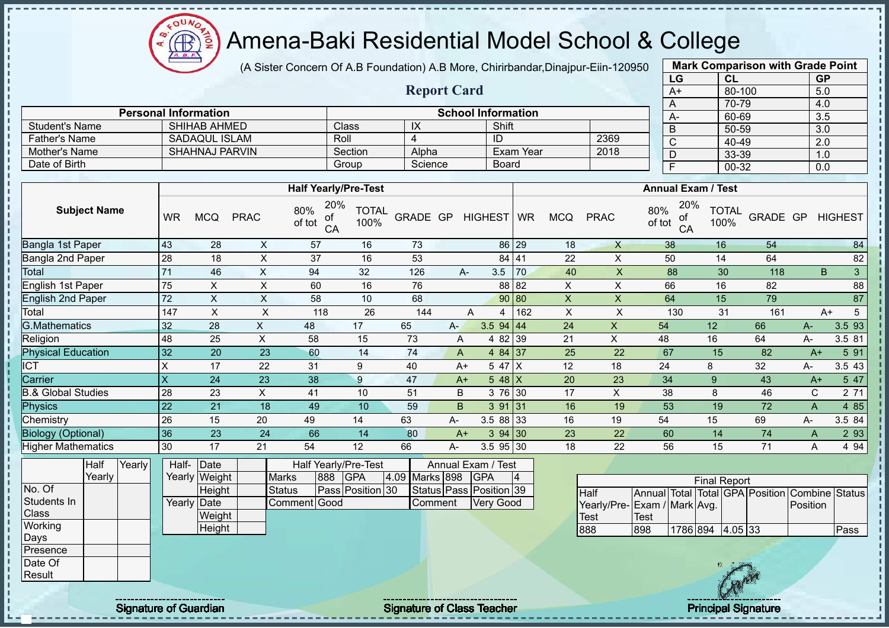$\mathbf{a}$ Æ

# Amena-Baki Residential Model School & College

(A Sister Concern Of A.B Foundation) A.B More, Chirirbandar,Dinajpur-Eiin-120950

**Report Card**

| <b>Mark Comparison with Grade Point</b><br>LG |           |  |  |  |  |  |  |  |  |  |
|-----------------------------------------------|-----------|--|--|--|--|--|--|--|--|--|
| CL                                            | <b>GP</b> |  |  |  |  |  |  |  |  |  |
| 80-100                                        | 5.0       |  |  |  |  |  |  |  |  |  |
| 70-79                                         | 4.0       |  |  |  |  |  |  |  |  |  |
| 60-69                                         | 3.5       |  |  |  |  |  |  |  |  |  |
| 50-59                                         | 3.0       |  |  |  |  |  |  |  |  |  |
| 40-49                                         | 2.0       |  |  |  |  |  |  |  |  |  |
| 33-39                                         | 1.0       |  |  |  |  |  |  |  |  |  |
| 00-32<br>F<br>0.0                             |           |  |  |  |  |  |  |  |  |  |
|                                               |           |  |  |  |  |  |  |  |  |  |

| <b>School Information</b><br><b>Personal Information</b> |                       |         |         |           |      |           |  |  |  |  |  |  |
|----------------------------------------------------------|-----------------------|---------|---------|-----------|------|-----------|--|--|--|--|--|--|
| <b>Student's Name</b>                                    | <b>SHIHAB AHMED</b>   | Class   | IX      | Shift     |      | $A-$<br>D |  |  |  |  |  |  |
| <b>Father's Name</b>                                     | SADAQUL ISLAM         | Roll    |         | ID        | 2369 | ັ         |  |  |  |  |  |  |
| Mother's Name                                            | <b>SHAHNAJ PARVIN</b> | Section | Alpha   | Exam Year | 2018 | P         |  |  |  |  |  |  |
| Date of Birth                                            |                       | Group   | Science | Board     |      |           |  |  |  |  |  |  |

|                               |           |            |             | <b>Half Yearly/Pre-Test</b>      |                      |          |      |                  |       |            |             | <b>Annual Exam / Test</b>        |                      |          |      |                |
|-------------------------------|-----------|------------|-------------|----------------------------------|----------------------|----------|------|------------------|-------|------------|-------------|----------------------------------|----------------------|----------|------|----------------|
| <b>Subject Name</b>           | <b>WR</b> | <b>MCQ</b> | <b>PRAC</b> | 20%<br>80%<br>οf<br>of tot<br>CA | <b>TOTAL</b><br>100% | GRADE GP |      | HIGHEST WR       |       | <b>MCQ</b> | <b>PRAC</b> | 20%<br>80%<br>оt<br>of tot<br>CA | <b>TOTAL</b><br>100% | GRADE GP |      | <b>HIGHEST</b> |
| Bangla 1st Paper              | 43        | 28         | X           | 57                               | 16                   | 73       |      |                  | 86 29 | 18         | X           | 38                               | 16                   | 54       |      | 84             |
| Bangla 2nd Paper              | 28        | 18         | X           | 37                               | 16                   | 53       |      |                  | 84 41 | 22         | X           | 50                               | 14                   | 64       |      | 82             |
| Total                         | 71        | 46         | X           | 94                               | 32                   | 126      |      | 3.5<br>А-        | 70    | 40         | X           | 88                               | 30                   | 118      |      | 3<br>B.        |
| English 1st Paper             | 75        | X          | X           | 60                               | 16                   | 76       |      |                  | 88 82 | X          | X           | 66                               | 16                   | 82       |      | 88             |
| English 2nd Paper             | 72        | X          | X           | 58                               | 10                   | 68       |      |                  | 90 80 | X          | X           | 64                               | 15                   | 79       |      | 87             |
| Total                         | 147       | X          | X           | 118                              | 26                   | 144      |      | A<br>4           | 162   | X          | X           | 130                              | 31                   | 161      |      | 5<br>A+        |
| <b>G.Mathematics</b>          | 32        | 28         | X           | 48                               | 17                   | 65       | $A-$ | $3.5$ 94 44      |       | 24         | X           | 54                               | 12                   | 66       | $A-$ | 3.5 93         |
| Religion                      | 48        | 25         | X           | 58                               | 15                   | 73       | A    | 4 82 39          |       | 21         | X           | 48                               | 16                   | 64       | A-   | 3.5 81         |
| <b>Physical Education</b>     | 32        | 20         | 23          | 60                               | 14                   | 74       |      | 4 84 37<br>A     |       | 25         | 22          | 67                               | 15                   | 82       | $A+$ | 5 91           |
| <b>ICT</b>                    | X         | 17         | 22          | 31                               | 9                    | 40       |      | 5 47 X<br>$A+$   |       | 12         | 18          | 24                               | 8                    | 32       | A-   | 3.5 43         |
| Carrier                       | X         | 24         | 23          | 38                               | 9                    | 47       |      | $5.48$ X<br>$A+$ |       | 20         | 23          | 34                               | 9                    | 43       | $A+$ | 5 47           |
| <b>B.&amp; Global Studies</b> | 28        | 23         | X           | 41                               | 10                   | 51       |      | B<br>3 76 30     |       | 17         | X           | 38                               | 8                    | 46       | C    | 2 71           |
| Physics                       | 22        | 21         | 18          | 49                               | 10                   | 59       |      | B.<br>391 31     |       | 16         | 19          | 53                               | 19                   | 72       | Α    | 4 8 5          |
| Chemistry                     | 26        | 15         | 20          | 49                               | 14                   | 63       | A-   | 3.5 88 33        |       | 16         | 19          | 54                               | 15                   | 69       | A-   | 3.5 84         |
| <b>Biology (Optional)</b>     | 36        | 23         | 24          | 66                               | 14                   | 80       |      | 394 30<br>$A+$   |       | 23         | 22          | 60                               | 14                   | 74       | A    | 2 9 3          |
| <b>Higher Mathematics</b>     | 30        | 17         | 21          | 54                               | 12                   | 66       | A-   | 3.5 95 30        |       | 18         | 22          | 56                               | 15                   | 71       | A    | 4 9 4          |

|                  | Half   | Yearly | Half-       | Date          |               |     | Half Yearly/Pre-Test |                | Annual Exam / Test      |    |
|------------------|--------|--------|-------------|---------------|---------------|-----|----------------------|----------------|-------------------------|----|
|                  | Yearly |        |             | Yearly Weight | <b>Marks</b>  | 888 | <b>GPA</b>           | 4.09 Marks 898 | <b>IGPA</b>             | 14 |
| No. Of           |        |        |             | Height        | <b>Status</b> |     | Pass Position 30     |                | Status Pass Position 39 |    |
| Students In      |        |        | Yearly Date |               | Comment Good  |     |                      | Comment        | <b>Very Good</b>        |    |
| <b>Class</b>     |        |        |             | Weight        |               |     |                      |                |                         |    |
| Working          |        |        |             | Height        |               |     |                      |                |                         |    |
| Days             |        |        |             |               |               |     |                      |                |                         |    |
| <b>IPresence</b> |        |        |             |               |               |     |                      |                |                         |    |
| Date Of          |        |        |             |               |               |     |                      |                |                         |    |
| Result           |        |        |             |               |               |     |                      |                |                         |    |

|                              |              |                  | <b>Final Report</b> |  |                                                |      |
|------------------------------|--------------|------------------|---------------------|--|------------------------------------------------|------|
| <b>I</b> Half                |              |                  |                     |  | Annual Total Total GPA Position Combine Status |      |
| Yearly/Pre- Exam / Mark Avg. |              |                  |                     |  | <b>IPosition</b>                               |      |
| Test                         | <b>ITest</b> |                  |                     |  |                                                |      |
| 888                          | 898          | 1786 894 4.05 33 |                     |  |                                                | Pass |

J.  $\mathbf{I}$  $\mathbf{I}$ 

Signature of Guardian Signature of Class Teacher Principal Signature Principal Signature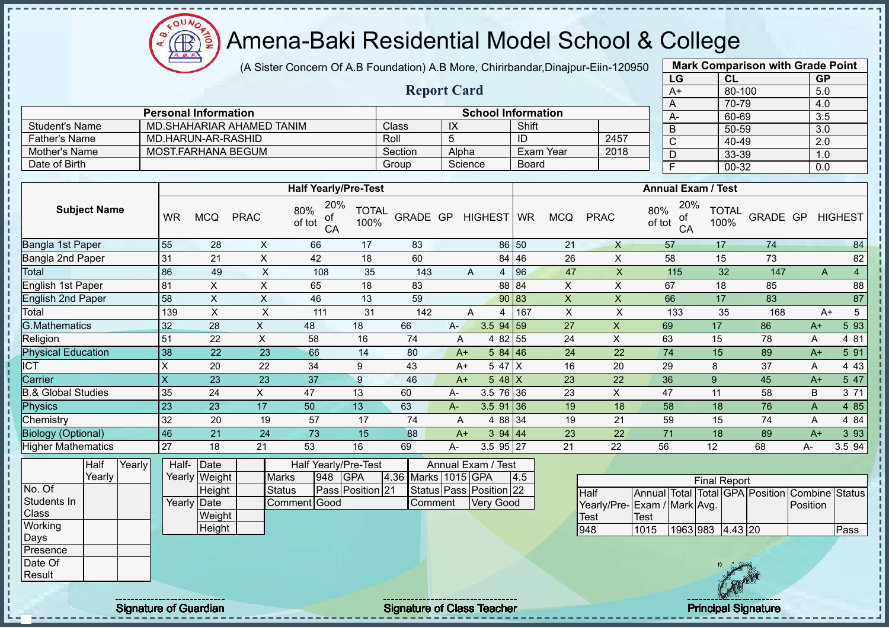(A Sister Concern Of A.B Foundation) A.B More, Chirirbandar,Dinajpur-Eiin-120950

**Report Card**

|      | <b>Mark Comparison with Grade Point</b> |           |
|------|-----------------------------------------|-----------|
| LG   | CL                                      | <b>GP</b> |
| $A+$ | 80-100                                  | 5.0       |
| A    | 70-79                                   | 4.0       |
| А-   | 60-69                                   | 3.5       |
| B    | 50-59                                   | 3.0       |
| C    | 40-49                                   | 2.0       |
| D    | 33-39                                   | 1.0       |
| F    | 00-32                                   | 0.0       |
|      |                                         |           |

|                 | <b>Personal Information</b> |         |         | <b>School Information</b> |      | $A-$ |
|-----------------|-----------------------------|---------|---------|---------------------------|------|------|
| Student's Name  | MD SHAHARIAR AHAMED TANIM   | Class   | IX      | Shift                     |      | B    |
| ∂ Father's Name | MD.HARUN-AR-RASHID          | Roll    |         | ID                        | 2457 |      |
| Mother's Name   | MOST FARHANA BEGUM          | Section | Alpha   | Exam Year                 | 2018 |      |
| Date of Birth   |                             | Group   | Science | Board                     |      |      |

|                               |           |            |             | <b>Half Yearly/Pre-Test</b>      |                      |          |      |             |          |            |             | <b>Annual Exam / Test</b>        |                      |                  |      |        |
|-------------------------------|-----------|------------|-------------|----------------------------------|----------------------|----------|------|-------------|----------|------------|-------------|----------------------------------|----------------------|------------------|------|--------|
| <b>Subject Name</b>           | <b>WR</b> | <b>MCQ</b> | <b>PRAC</b> | 20%<br>80%<br>οf<br>of tot<br>CA | <b>TOTAL</b><br>100% | GRADE GP |      | HIGHEST WR  |          | <b>MCQ</b> | <b>PRAC</b> | 20%<br>80%<br>οf<br>of tot<br>CA | <b>TOTAL</b><br>100% | GRADE GP HIGHEST |      |        |
| Bangla 1st Paper              | 55        | 28         | X           | 66                               | 17                   | 83       |      |             | 86 50    | 21         | X           | 57                               | 17                   | 74               |      | 84     |
| Bangla 2nd Paper              | 31        | 21         | X           | 42                               | 18                   | 60       |      |             | 84 46    | 26         | X           | 58                               | 15                   | 73               |      | 82     |
| Total                         | 86        | 49         | $\times$    | 108                              | 35                   | 143      |      | A<br>4      | 96       | 47         | X           | 115                              | 32                   | 147              | A    | 4      |
| English 1st Paper             | 81        | X          | X           | 65                               | 18                   | 83       |      |             | 88 84    | X          | X           | 67                               | 18                   | 85               |      | 88     |
| <b>English 2nd Paper</b>      | 58        | X          | X           | 46                               | 13                   | 59       |      |             | 90 83    | X          | X           | 66                               | 17                   | 83               |      | 87     |
| Total                         | 139       | X          | X           | 111                              | 31                   | 142      |      | A<br>4      | 167      | X          | X           | 133                              | 35                   | 168              | $A+$ | 5      |
| <b>G.Mathematics</b>          | 32        | 28         | X           | 48                               | 18                   | 66       | $A-$ | $3.5$ 94 59 |          | 27         | X           | 69                               | 17                   | 86               | $A+$ | 5 93   |
| Religion                      | 51        | 22         | X           | 58                               | 16                   | 74       | A    |             | 4 82 55  | 24         | X           | 63                               | 15                   | 78               | Α    | 4 81   |
| <b>Physical Education</b>     | 38        | 22         | 23          | 66                               | 14                   | 80       |      | $A+$        | 584   46 | 24         | 22          | 74                               | 15                   | 89               | $A+$ | 5 91   |
| <b>ICT</b>                    | X         | 20         | 22          | 34                               | 9                    | 43       |      | $A+$        | 5 47 X   | 16         | 20          | 29                               | 8                    | 37               | A    | 4 4 3  |
| Carrier                       | X         | 23         | 23          | 37                               | 9                    | 46       |      | $A+$        | $548$ X  | 23         | 22          | 36                               | 9                    | 45               | $A+$ | 5 47   |
| <b>B.&amp; Global Studies</b> | 35        | 24         | X.          | 47                               | 13                   | 60       | A-   | 3.5 76 36   |          | 23         | X           | 47                               | 11                   | 58               | B    | 3 71   |
| Physics                       | 23        | 23         | 17          | 50                               | 13                   | 63       | $A-$ | $3.5$ 91 36 |          | 19         | 18          | 58                               | 18                   | 76               | A    | 4 8 5  |
| Chemistry                     | 32        | 20         | 19          | 57                               | 17                   | 74       | A    |             | 4 88 34  | 19         | 21          | 59                               | 15                   | 74               | Α    | 4 84   |
| <b>Biology (Optional)</b>     | 46        | 21         | 24          | 73                               | 15                   | 88       |      | $A+$        | 394   44 | 23         | 22          | 71                               | 18                   | 89               | $A+$ | 3 9 3  |
| <b>Higher Mathematics</b>     | 27        | 18         | 21          | 53                               | 16                   | 69       | А-   | $3.5$ 95 27 |          | 21         | 22          | 56                               | 12                   | 68               | A-   | 3.5 94 |

|             | Half   | Yearly | Half-       | Date          |              |     | Half Yearly/Pre-Test    |                     | Annual Exam / Test      |     |  |
|-------------|--------|--------|-------------|---------------|--------------|-----|-------------------------|---------------------|-------------------------|-----|--|
|             | Yearly |        |             | Yearly Weight | <b>Marks</b> | 948 | <b>GPA</b>              | 4.36 Marks 1015 GPA |                         | 4.5 |  |
| No. Of      |        |        |             | Height        | Status       |     | <b>Pass Position 21</b> |                     | Status Pass Position 22 |     |  |
| Students In |        |        | Yearly Date |               | Comment Good |     |                         | Comment             | <b>Very Good</b>        |     |  |
| Class       |        |        |             | Weight        |              |     |                         |                     |                         |     |  |
| Working     |        |        |             | Height        |              |     |                         |                     |                         |     |  |
| Days        |        |        |             |               |              |     |                         |                     |                         |     |  |
| Presence    |        |        |             |               |              |     |                         |                     |                         |     |  |
| Date Of     |        |        |             |               |              |     |                         |                     |                         |     |  |
| Result      |        |        |             |               |              |     |                         |                     |                         |     |  |

|                              |             |                  | <b>Final Report</b> |  |                                                |      |
|------------------------------|-------------|------------------|---------------------|--|------------------------------------------------|------|
| <b>I</b> Half                |             |                  |                     |  | Annual Total Total GPA Position Combine Status |      |
| Yearly/Pre- Exam / Mark Avg. |             |                  |                     |  | Position                                       |      |
| <b>I</b> Test                | <b>Test</b> |                  |                     |  |                                                |      |
| 948                          | 1015        | 1963 983 4.43 20 |                     |  |                                                | Pass |

J.  $\mathbf{I}$ ш  $\Omega$ Æ

Signature of Guardian Signature Signature of Class Teacher New York Network Principal Signature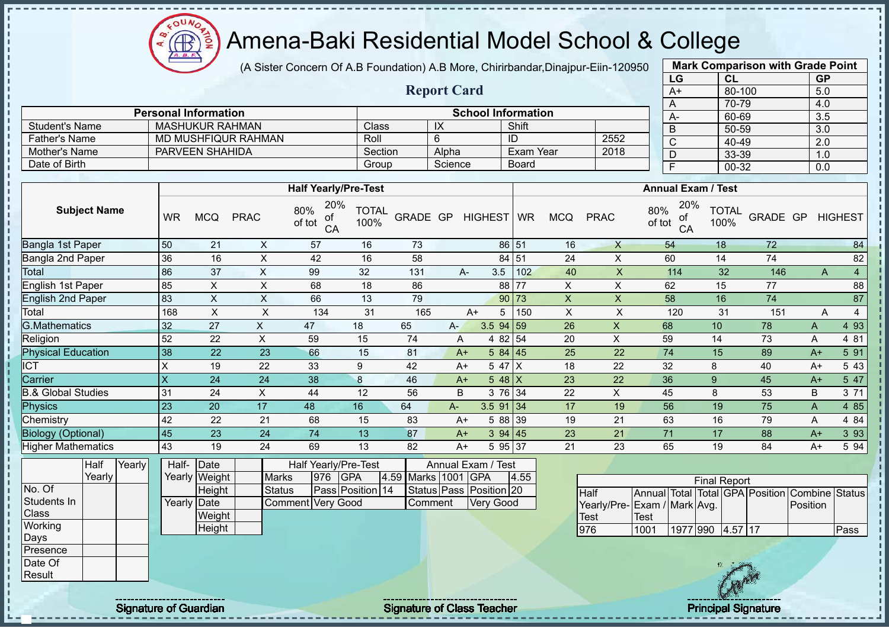$\mathbf{a}$ Æ

# Amena-Baki Residential Model School & College

(A Sister Concern Of A.B Foundation) A.B More, Chirirbandar,Dinajpur-Eiin-120950

**Report Card**

|      | <b>Mark Comparison with Grade Point</b> |           |
|------|-----------------------------------------|-----------|
| LG   | CL                                      | <b>GP</b> |
| $A+$ | 80-100                                  | 5.0       |
| A    | 70-79                                   | 4.0       |
| А-   | 60-69                                   | 3.5       |
| B    | 50-59                                   | 3.0       |
| C    | 40-49                                   | 2.0       |
| D    | 33-39                                   | 1.0       |
| F    | 00-32                                   | 0.0       |
|      |                                         |           |

|                       | <b>Personal Information</b> |         |         | <b>School Information</b> |      | $A-$ |
|-----------------------|-----------------------------|---------|---------|---------------------------|------|------|
| <b>Student's Name</b> | <b>MASHUKUR RAHMAN</b>      | Class   | IX      | Shift                     |      |      |
| <b>Father's Name</b>  | MD MUSHFIQUR RAHMAN         | Roll    |         | ID                        | 2552 | ັ    |
| Mother's Name         | PARVEEN SHAHIDA             | Section | Alpha   | Exam Year                 | 2018 | ◡    |
| Date of Birth         |                             | Group   | Science | <b>Board</b>              |      |      |

|                           |                         |            |             | <b>Half Yearly/Pre-Test</b>      |                      |          |      |                    |          |            |             | <b>Annual Exam / Test</b>        |                      |          |      |                     |
|---------------------------|-------------------------|------------|-------------|----------------------------------|----------------------|----------|------|--------------------|----------|------------|-------------|----------------------------------|----------------------|----------|------|---------------------|
| <b>Subject Name</b>       | <b>WR</b>               | <b>MCQ</b> | <b>PRAC</b> | 20%<br>80%<br>οf<br>of tot<br>CA | <b>TOTAL</b><br>100% | GRADE GP |      | HIGHEST WR         |          | <b>MCQ</b> | <b>PRAC</b> | 20%<br>80%<br>οf<br>of tot<br>CA | <b>TOTAL</b><br>100% | GRADE GP |      | <b>HIGHEST</b>      |
| Bangla 1st Paper          | 50                      | 21         | X           | 57                               | 16                   | 73       |      |                    | 86 51    | 16         | $\times$    | 54                               | 18                   | 72       |      | 84                  |
| Bangla 2nd Paper          | 36                      | 16         | X           | 42                               | 16                   | 58       |      |                    | 84 51    | 24         | X           | 60                               | 14                   | 74       |      | 82                  |
| Total                     | 86                      | 37         | X           | 99                               | 32                   | 131      |      | 3.5<br>A-          | 102      | 40         | X           | 114                              | 32                   | 146      |      | $\overline{4}$<br>A |
| English 1st Paper         | 85                      | X          | X           | 68                               | 18                   | 86       |      |                    | 88 77    | X.         | X           | 62                               | 15                   | 77       |      | 88                  |
| <b>English 2nd Paper</b>  | 83                      | X          | X           | 66                               | 13                   | 79       |      |                    | 90 73    | X          | X           | 58                               | 16                   | 74       |      | 87                  |
| Total                     | 168                     | X          | X           | 134                              | 31                   | 165      |      | 5<br>$A+$          | 150      | X          | X           | 120                              | 31                   | 151      |      | 4<br>A              |
| <b>G.Mathematics</b>      | 32                      | 27         | X           | 47                               | 18                   | 65       | A- . | $3.5$ 94 59        |          | 26         | X           | 68                               | 10                   | 78       | A    | 4 9 3               |
| Religion                  | 52                      | 22         | X           | 59                               | 15                   | 74       |      | A                  | 4 82 54  | 20         | X           | 59                               | 14                   | 73       | Α    | 4 81                |
| <b>Physical Education</b> | 38                      | 22         | 23          | 66                               | 15                   | 81       |      | $A+$               | 584 45   | 25         | 22          | 74                               | 15                   | 89       | $A+$ | 5 91                |
| $\overline{CT}$           | X                       | 19         | 22          | 33                               | 9                    | 42       |      | 5 47 $ X $<br>$A+$ |          | 18         | 22          | 32                               | 8                    | 40       | $A+$ | 5 4 3               |
| Carrier                   | $\overline{\mathsf{x}}$ | 24         | 24          | 38                               | 8                    | 46       |      | 5 48 $X$<br>$A+$   |          | 23         | 22          | 36                               | 9                    | 45       | $A+$ | 5 47                |
| 3.& Global Studies        | 31                      | 24         | X           | 44                               | 12                   | 56       |      | B                  | 3 76 34  | 22         | X           | 45                               | 8                    | 53       | B    | 3 71                |
| Physics                   | 23                      | 20         | 17          | 48                               | 16                   | 64       | A-   | $3.5$ 91 34        |          | 17         | 19          | 56                               | 19                   | 75       | A    | 4 8 5               |
| Chemistry                 | 42                      | 22         | 21          | 68                               | 15                   | 83       |      | $A+$               | 5 88 39  | 19         | 21          | 63                               | 16                   | 79       | Α    | 4 8 4               |
| <b>Biology (Optional)</b> | 45                      | 23         | 24          | 74                               | 13                   | 87       |      | $A+$               | 394   45 | 23         | 21          | 71                               | 17                   | 88       | $A+$ | 3 9 3               |
| <b>Higher Mathematics</b> | 43                      | 19         | 24          | 69                               | 13                   | 82       |      | $A+$               | 5 95 37  | 21         | 23          | 65                               | 19                   | 84       | $A+$ | 5 94                |

|             | Half   | Yearly | Half-       | Date          |                   |     | Half Yearly/Pre-Test |      |                | Annual Exam / Test      |      |
|-------------|--------|--------|-------------|---------------|-------------------|-----|----------------------|------|----------------|-------------------------|------|
|             | Yearly |        |             | Yearly Weight | <b>Marks</b>      | 976 | <b>GPA</b>           | 4.59 | Marks 1001 GPA |                         | 4.55 |
| No. Of      |        |        |             | Height        | <b>Status</b>     |     | Pass Position 14     |      |                | Status Pass Position 20 |      |
| Students In |        |        | Yearly Date |               | Comment Very Good |     |                      |      | Comment        | <b>Very Good</b>        |      |
| Class       |        |        |             | Weight        |                   |     |                      |      |                |                         |      |
| Working     |        |        |             | Height        |                   |     |                      |      |                |                         |      |
| Days        |        |        |             |               |                   |     |                      |      |                |                         |      |
| Presence    |        |        |             |               |                   |     |                      |      |                |                         |      |
| Date Of     |        |        |             |               |                   |     |                      |      |                |                         |      |
| Result      |        |        |             |               |                   |     |                      |      |                |                         |      |

| <b>Final Report</b>         |      |                  |  |  |  |                                                |      |
|-----------------------------|------|------------------|--|--|--|------------------------------------------------|------|
| <b>I</b> Half               |      |                  |  |  |  | Annual Total Total GPA Position Combine Status |      |
| Yearly/Pre-Exam / Mark Avg. |      |                  |  |  |  | <b>IPosition</b>                               |      |
| Test                        | Test |                  |  |  |  |                                                |      |
| 976                         | 1001 | 1977 990 4.57 17 |  |  |  |                                                | Pass |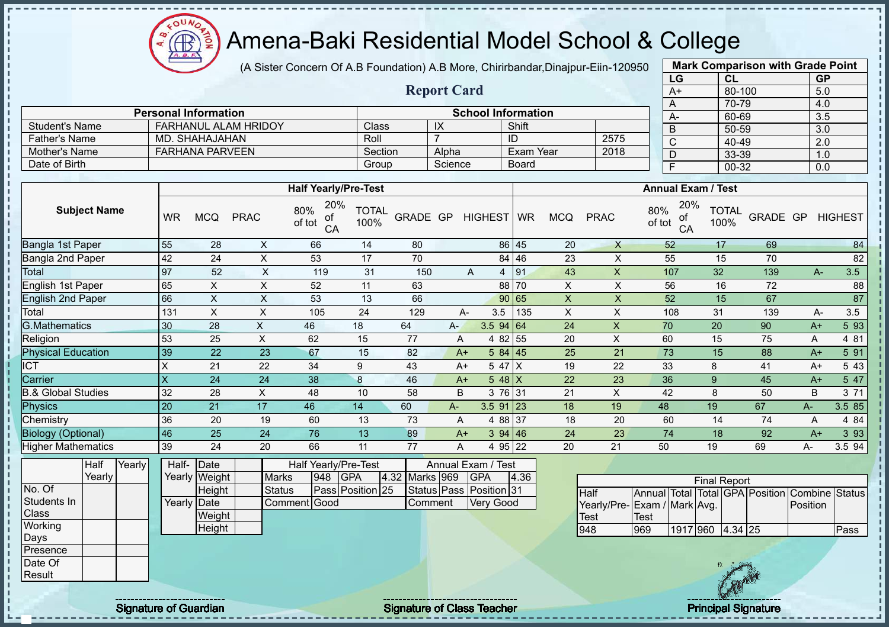$\mathbf{a}$ Æ

# Amena-Baki Residential Model School & College

(A Sister Concern Of A.B Foundation) A.B More, Chirirbandar,Dinajpur-Eiin-120950

**Report Card**

| <b>Mark Comparison with Grade Point</b> |           |           |  |  |  |  |  |  |
|-----------------------------------------|-----------|-----------|--|--|--|--|--|--|
| LG                                      | <b>CL</b> | <b>GP</b> |  |  |  |  |  |  |
| $A+$                                    | 80-100    | 5.0       |  |  |  |  |  |  |
| A                                       | 70-79     | 4.0       |  |  |  |  |  |  |
| А-                                      | 60-69     | 3.5       |  |  |  |  |  |  |
| B                                       | 50-59     | 3.0       |  |  |  |  |  |  |
| C                                       | 40-49     | 2.0       |  |  |  |  |  |  |
| D                                       | 33-39     | 1.0       |  |  |  |  |  |  |
| F                                       | 00-32     | 0.0       |  |  |  |  |  |  |
|                                         |           |           |  |  |  |  |  |  |

|                      | <b>Personal Information</b> |         | <b>School Information</b> |           |      |  |  |  |  |
|----------------------|-----------------------------|---------|---------------------------|-----------|------|--|--|--|--|
| Student's Name       | <b>FARHANUL ALAM HRIDOY</b> | Class   |                           | Shift     |      |  |  |  |  |
| <b>Father's Name</b> | MD. SHAHAJAHAN              | Roll    |                           | ID        | 2575 |  |  |  |  |
| Mother's Name        | <b>FARHANA PARVEEN</b>      | Section | Alpha                     | Exam Year | 2018 |  |  |  |  |
| Date of Birth        |                             | Group   | Science                   | Board     |      |  |  |  |  |

|                           |                         |            |             | <b>Half Yearly/Pre-Test</b>      |                      |          |       |                  | <b>Annual Exam / Test</b> |            |             |                                  |                      |          |       |                |
|---------------------------|-------------------------|------------|-------------|----------------------------------|----------------------|----------|-------|------------------|---------------------------|------------|-------------|----------------------------------|----------------------|----------|-------|----------------|
| <b>Subject Name</b>       | <b>WR</b>               | <b>MCQ</b> | <b>PRAC</b> | 20%<br>80%<br>of<br>of tot<br>CA | <b>TOTAL</b><br>100% | GRADE GP |       | HIGHEST WR       |                           | <b>MCQ</b> | <b>PRAC</b> | 20%<br>80%<br>οf<br>of tot<br>CA | <b>TOTAL</b><br>100% | GRADE GP |       | <b>HIGHEST</b> |
| Bangla 1st Paper          | 55                      | 28         | X           | 66                               | 14                   | 80       |       |                  | 86 45                     | 20         | X           | 52                               | 17                   | 69       |       | 84             |
| Bangla 2nd Paper          | 42                      | 24         | X           | 53                               | 17                   | 70       |       |                  | 84 46                     | 23         | X           | 55                               | 15                   | 70       |       | 82             |
| <b>Total</b>              | 97                      | 52         | X           | 119                              | 31                   | 150      |       | 4<br>A           | 91                        | 43         | X           | 107                              | 32                   | 139      | $A -$ | 3.5            |
| English 1st Paper         | 65                      | X          | X           | 52                               | 11                   | 63       |       |                  | 88 70                     | X          | X           | 56                               | 16                   | 72       |       | 88             |
| <b>English 2nd Paper</b>  | 66                      | X          | X           | 53                               | 13                   | 66       |       |                  | 90 65                     | X          | X           | 52                               | 15                   | 67       |       | 87             |
| Total                     | 131                     | X          | X           | 105                              | 24                   | 129      |       | 3.5<br>А-        | 135                       | X          | X           | 108                              | 31                   | 139      | A-    | 3.5            |
| <b>G.Mathematics</b>      | 30                      | 28         | X           | 46                               | 18                   | 64       | $A -$ | $3.5$ 94 64      |                           | 24         | X           | 70                               | 20                   | 90       | $A+$  | 5 93           |
| Religion                  | 53                      | 25         | X           | 62                               | 15                   | 77       | A     | 4 82 55          |                           | 20         | X           | 60                               | 15                   | 75       | A     | 4 81           |
| <b>Physical Education</b> | 39                      | 22         | 23          | 67                               | 15                   | 82       | $A+$  | 584   45         |                           | 25         | 21          | 73                               | 15                   | 88       | $A+$  | 5 91           |
| <b>ICT</b>                | X                       | 21         | 22          | 34                               | 9                    | 43       |       | 5 47 X<br>$A+$   |                           | 19         | 22          | 33                               | 8                    | 41       | $A+$  | 5 4 3          |
| Carrier                   | $\overline{\mathsf{x}}$ | 24         | 24          | 38                               | 8                    | 46       |       | 5 48 $X$<br>$A+$ |                           | 22         | 23          | 36                               | 9                    | 45       | $A+$  | 5 47           |
| 3.& Global Studies        | 32                      | 28         | X           | 48                               | 10                   | 58       | B     | 3 76 31          |                           | 21         | X           | 42                               | 8                    | 50       | B     | 3 71           |
| Physics                   | 20                      | 21         | 17          | 46                               | 14                   | 60       | A-    | $3.5$ 91 23      |                           | 18         | 19          | 48                               | 19                   | 67       | A-    | 3.5 85         |
| Chemistry                 | 36                      | 20         | 19          | 60                               | 13                   | 73       | A     | 4 88 37          |                           | 18         | 20          | 60                               | 14                   | 74       | A     | 4 8 4          |
| <b>Biology (Optional)</b> | 46                      | 25         | 24          | 76                               | 13                   | 89       |       | 394   46<br>$A+$ |                           | 24         | 23          | 74                               | 18                   | 92       | $A+$  | 3 9 3          |
| <b>Higher Mathematics</b> | 39                      | 24         | 20          | 66                               | 11                   | 77       | A     | 4 95 22          |                           | 20         | 21          | 50                               | 19                   | 69       | А-    | 3.5 94         |

|              | Half   | Yearly | Half-       | Date          |               |     | Half Yearly/Pre-Test | Annual Exam / Test |  |                         |      |             |
|--------------|--------|--------|-------------|---------------|---------------|-----|----------------------|--------------------|--|-------------------------|------|-------------|
|              | Yearly |        |             | Yearly Weight | <b>Marks</b>  | 948 | <b>IGPA</b>          | 4.32 Marks 969     |  | <b>IGPA</b>             | 4.36 |             |
| No. Of       |        |        |             | <b>Height</b> | <b>Status</b> |     | Pass Position 25     |                    |  | Status Pass Position 31 |      | <b>Half</b> |
| Students In  |        |        | Yearly Date |               | Comment Good  |     |                      | <b>Comment</b>     |  | <b>Very Good</b>        |      | Yearly      |
| <b>Class</b> |        |        |             | Weight        |               |     |                      |                    |  |                         |      | <b>Test</b> |
| Working      |        |        |             | Height        |               |     |                      |                    |  |                         |      | 948         |
| <b>Days</b>  |        |        |             |               |               |     |                      |                    |  |                         |      |             |
| Presence     |        |        |             |               |               |     |                      |                    |  |                         |      |             |
| Date Of      |        |        |             |               |               |     |                      |                    |  |                         |      |             |
| Result       |        |        |             |               |               |     |                      |                    |  |                         |      |             |

| <b>Final Report</b>          |      |          |  |         |  |                                                |       |  |
|------------------------------|------|----------|--|---------|--|------------------------------------------------|-------|--|
| <b>Half</b>                  |      |          |  |         |  | Annual Total Total GPA Position Combine Status |       |  |
| Yearly/Pre- Exam / Mark Avg. |      |          |  |         |  | <b>Position</b>                                |       |  |
| lTest                        | Test |          |  |         |  |                                                |       |  |
| 948                          | 969  | 1917 960 |  | 4.34 25 |  |                                                | lPass |  |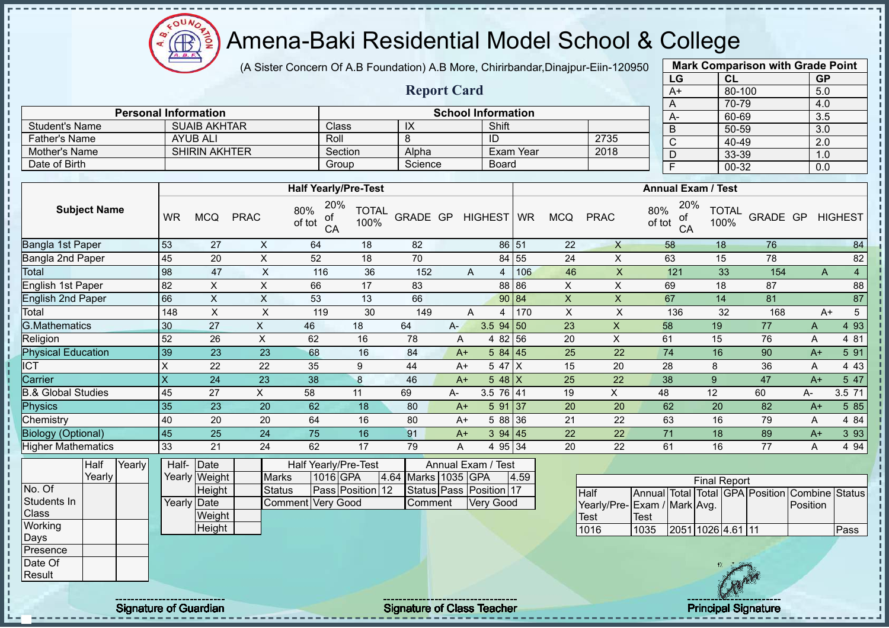oυ **AR** 

# Amena-Baki Residential Model School & College

(A Sister Concern Of A.B Foundation) A.B More, Chirirbandar,Dinajpur-Eiin-120950

**Report Card**

| <b>Mark Comparison with Grade Point</b> |        |           |  |  |  |  |  |  |
|-----------------------------------------|--------|-----------|--|--|--|--|--|--|
| LG                                      | CL     | <b>GP</b> |  |  |  |  |  |  |
| A+                                      | 80-100 | 5.0       |  |  |  |  |  |  |
| A                                       | 70-79  | 4.0       |  |  |  |  |  |  |
| А-                                      | 60-69  | 3.5       |  |  |  |  |  |  |
| B                                       | 50-59  | 3.0       |  |  |  |  |  |  |
| C                                       | 40-49  | 2.0       |  |  |  |  |  |  |
| D                                       | 33-39  | 1.0       |  |  |  |  |  |  |
| 00-32<br>F<br>0.0                       |        |           |  |  |  |  |  |  |

|                |                             |         |         |                           |      |  | 70-79     |
|----------------|-----------------------------|---------|---------|---------------------------|------|--|-----------|
|                | <b>Personal Information</b> |         |         | <b>School Information</b> |      |  | 60-69     |
| Student's Name | <b>SUAIB AKHTAR</b>         | Class   | IX      | Shift                     |      |  | 50-59     |
| Father's Name  | AYUB ALI                    | Roll    |         | ID                        | 2735 |  | 40-49     |
| Mother's Name  | <b>SHIRIN AKHTER</b>        | Section | Alpha   | Exam Year                 | 2018 |  | 33-39     |
| Date of Birth  |                             | Group   | Science | Board                     |      |  | $00 - 32$ |

|                               | <b>Half Yearly/Pre-Test</b> |            |             |                                  |                      |          |       |             |          | <b>Annual Exam / Test</b> |             |                                  |                      |          |      |                |
|-------------------------------|-----------------------------|------------|-------------|----------------------------------|----------------------|----------|-------|-------------|----------|---------------------------|-------------|----------------------------------|----------------------|----------|------|----------------|
| <b>Subject Name</b>           | <b>WR</b>                   | <b>MCQ</b> | <b>PRAC</b> | 20%<br>80%<br>οf<br>of tot<br>CA | <b>TOTAL</b><br>100% | GRADE GP |       | HIGHEST WR  |          | <b>MCQ</b>                | <b>PRAC</b> | 20%<br>80%<br>οf<br>of tot<br>CA | <b>TOTAL</b><br>100% | GRADE GP |      | <b>HIGHEST</b> |
| Bangla 1st Paper              | 53                          | 27         | X           | 64                               | 18                   | 82       |       |             | 86 51    | 22                        | X           | 58                               | 18                   | 76       |      | 84             |
| Bangla 2nd Paper              | 45                          | 20         | X           | 52                               | 18                   | 70       |       |             | 84 55    | 24                        | X           | 63                               | 15                   | 78       |      | 82             |
| Total                         | 98                          | 47         | X           | 116                              | 36                   | 152      |       | 4<br>Α      | 106      | 46                        | X           | 121                              | 33                   | 154      |      | 4<br>Α         |
| English 1st Paper             | 82                          | X          | X           | 66                               | 17                   | 83       |       |             | 88 86    | X                         | X           | 69                               | 18                   | 87       |      | 88             |
| <b>English 2nd Paper</b>      | 66                          | X          | X           | 53                               | 13                   | 66       |       |             | 90 84    | $\pmb{\times}$            | X           | 67                               | 14                   | 81       |      | 87             |
| Total                         | 148                         | X          | X           | 119                              | 30                   | 149      |       | A<br>4      | 170      | X                         | X           | 136                              | 32                   | 168      |      | 5<br>A+        |
| <b>G.Mathematics</b>          | 30                          | 27         | X.          | 46                               | 18                   | 64       | $A -$ | $3.5$ 94 50 |          | 23                        | X           | 58                               | 19                   | 77       | A    | 4 9 3          |
| Religion                      | 52                          | 26         | X           | 62                               | 16                   | 78       | A     |             | 4 82 56  | 20                        | X           | 61                               | 15                   | 76       | A    | 4 81           |
| <b>Physical Education</b>     | 39                          | 23         | 23          | 68                               | 16                   | 84       | $A+$  |             | 584 45   | 25                        | 22          | 74                               | 16                   | 90       | $A+$ | 5 91           |
| ICT                           | X                           | 22         | 22          | 35                               | 9                    | 44       | $A+$  | 5 47 X      |          | 15                        | 20          | 28                               | 8                    | 36       | A    | 4 4 3          |
| Carrier                       | $\times$                    | 24         | 23          | 38                               | 8                    | 46       | $A+$  | 5 48 $X$    |          | 25                        | 22          | 38                               | 9                    | 47       | $A+$ | 5 47           |
| <b>B.&amp; Global Studies</b> | 45                          | 27         | X.          | 58                               | 11                   | 69       | А-    | 3.5 76 41   |          | 19                        | X           | 48                               | 12                   | 60       | A-   | 3.5 71         |
| <b>Physics</b>                | 35                          | 23         | 20          | 62                               | 18                   | 80       | $A+$  |             | 591 37   | 20                        | 20          | 62                               | 20                   | 82       | $A+$ | 5 8 5          |
| Chemistry                     | 40                          | 20         | 20          | 64                               | 16                   | 80       | $A+$  |             | 5 88 36  | 21                        | 22          | 63                               | 16                   | 79       | A    | 4 8 4          |
| <b>Biology (Optional)</b>     | 45                          | 25         | 24          | 75                               | 16                   | 91       | $A+$  |             | 394   45 | 22                        | 22          | 71                               | 18                   | 89       | $A+$ | 3 9 3          |
| <b>Higher Mathematics</b>     | 33                          | 21         | 24          | 62                               | 17                   | 79       | A     |             | 4 95 34  | 20                        | 22          | 61                               | 16                   | 77       | Α    | 4 9 4          |

|                 | Half     | Yearly | Half- Date  |               | Annual Exam / Test<br>Half Yearly/Pre-Test |                   |          |                  |  |                     |                         |      |  |
|-----------------|----------|--------|-------------|---------------|--------------------------------------------|-------------------|----------|------------------|--|---------------------|-------------------------|------|--|
|                 | Yearlv l |        |             | Yearly Weight |                                            | <b>Marks</b>      | 1016 GPA |                  |  | 4.64 Marks 1035 GPA |                         | 4.59 |  |
| No. Of          |          |        |             | Height        |                                            | <b>Status</b>     |          | Pass Position 12 |  |                     | Status Pass Position 17 |      |  |
| Students In     |          |        | Yearly Date |               |                                            | Comment Very Good |          |                  |  | <b>Comment</b>      | Very Good               |      |  |
| <b>Class</b>    |          |        |             | Weight        |                                            |                   |          |                  |  |                     |                         |      |  |
| Working         |          |        |             | Height        |                                            |                   |          |                  |  |                     |                         |      |  |
| Days            |          |        |             |               |                                            |                   |          |                  |  |                     |                         |      |  |
| <b>Presence</b> |          |        |             |               |                                            |                   |          |                  |  |                     |                         |      |  |
| Date Of         |          |        |             |               |                                            |                   |          |                  |  |                     |                         |      |  |
| Result          |          |        |             |               |                                            |                   |          |                  |  |                     |                         |      |  |

| <b>Final Report</b>         |             |                   |  |  |  |                                                |      |
|-----------------------------|-------------|-------------------|--|--|--|------------------------------------------------|------|
| <b>I</b> Half               |             |                   |  |  |  | Annual Total Total GPA Position Combine Status |      |
| Yearly/Pre-Exam / Mark Avg. |             |                   |  |  |  | Position                                       |      |
| Test                        | <b>Test</b> |                   |  |  |  |                                                |      |
| 1016                        | 1035        | 2051 1026 4.61 11 |  |  |  |                                                | Pass |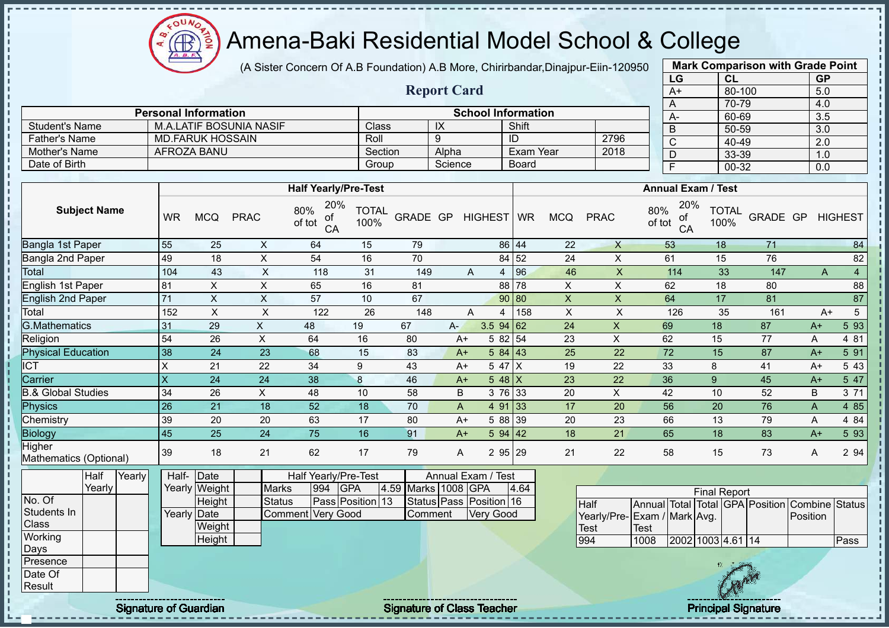$O<sub>U</sub>$ Æ

# Amena-Baki Residential Model School & College

(A Sister Concern Of A.B Foundation) A.B More, Chirirbandar,Dinajpur-Eiin-120950

**Report Card**

| <b>Mark Comparison with Grade Point</b> |        |           |  |  |  |  |  |  |  |
|-----------------------------------------|--------|-----------|--|--|--|--|--|--|--|
| LG                                      | CL     | <b>GP</b> |  |  |  |  |  |  |  |
| $\overline{A+}$                         | 80-100 | 5.0       |  |  |  |  |  |  |  |
| A                                       | 70-79  | 4.0       |  |  |  |  |  |  |  |
| A-                                      | 60-69  | 3.5       |  |  |  |  |  |  |  |
| B                                       | 50-59  | 3.0       |  |  |  |  |  |  |  |
| $\mathsf{C}$                            | 40-49  | 2.0       |  |  |  |  |  |  |  |
| D                                       | 33-39  | 1.0       |  |  |  |  |  |  |  |
| F                                       | 00-32  | 0.0       |  |  |  |  |  |  |  |
|                                         |        |           |  |  |  |  |  |  |  |

|                      | <b>Personal Information</b> |         |         | <b>School Information</b> |      |  |
|----------------------|-----------------------------|---------|---------|---------------------------|------|--|
| Student's Name       | M.A.LATIF BOSUNIA NASIF     | Class   | IX      | Shift                     |      |  |
| <b>Father's Name</b> | MD FARUK HOSSAIN            | Roll    |         | ID                        | 2796 |  |
| Mother's Name        | AFROZA BANU                 | Section | Alpha   | Exam Year                 | 2018 |  |
| Date of Birth        |                             | Group   | Science | Board                     |      |  |

|                                  |                         |            |             | <b>Half Yearly/Pre-Test</b>      |                      |          |       |                    |          |            |             | <b>Annual Exam / Test</b>        |                      |          |      |                        |
|----------------------------------|-------------------------|------------|-------------|----------------------------------|----------------------|----------|-------|--------------------|----------|------------|-------------|----------------------------------|----------------------|----------|------|------------------------|
| <b>Subject Name</b>              | <b>WR</b>               | <b>MCQ</b> | <b>PRAC</b> | 20%<br>80%<br>of<br>of tot<br>CA | <b>TOTAL</b><br>100% | GRADE GP |       | <b>HIGHEST</b>     | WR       | <b>MCQ</b> | <b>PRAC</b> | 20%<br>80%<br>of<br>of tot<br>CA | <b>TOTAL</b><br>100% | GRADE GP |      | <b>HIGHEST</b>         |
| Bangla 1st Paper                 | 55                      | 25         | X           | 64                               | 15                   | 79       |       |                    | 86 44    | 22         | X           | 53                               | 18                   | 71       |      | 84                     |
| Bangla 2nd Paper                 | 49                      | 18         | X           | 54                               | 16                   | 70       |       |                    | 84 52    | 24         | X           | 61                               | 15                   | 76       |      | 82                     |
| Total                            | 104                     | 43         | X           | 118                              | 31                   | 149      |       | A<br>4             | 96       | 46         | X           | 114                              | 33                   | 147      |      | $\overline{4}$<br>A    |
| English 1st Paper                | 81                      | X          | X           | 65                               | 16                   | 81       |       |                    | 88 78    | X          | X           | 62                               | 18                   | 80       |      | 88                     |
| <b>English 2nd Paper</b>         | 71                      | X          | X           | 57                               | 10                   | 67       |       |                    | 90 80    | X          | X           | 64                               | 17                   | 81       |      | 87                     |
| Total                            | 152                     | X          | X           | 122                              | 26                   | 148      |       | 4<br>Α             | 158      | X          | X           | 126                              | 35                   | 161      |      | 5 <sup>5</sup><br>$A+$ |
| <b>G.Mathematics</b>             | 31                      | 29         | X           | 48                               | 19                   | 67       | $A -$ | 3.5                | 94 62    | 24         | X           | 69                               | 18                   | 87       | $A+$ | 5 93                   |
| Religion                         | 54                      | 26         | X           | 64                               | 16                   | 80       |       | $A+$               | 5 82 54  | 23         | X           | 62                               | 15                   | 77       | Α    | 4 81                   |
| <b>Physical Education</b>        | 38                      | 24         | 23          | 68                               | 15                   | 83       |       | 5 84<br>$A+$       | 43       | 25         | 22          | 72                               | 15                   | 87       | $A+$ | 5 91                   |
| <b>ICT</b>                       | X                       | 21         | 22          | 34                               | 9                    | 43       |       | 5 47<br>$A+$       | ΙX       | 19         | 22          | 33                               | 8                    | 41       | A+   | 5 4 3                  |
| Carrier                          | $\overline{\mathsf{X}}$ | 24         | 24          | 38                               | 8                    | 46       |       | $A+$               | $548$ X  | 23         | 22          | 36                               | 9                    | 45       | $A+$ | 5 47                   |
| & Global Studies                 | 34                      | 26         | X           | 48                               | 10                   | 58       | B     |                    | 3 76 33  | 20         | X           | 42                               | 10                   | 52       | B    | 3 71                   |
| Physics                          | 26                      | 21         | 18          | 52                               | 18                   | 70       | A     | 4 91               | 33       | 17         | 20          | 56                               | 20                   | 76       | A    | 4 8 5                  |
| Chemistry                        | 39                      | 20         | 20          | 63                               | 17                   | 80       |       | 588<br>$A+$        | 39       | 20         | 23          | 66                               | 13                   | 79       | Α    | 4 8 4                  |
| Biology                          | 45                      | 25         | 24          | 75                               | 16                   | 91       |       | 5 94<br>$A+$       | 42       | 18         | 21          | 65                               | 18                   | 83       | $A+$ | 5 9 3                  |
| Higher<br>Mathematics (Optional) | 39                      | 18         | 21          | 62                               | 17                   | 79       | A     | $\overline{2}$     | 29<br>95 | 21         | 22          | 58                               | 15                   | 73       | A    | 2 94                   |
| Yearly<br>Half                   | Half-                   | Date       |             | Half Yearly/Pre-Test             |                      | .        |       | Annual Exam / Test |          |            |             |                                  |                      |          |      |                        |

|             | ⊓a⊪    | <b>Tearly</b> | ⊓all- TDale |               |                   |     | <u> Hall Tealiv/Pie-Test</u> |                     | Allilual Exaill / Test  |      |
|-------------|--------|---------------|-------------|---------------|-------------------|-----|------------------------------|---------------------|-------------------------|------|
|             | Yearly |               |             | Yearly Weight | <b>Marks</b>      | 994 | IGPA                         | 4.59 Marks 1008 GPA |                         | 4.64 |
| No. Of      |        |               |             | Height        | Status            |     | Pass Position 13             |                     | Status Pass Position 16 |      |
| Students In |        |               | Yearly Date |               | Comment Very Good |     |                              | <b>Comment</b>      | <b>Very Good</b>        |      |
| Class       |        |               |             | Weight        |                   |     |                              |                     |                         |      |
| Working     |        |               |             | Height        |                   |     |                              |                     |                         |      |
| Days        |        |               |             |               |                   |     |                              |                     |                         |      |
| Presence    |        |               |             |               |                   |     |                              |                     |                         |      |
| Date Of     |        |               |             |               |                   |     |                              |                     |                         |      |
| Result      |        |               |             |               |                   |     |                              |                     |                         |      |

|                              |        | <b>Final Report</b> |  |                                                |      |
|------------------------------|--------|---------------------|--|------------------------------------------------|------|
| Half                         |        |                     |  | Annual Total Total GPA Position Combine Status |      |
| Yearly/Pre- Exam / Mark Avg. |        |                     |  | <b>IPosition</b>                               |      |
| <b>Test</b>                  | 'Test' |                     |  |                                                |      |
| 994                          | 1008   | 2002 1003 4.61 14   |  |                                                | Pass |

experiment the contract of Class Teacher and the Class Teacher and the Class Teacher Principal Signature of Guardian Signature of Class Teacher and the Class Teacher and the Class Teacher and the Class Teacher and the Clas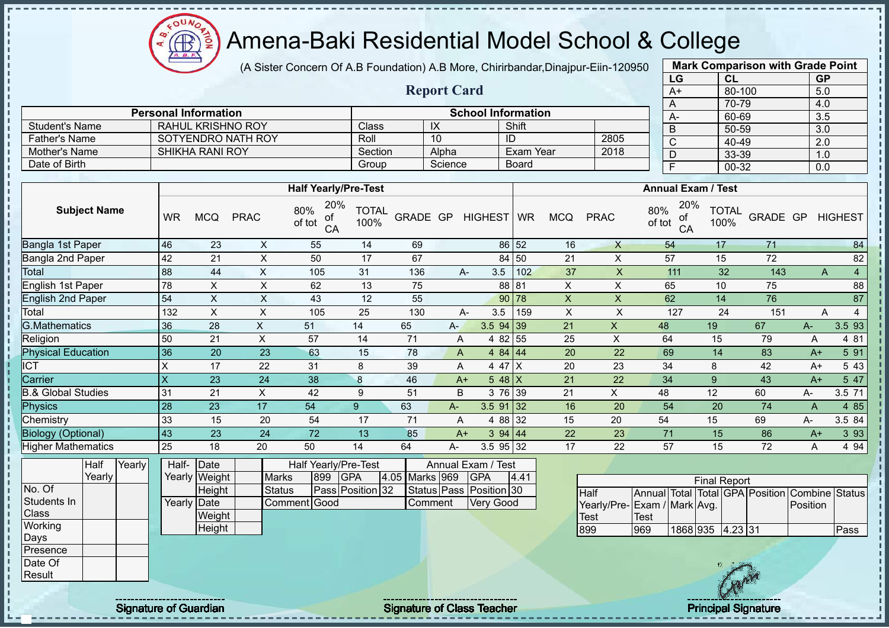(A Sister Concern Of A.B Foundation) A.B More, Chirirbandar,Dinajpur-Eiin-120950

|                                 |                         |                                 |                           |                                    |                      |                 | <b>Report Card</b> |                                      |                |                           |                                                           |                 | $A+$                      | 80-100               |                                                | 5.0                     |                 |
|---------------------------------|-------------------------|---------------------------------|---------------------------|------------------------------------|----------------------|-----------------|--------------------|--------------------------------------|----------------|---------------------------|-----------------------------------------------------------|-----------------|---------------------------|----------------------|------------------------------------------------|-------------------------|-----------------|
|                                 |                         | <b>Personal Information</b>     |                           |                                    |                      |                 |                    | <b>School Information</b>            |                |                           |                                                           |                 | A                         | 70-79<br>60-69       |                                                | 4.0<br>3.5              |                 |
| <b>Student's Name</b>           |                         | <b>RAHUL KRISHNO ROY</b>        |                           |                                    | Class                |                 | $\overline{X}$     |                                      | Shift          |                           |                                                           |                 | A-<br>B                   | $50 - 59$            |                                                | 3.0                     |                 |
| <b>Father's Name</b>            |                         | SOTYENDRO NATH ROY              |                           |                                    | Roll                 |                 | 10                 |                                      | $\overline{1}$ |                           | 2805                                                      |                 | $\overline{C}$            | $40 - 49$            |                                                | $\overline{2.0}$        |                 |
| Mother's Name                   |                         | <b>SHIKHA RANI ROY</b>          |                           |                                    | Section              |                 | Alpha              |                                      | Exam Year      |                           | 2018                                                      |                 | $\overline{D}$            | 33-39                |                                                | 1.0                     |                 |
| Date of Birth                   |                         |                                 |                           |                                    | Group                |                 | Science            |                                      | Board          |                           |                                                           |                 | $\overline{F}$            | $00 - 32$            |                                                | 0.0                     |                 |
|                                 |                         |                                 |                           |                                    |                      |                 |                    |                                      |                |                           |                                                           |                 |                           |                      |                                                |                         |                 |
|                                 |                         |                                 |                           | <b>Half Yearly/Pre-Test</b>        |                      |                 |                    |                                      |                |                           |                                                           |                 | <b>Annual Exam / Test</b> |                      |                                                |                         |                 |
| <b>Subject Name</b>             | <b>WR</b>               | <b>MCQ</b>                      | <b>PRAC</b>               | 20%<br>80%<br>ot<br>of tot<br>CA   | <b>TOTAL</b><br>100% |                 |                    | GRADE GP HIGHEST                     | <b>WR</b>      | <b>MCQ</b>                | <b>PRAC</b>                                               | 80%<br>of tot   | 20%<br>ot<br>CA           | <b>TOTAL</b><br>100% |                                                | <b>GRADE GP HIGHEST</b> |                 |
| Bangla 1st Paper                | 46                      | 23                              | $\boldsymbol{\mathsf{X}}$ | 55                                 | 14                   | 69              |                    |                                      | 86 52          | 16                        | $\mathsf{X}$                                              | 54              |                           | 17                   | 71                                             |                         | 84              |
| Bangla 2nd Paper                | 42                      | $\overline{21}$                 | $\overline{\mathsf{x}}$   | 50                                 | $\overline{17}$      | 67              |                    |                                      | 84 50          | $\overline{21}$           | $\mathsf X$                                               | $\overline{57}$ |                           | 15                   | $\overline{72}$                                |                         | 82              |
| Total                           | 88                      | 44                              | $\mathsf{X}$              | 105                                | 31                   | 136             |                    | 3.5<br>$A-$                          | 102            | 37                        | $\boldsymbol{\mathsf{X}}$                                 |                 | 111                       | 32                   | 143                                            | A                       | $\overline{4}$  |
| English 1st Paper               | $\overline{78}$         | $\mathsf{X}$                    | $\pmb{\times}$            | 62                                 | 13                   | 75              |                    |                                      | 88 81          | $\pmb{\times}$            | $\pmb{\times}$                                            | 65              |                           | 10                   | $\overline{75}$                                |                         | $\overline{88}$ |
| <b>English 2nd Paper</b>        | 54                      | $\mathsf{X}$                    | $\boldsymbol{\mathsf{X}}$ | 43                                 | 12                   | 55              |                    |                                      | 90 78          | $\boldsymbol{\mathsf{X}}$ | $\mathsf X$                                               | 62              |                           | 14                   | 76                                             |                         | $\overline{87}$ |
| Total                           | 132                     | $\boldsymbol{\mathsf{X}}$       | $\overline{X}$            | 105                                | 25                   | 130             |                    | 3.5<br>$A-$                          | 159            | $\mathsf{X}$              | $\boldsymbol{\mathsf{X}}$                                 |                 | $\overline{127}$          | 24                   | 151                                            | A                       | $\overline{4}$  |
| <b>G.Mathematics</b>            | 36                      | $\overline{28}$                 | $\overline{X}$            | 51                                 | 14                   | 65              | A-                 | $3.5$ 94 39                          |                | 21                        | $\mathsf X$                                               | 48              |                           | 19                   | 67                                             | $A-$                    | 3.5 93          |
| Religion                        | 50                      | $\overline{21}$                 | $\overline{X}$            | $\overline{57}$                    | 14                   | $\overline{71}$ | Α                  |                                      | 4 82 55        | 25                        | $\mathsf X$                                               | 64              |                           | 15                   | 79                                             | $\mathsf{A}$            | 4 81            |
| <b>Physical Education</b>       | 36                      | $\overline{20}$                 | $\overline{23}$           | 63                                 | 15                   | 78              | A                  |                                      | 4 84 44        | 20                        | $\overline{22}$                                           | 69              |                           | 14                   | 83                                             | $A+$                    | 5 91            |
| $\overline{ICT}$                | $\mathsf{X}$            | 17                              | 22                        | 31                                 | 8                    | 39              | $\mathsf{A}$       |                                      | $447$ X        | 20                        | 23                                                        | 34              |                           | 8                    | 42                                             | $A+$                    | 5 4 3           |
| Carrier                         | $\overline{\mathsf{x}}$ | $\overline{23}$                 | 24                        | 38                                 | $\boldsymbol{8}$     | 46              | $A+$               |                                      | $548$ X        | 21                        | 22                                                        | 34              |                           | $\overline{9}$       | 43                                             | $A+$                    | 5 47            |
| <b>B.&amp; Global Studies</b>   | 31                      | 21                              | $\mathsf{x}$              | $\overline{42}$                    | 9                    | 51              | B                  |                                      | 3 76 39        | 21                        | $\pmb{\times}$                                            | 48              |                           | $\overline{12}$      | 60                                             | A-                      | 3.5 71          |
| Physics                         | 28                      | 23                              | $\overline{17}$           | 54                                 | 9                    | 63              | $A -$              | $3.591$ 32                           |                | 16                        | 20                                                        | 54              |                           | 20                   | 74                                             | $\overline{A}$          | 4 8 5           |
| Chemistry                       | 33                      | 15                              | 20                        | 54                                 | 17                   | 71              | $\mathsf{A}$       |                                      | 4 88 32        | 15                        | 20                                                        | 54              |                           | 15                   | 69                                             | А-                      | 3.5 84          |
| <b>Biology (Optional)</b>       | 43                      | 23                              | 24                        | $\overline{72}$                    | 13                   | 85              | $A+$               |                                      | 3 94 44        | 22                        | 23                                                        | 71              |                           | 15                   | 86                                             | $A+$                    | 3 9 3           |
| <b>Higher Mathematics</b>       | $\overline{25}$         | 18                              | $\overline{20}$           | 50                                 | 14                   | 64              | А-                 | 3.5 95 32                            |                | $\overline{17}$           | 22                                                        | 57              |                           | 15                   | 72                                             | A                       | 4 9 4           |
| <b>Half</b><br>Yearly<br>Yearly | Half-                   | Date<br>Yearly Weight           | <b>Marks</b>              | <b>Half Yearly/Pre-Test</b><br>899 | <b>GPA</b>           | 4.05 Marks 969  |                    | Annual Exam / Test<br><b>GPA</b>     | 4.41           |                           |                                                           |                 |                           | <b>Final Report</b>  |                                                |                         |                 |
| No. Of<br>Students In<br>Class  |                         | Height<br>Yearly Date<br>Weight | <b>Status</b>             | Comment Good                       | Pass Position 32     |                 | Comment            | Status Pass Position 30<br>Very Good |                |                           | <b>Half</b><br>Yearly/Pre-Exam / Mark Avg.<br><b>Test</b> | <b>Test</b>     |                           |                      | Annual Total Total GPA Position Combine Status | Position                |                 |
| Working                         |                         | Height                          |                           |                                    |                      |                 |                    |                                      |                |                           | 899                                                       | 969             | 1868 935 4.23 31          |                      |                                                |                         | Pass            |
| Days                            |                         |                                 |                           |                                    |                      |                 |                    |                                      |                |                           |                                                           |                 |                           |                      |                                                |                         |                 |
| Presence                        |                         |                                 |                           |                                    |                      |                 |                    |                                      |                |                           |                                                           |                 |                           |                      |                                                |                         |                 |
| Date Of<br><b>Result</b>        |                         |                                 |                           |                                    |                      |                 |                    |                                      |                |                           |                                                           |                 |                           |                      |                                                |                         |                 |

Signature of Guardian Signature of Class Teacher Principal Signature of Guardian Signature of Class Teacher Principal Signature

 $\bigoplus_{\Delta,\Delta,\sigma}$ 

 $\mathcal{L}$ 

**Mark Comparison with Grade Point LG CL GP**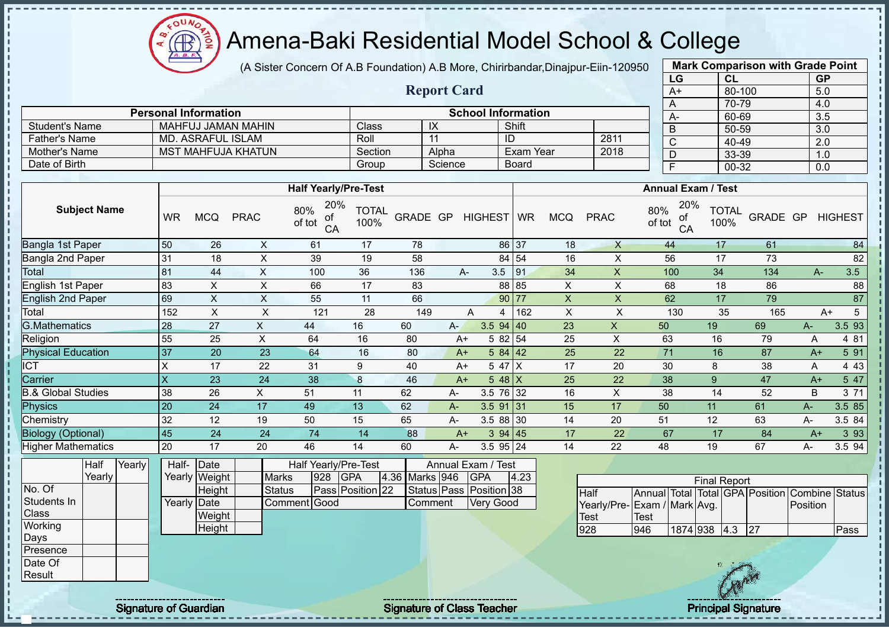$OUN$ Œ

# Amena-Baki Residential Model School & College

(A Sister Concern Of A.B Foundation) A.B More, Chirirbandar,Dinajpur-Eiin-120950

**Report Card**

**Personal Information CONSIDERING INCORPORATION School Information** 

Father's Name MD. ASRAFUL ISLAM Roll 11 ID 2811<br>
Mother's Name MST MAHFUJA KHATUN Section Alpha Exam Year 2018

Student's Name MAHFUJ JAMAN MAHIN Class IX Shift<br>Father's Name MD. ASRAFUL ISLAM Roll 11 ID

Mother's Name MST MAHFUJA KHATUN Section Alpha Exam Year Date of Birth Group Science Board

|                    | <b>Mark Comparison with Grade Point</b> |           |  |  |  |  |  |  |  |  |
|--------------------|-----------------------------------------|-----------|--|--|--|--|--|--|--|--|
| LG                 | <b>CL</b>                               | <b>GP</b> |  |  |  |  |  |  |  |  |
| $A+$               | 80-100                                  | 5.0       |  |  |  |  |  |  |  |  |
| 70-79<br>4.0<br>A  |                                         |           |  |  |  |  |  |  |  |  |
| 3.5<br>60-69<br>A- |                                         |           |  |  |  |  |  |  |  |  |
| B                  | 50-59                                   | 3.0       |  |  |  |  |  |  |  |  |
| C                  | 40-49                                   | 2.0       |  |  |  |  |  |  |  |  |
| 33-39<br>1.0<br>D  |                                         |           |  |  |  |  |  |  |  |  |
| F                  | 00-32                                   | 0.0       |  |  |  |  |  |  |  |  |
|                    |                                         |           |  |  |  |  |  |  |  |  |

| <b>HIGHEST</b><br>84<br>82 |
|----------------------------|
|                            |
|                            |
|                            |
|                            |
| 3.5                        |
| 88                         |
| 87                         |
| 5<br>$A+$                  |
| 3.5 93                     |
| 4 81                       |
| 5 91                       |
| 4 4 3                      |
| 5 47                       |
| 3 71                       |
| 3.5 85                     |
| 3.5 84                     |
| 3 9 3                      |
| 3.5 94                     |
|                            |
| Combine Status             |
| $P$ ass                    |
|                            |
|                            |
|                            |
| Position                   |

 $\mathbf{I}$ 

Signature of Guardian Signature of Class Teacher Principal Signature of Class Teacher Principal Signature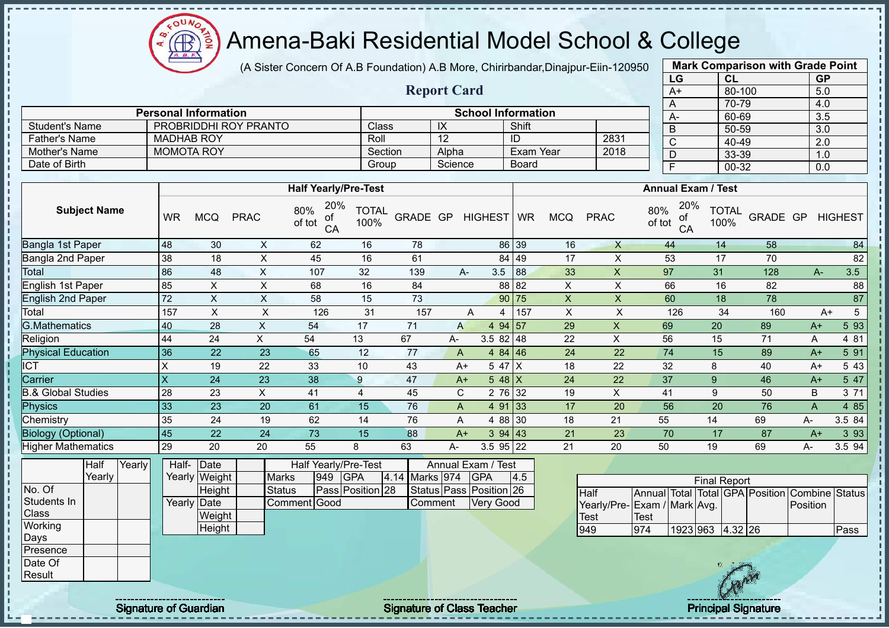(A Sister Concern Of A.B Foundation) A.B More, Chirirbandar,Dinajpur-Eiin-120950

|                                |                         |                                        |                           |                                    |                      |                |                           |                                      |                  |                 |                                                    | LG                    | <b>CL</b>                                      |                 | <b>GP</b>                 |                |
|--------------------------------|-------------------------|----------------------------------------|---------------------------|------------------------------------|----------------------|----------------|---------------------------|--------------------------------------|------------------|-----------------|----------------------------------------------------|-----------------------|------------------------------------------------|-----------------|---------------------------|----------------|
|                                |                         |                                        |                           |                                    |                      |                | <b>Report Card</b>        |                                      |                  |                 |                                                    | $A+$                  |                                                | 80-100          | 5.0                       |                |
|                                |                         |                                        |                           |                                    |                      |                |                           |                                      |                  |                 |                                                    | A                     |                                                | 70-79           | 4.0                       |                |
|                                |                         | <b>Personal Information</b>            |                           |                                    |                      |                |                           | <b>School Information</b>            |                  |                 |                                                    | $A -$                 |                                                | 60-69           | 3.5                       |                |
| <b>Student's Name</b>          |                         |                                        | PROBRIDDHI ROY PRANTO     |                                    | Class                |                | IX                        |                                      | Shift            |                 |                                                    | $\overline{B}$        |                                                | $50 - 59$       | $\overline{3.0}$          |                |
| <b>Father's Name</b>           | <b>MADHAB ROY</b>       |                                        |                           |                                    | Roll                 |                | $\overline{12}$           |                                      | ID               |                 | 2831                                               | $\overline{\text{C}}$ |                                                | $40 - 49$       | 2.0                       |                |
| Mother's Name                  |                         | <b>MOMOTA ROY</b>                      |                           |                                    | Section              |                | Alpha                     |                                      | <b>Exam Year</b> |                 | 2018                                               | D                     |                                                | 33-39           | 1.0                       |                |
| Date of Birth                  |                         |                                        |                           |                                    | Group                |                | Science                   |                                      | <b>Board</b>     |                 |                                                    | $\overline{F}$        |                                                | $00 - 32$       | 0.0                       |                |
|                                |                         |                                        |                           | <b>Half Yearly/Pre-Test</b>        |                      |                |                           |                                      |                  |                 |                                                    |                       | <b>Annual Exam / Test</b>                      |                 |                           |                |
| <b>Subject Name</b>            | <b>WR</b>               | <b>MCQ</b>                             | <b>PRAC</b>               | 20%<br>80%<br>ot<br>of tot<br>CA   | <b>TOTAL</b><br>100% | GRADE GP       |                           | <b>HIGHEST</b>                       | <b>WR</b>        | <b>MCQ</b>      | <b>PRAC</b>                                        | 80%<br>of tot         | 20%<br><b>TOTAL</b><br>оt<br>100%<br>CA        | GRADE GP        |                           | <b>HIGHEST</b> |
| Bangla 1st Paper               | 48                      | 30                                     | $\boldsymbol{\mathsf{X}}$ | 62                                 | 16                   | 78             |                           |                                      | 86 39            | 16              | $\mathsf{X}$                                       | 44                    | 14                                             | 58              |                           | 84             |
| Bangla 2nd Paper               | 38                      | 18                                     | $\boldsymbol{\mathsf{X}}$ | 45                                 | 16                   | 61             |                           |                                      | 84 49            | 17              | $\mathsf{X}$                                       | 53                    | 17                                             | 70              |                           | 82             |
| Total                          | 86                      | 48                                     | $\boldsymbol{\mathsf{X}}$ | 107                                | 32                   | 139            | A-                        | 3.5                                  | 88               | 33              | $\boldsymbol{\mathsf{X}}$                          | 97                    | 31                                             | 128             | A-                        | 3.5            |
| English 1st Paper              | 85                      | $\pmb{\times}$                         | $\pmb{\times}$            | 68                                 | 16                   | 84             |                           |                                      | 88 82            | $\pmb{\times}$  | $\mathsf X$                                        | 66                    | 16                                             | 82              |                           | 88             |
| <b>English 2nd Paper</b>       | 72                      | $\pmb{\times}$                         | $\mathsf X$               | 58                                 | 15                   | 73             |                           |                                      | 90 75            | $\mathsf X$     | $\mathsf X$                                        | 60                    | $\overline{18}$                                | $\overline{78}$ |                           | 87             |
| Total                          | 157                     | $\boldsymbol{\mathsf{X}}$              | $\sf X$                   | 126                                | 31                   | 157            |                           | A<br>4                               | 157              | $\pmb{\times}$  | $\pmb{\times}$                                     | 126                   | 34                                             | 160             | $A+$                      | 5              |
| <b>G.Mathematics</b>           | 40                      | 28                                     | $\pmb{\times}$            | 54                                 | 17                   | 71             | $\mathsf{A}$              | 4 $94 \overline{)57}$                |                  | 29              | $\mathsf X$                                        | 69                    | 20                                             | 89              | $A+$                      | 5 93           |
| Religion                       | 44                      | 24                                     | $\mathsf{X}$              | 54                                 | 13                   | 67             | $A-$                      | $3.582$ 48                           |                  | 22              | $\mathsf X$                                        | 56                    | 15                                             | 71              | $\boldsymbol{\mathsf{A}}$ | 4 81           |
| <b>Physical Education</b>      | 36                      | $\overline{22}$                        | 23                        | 65                                 | 12                   | 77             | $\mathsf{A}$              | 4 84 46                              |                  | $\overline{24}$ | $\overline{22}$                                    | $\overline{74}$       | $\overline{15}$                                | 89              | $A+$                      | 5 91           |
| $\overline{\text{CT}}$         | $\mathsf{X}$            | 19                                     | 22                        | 33                                 | 10                   | 43             | $A+$                      | 5 47 X                               |                  | 18              | 22                                                 | 32                    | $\bf 8$                                        | 40              | $A+$                      | 5 4 3          |
| Carrier                        | $\overline{\mathsf{x}}$ | $\overline{24}$                        | 23                        | 38                                 | $\overline{9}$       | 47             | $A+$                      | $548$ X                              |                  | 24              | 22                                                 | 37                    | $\overline{9}$                                 | 46              | $A+$                      | 5 47           |
| <b>B.&amp; Global Studies</b>  | 28                      | 23                                     | X                         | 41                                 | $\overline{4}$       | 45             | $\mathbf C$               | 2 76 32                              |                  | 19              | $\boldsymbol{\mathsf{X}}$                          | 41                    | $\boldsymbol{9}$                               | 50              | $\sf B$                   | 3 71           |
| <b>Physics</b>                 | 33                      | 23                                     | 20                        | 61                                 | 15                   | 76             | $\boldsymbol{\mathsf{A}}$ | 4 91 33                              |                  | 17              | 20                                                 | 56                    | $\overline{20}$                                | 76              | $\overline{A}$            | 4 8 5          |
| Chemistry                      | 35                      | 24                                     | 19                        | 62                                 | 14                   | 76             | $\boldsymbol{\mathsf{A}}$ | 4 88                                 | 30               | 18              | 21                                                 | 55                    | 14                                             | 69              | А-                        | 3.5 84         |
| <b>Biology (Optional)</b>      | 45                      | 22                                     | 24                        | 73                                 | 15                   | 88             | $A+$                      | 394 43                               |                  | 21              | 23                                                 | 70                    | 17                                             | 87              | $A+$                      | 3 9 3          |
| <b>Higher Mathematics</b>      | 29                      | $\overline{20}$                        | $\overline{20}$           | 55                                 | 8                    | 63             | А-                        | 3.5 95 22                            |                  | $\overline{21}$ | $\overline{20}$                                    | 50                    | 19                                             | 69              | А-                        | 3.594          |
| Yearly<br>Half<br>Yearly       | Half-                   | Date<br>Yearly Weight                  | <b>Marks</b>              | <b>Half Yearly/Pre-Test</b><br>949 | <b>GPA</b>           | 4.14 Marks 974 |                           | Annual Exam / Test<br><b>GPA</b>     | 4.5              |                 |                                                    |                       | <b>Final Report</b>                            |                 |                           |                |
| No. Of<br>Students In<br>Class |                         | Height<br><b>Yearly Date</b><br>Weight | <b>Status</b>             | Comment Good                       | Pass Position 28     |                | Comment                   | Status Pass Position 26<br>Very Good |                  |                 | <b>Half</b><br>Yearly/Pre-Exam / Mark Avg.<br>Test | <b>Test</b>           | Annual Total Total GPA Position Combine Status |                 | Position                  |                |
| Working                        |                         | Height                                 |                           |                                    |                      |                |                           |                                      |                  |                 | 949                                                | 974                   | 1923 963 4.32 26                               |                 |                           | Pass           |
| Days                           |                         |                                        |                           |                                    |                      |                |                           |                                      |                  |                 |                                                    |                       |                                                |                 |                           |                |
| Presence                       |                         |                                        |                           |                                    |                      |                |                           |                                      |                  |                 |                                                    |                       |                                                |                 |                           |                |
| Date Of                        |                         |                                        |                           |                                    |                      |                |                           |                                      |                  |                 |                                                    |                       |                                                |                 |                           |                |
| Result                         |                         |                                        |                           |                                    |                      |                |                           |                                      |                  |                 |                                                    |                       |                                                |                 |                           |                |

 $\bigoplus$ 

Signature of Guardian Signature of Class Teacher Principal Signature of Class Teacher Principal Signature of Class Teacher Principal Signature of Class Teacher Principal Signature of Class Teacher Principal Signature of Cl

 $\mathcal{L}$ 

**Mark Comparison with Grade Point**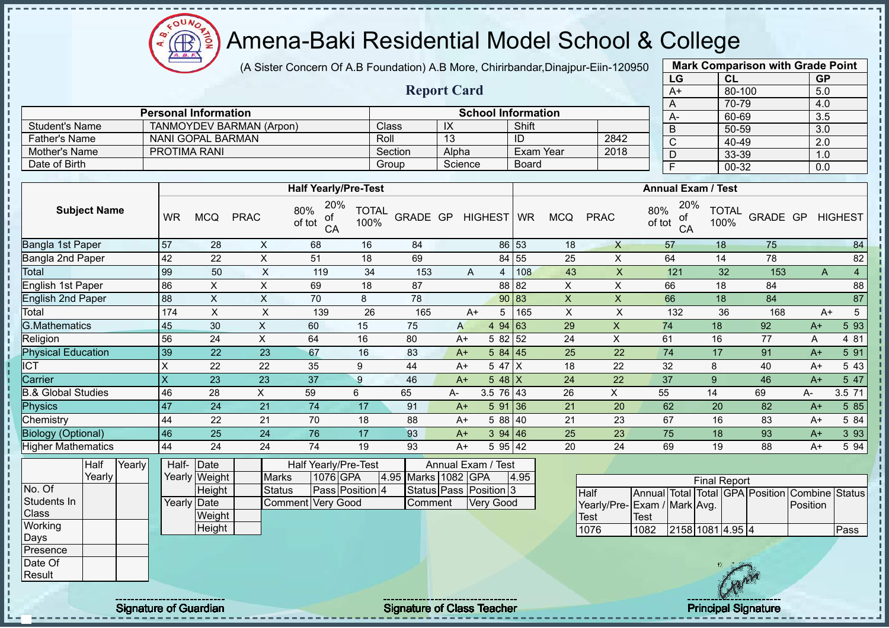(A Sister Concern Of A.B Foundation) A.B More, Chirirbandar,Dinajpur-Eiin-120950

**Report Card**

**Personal Information School Information** 

Student's Name | TANMOYDEV BARMAN (Arpon) | Class | IX | Shift

oυ Æ

|      | <b>Mark Comparison with Grade Point</b> |           |  |  |  |  |  |  |  |
|------|-----------------------------------------|-----------|--|--|--|--|--|--|--|
| LG   | <b>CL</b>                               | <b>GP</b> |  |  |  |  |  |  |  |
| $A+$ | 80-100                                  | 5.0       |  |  |  |  |  |  |  |
| A    | 70-79                                   | 4.0       |  |  |  |  |  |  |  |
| A-   | 60-69                                   | 3.5       |  |  |  |  |  |  |  |
| B    | 50-59<br>3.0                            |           |  |  |  |  |  |  |  |
| C    | 40-49                                   | 2.0       |  |  |  |  |  |  |  |
| D    | 33-39                                   | 1.0       |  |  |  |  |  |  |  |
| F    | 00-32                                   | 0.0       |  |  |  |  |  |  |  |
|      |                                         |           |  |  |  |  |  |  |  |

| <b>Father's Name</b>                       |                         | NANI GOPAL BARMAN     |                |                                  | Roll                 |                     | 13    |                    | ID        |                | 2842         | $\mathsf{C}$                     | 40-49                |          | 2.0  |                |
|--------------------------------------------|-------------------------|-----------------------|----------------|----------------------------------|----------------------|---------------------|-------|--------------------|-----------|----------------|--------------|----------------------------------|----------------------|----------|------|----------------|
| <b>Mother's Name</b>                       |                         | <b>PROTIMA RANI</b>   |                |                                  |                      | Section             | Alpha |                    |           | Exam Year      | 2018         | D                                | 33-39                |          | 1.0  |                |
| Date of Birth                              |                         |                       |                |                                  |                      | Group               |       | Science            | Board     |                |              | F                                | $00 - 32$            |          | 0.0  |                |
|                                            |                         |                       |                |                                  |                      |                     |       |                    |           |                |              |                                  |                      |          |      |                |
|                                            |                         |                       |                | <b>Half Yearly/Pre-Test</b>      |                      |                     |       |                    |           |                |              | <b>Annual Exam / Test</b>        |                      |          |      |                |
| <b>Subject Name</b>                        | <b>WR</b>               | <b>MCQ</b>            | <b>PRAC</b>    | 20%<br>80%<br>οf<br>of tot<br>CA | <b>TOTAL</b><br>100% | GRADE GP            |       | HIGHEST WR         |           | <b>MCQ</b>     | <b>PRAC</b>  | 20%<br>80%<br>0f<br>of tot<br>CA | <b>TOTAL</b><br>100% | GRADE GP |      | <b>HIGHEST</b> |
| Bangla 1st Paper                           | 57                      | 28                    | X              | 68                               | 16                   | 84                  |       |                    | 86 53     | 18             | $\mathsf{X}$ | 57                               | 18                   | 75       |      | 84             |
| Bangla 2nd Paper                           | 42                      | 22                    | X              | 51                               | 18                   | 69                  |       |                    | 84 55     | 25             | X            | 64                               | 14                   | 78       |      | 82             |
| Total                                      | 99                      | 50                    | $\mathsf X$    | 119                              | 34                   | 153                 |       | A                  | 108<br>4  | 43             | X            | 121                              | 32                   | 153      | A    | $\overline{4}$ |
| English 1st Paper                          | 86                      | X.                    | X              | 69                               | 18                   | 87                  |       |                    | 82<br>88  | X              | X            | 66                               | 18                   | 84       |      | 88             |
| <b>English 2nd Paper</b>                   | 88                      | X                     | X              | 70                               | 8                    | 78                  |       |                    | 90 83     | $\pmb{\times}$ | X            | 66                               | 18                   | 84       |      | 87             |
| Total                                      | 174                     | X                     | X              | 139                              | 26                   | 165                 |       | $A+$               | 165<br>5  | X              | X            | 132                              | 36                   | 168      |      | 5<br>$A+$      |
| <b>G.Mathematics</b>                       | 45                      | 30                    | X              | 60                               | 15                   | 75                  | A     |                    | 4 94 63   | 29             | X            | 74                               | 18                   | 92       | $A+$ | 5 93           |
| Religion                                   | 56                      | 24                    | X              | 64                               | 16                   | 80                  |       | $A+$               | 5 82 52   | 24             | X            | 61                               | 16                   | 77       | A    | 4 81           |
| <b>Physical Education</b>                  | 39                      | 22                    | 23             | 67                               | 16                   | 83                  | $A+$  |                    | 584   45  | 25             | 22           | 74                               | 17                   | 91       | $A+$ | 5 91           |
| <b>ICT</b>                                 | X                       | 22                    | 22             | 35                               | 9                    | 44                  | $A+$  |                    | 5 47 X    | 18             | 22           | 32                               | 8                    | 40       | $A+$ | 5 43           |
| Carrier                                    | $\overline{\mathsf{X}}$ | 23                    | 23             | 37                               | 9                    | 46                  |       | $A+$               | 5 48 $X$  | 24             | 22           | 37                               | $\boldsymbol{9}$     | 46       | $A+$ | 5 47           |
| <b>B.&amp; Global Studies</b>              | 46                      | 28                    | $\pmb{\times}$ | 59                               | 6                    | 65                  | A-    |                    | 3.5 76 43 | 26             | X            | 55                               | 14                   | 69       | A-   | 3.5 71         |
| Physics                                    | 47                      | 24                    | 21             | 74                               | 17                   | 91                  | $A+$  |                    | 591 36    | 21             | 20           | 62                               | 20                   | 82       | $A+$ | 5 8 5          |
| Chemistry                                  | 44                      | 22                    | 21             | 70                               | 18                   | 88                  |       | $A+$               | 5 88 40   | 21             | 23           | 67                               | 16                   | 83       | $A+$ | 5 84           |
| <b>Biology (Optional)</b>                  | 46                      | 25                    | 24             | 76                               | 17                   | 93                  | $A+$  |                    | 394   46  | 25             | 23           | 75                               | 18                   | 93       | $A+$ | 3 9 3          |
| <b>Higher Mathematics</b>                  | 44                      | 24                    | 24             | 74                               | 19                   | 93                  |       | $A+$               | 5 95 42   | 20             | 24           | 69                               | 19                   | 88       | $A+$ | 5 94           |
| $\overline{\text{Year}}$<br>Half<br>Yearly | Half-                   | Date<br>Yearly Weight | <b>Marks</b>   | Half Yearly/Pre-Test<br>1076 GPA |                      | 4.95 Marks 1082 GPA |       | Annual Exam / Test | 4.95      |                |              |                                  | <b>Einal Donart</b>  |          |      |                |

|             | Yearly |  | Yearly Weight       | <b>Marks</b>      | 1076 GPA        | 4.95 Marks 1082 GPA |                        | 4.95 |                              |             |                  | <b>Final Report</b> |                                                |      |
|-------------|--------|--|---------------------|-------------------|-----------------|---------------------|------------------------|------|------------------------------|-------------|------------------|---------------------|------------------------------------------------|------|
| No. Of      |        |  | Height              | <b>Status</b>     | Pass Position 4 |                     | Status Pass Position 3 |      | <b>Half</b>                  |             |                  |                     | Annual Total Total GPA Position Combine Status |      |
| Students In |        |  | Yearly <b>D</b> ate | Comment Very Good |                 | Comment             | Very Good              |      | Yearly/Pre- Exam / Mark Avg. |             |                  |                     | Position                                       |      |
| Class       |        |  | Weight              |                   |                 |                     |                        |      | Test                         | <b>Test</b> |                  |                     |                                                |      |
| Working     |        |  | Height              |                   |                 |                     |                        |      | 1076                         | 1082        | 2158 1081 4.95 4 |                     |                                                | Pass |
| Days        |        |  |                     |                   |                 |                     |                        |      |                              |             |                  |                     |                                                |      |
| Presence    |        |  |                     |                   |                 |                     |                        |      |                              |             |                  |                     |                                                |      |
| Date Of     |        |  |                     |                   |                 |                     |                        |      |                              |             |                  |                     |                                                |      |
| Result      |        |  |                     |                   |                 |                     |                        |      |                              |             |                  | CAN                 |                                                |      |
|             |        |  |                     |                   |                 |                     |                        |      |                              |             |                  |                     |                                                |      |

Signature of Guardian Signature of Class Teacher Principal Signature of Guardian Signature of Class Teacher Principal Signature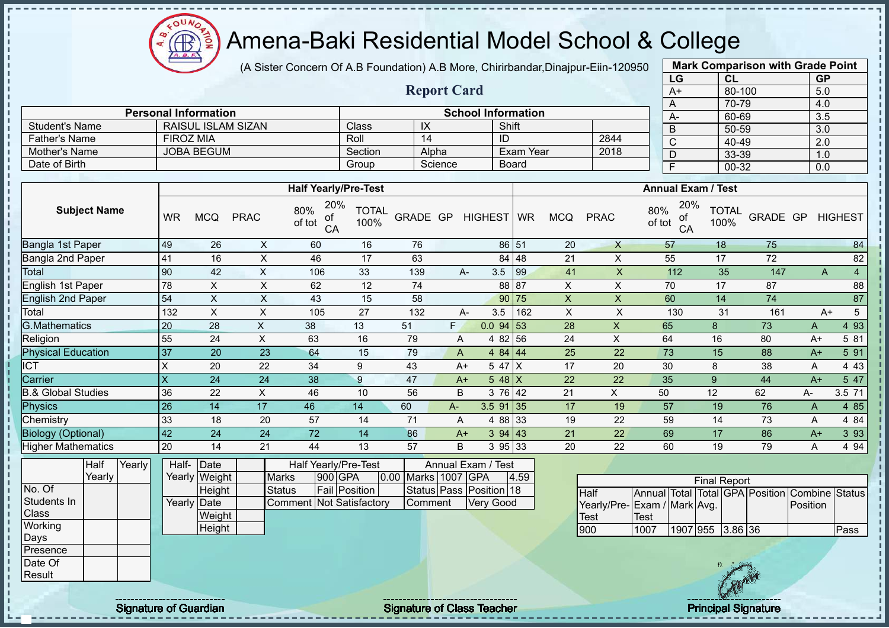$\Omega$ **AR** 

# Amena-Baki Residential Model School & College

(A Sister Concern Of A.B Foundation) A.B More, Chirirbandar,Dinajpur-Eiin-120950

**Report Card**

| <b>Mark Comparison with Grade Point</b><br>LG |           |  |  |  |  |  |  |  |  |  |
|-----------------------------------------------|-----------|--|--|--|--|--|--|--|--|--|
| CL                                            | <b>GP</b> |  |  |  |  |  |  |  |  |  |
| 80-100                                        | 5.0       |  |  |  |  |  |  |  |  |  |
| 70-79<br>4.0<br>A                             |           |  |  |  |  |  |  |  |  |  |
| 60-69                                         | 3.5       |  |  |  |  |  |  |  |  |  |
| 50-59                                         | 3.0       |  |  |  |  |  |  |  |  |  |
| 40-49                                         | 2.0       |  |  |  |  |  |  |  |  |  |
| 33-39                                         | 1.0       |  |  |  |  |  |  |  |  |  |
| 00-32                                         | 0.0       |  |  |  |  |  |  |  |  |  |
|                                               |           |  |  |  |  |  |  |  |  |  |

|                      | <b>Personal Information</b> |         |         | <b>School Information</b> |      | $A-$ |
|----------------------|-----------------------------|---------|---------|---------------------------|------|------|
| ∂Student's Name      | RAISUL ISLAM SIZAN          | Class   | IX      | Shift                     |      |      |
| <b>Father's Name</b> | FIROZ MIA                   | Roll    | 14      | ID                        | 2844 |      |
| Mother's Name        | JOBA BEGUM                  | Section | Alpha   | Exam Year                 | 2018 |      |
| Date of Birth        |                             | Group   | Science | <b>Board</b>              |      |      |

|                           |                         |            |             | <b>Half Yearly/Pre-Test</b>      |                      |          |      | <b>Annual Exam / Test</b> |       |            |             |                                  |                      |          |       |                |
|---------------------------|-------------------------|------------|-------------|----------------------------------|----------------------|----------|------|---------------------------|-------|------------|-------------|----------------------------------|----------------------|----------|-------|----------------|
| <b>Subject Name</b>       | <b>WR</b>               | <b>MCQ</b> | <b>PRAC</b> | 20%<br>80%<br>οf<br>of tot<br>CA | <b>TOTAL</b><br>100% | GRADE GP |      | HIGHEST WR                |       | <b>MCQ</b> | <b>PRAC</b> | 20%<br>80%<br>οf<br>of tot<br>CA | <b>TOTAL</b><br>100% | GRADE GP |       | <b>HIGHEST</b> |
| Bangla 1st Paper          | 49                      | 26         | X           | 60                               | 16                   | 76       |      | 86 51                     |       | 20         | $\times$    | 57                               | 18                   | 75       |       | 84             |
| Bangla 2nd Paper          | 41                      | 16         | X           | 46                               | 17                   | 63       |      |                           | 84 48 | 21         | X           | 55                               | 17                   | 72       |       | 82             |
| Total                     | 90                      | 42         | X           | 106                              | 33                   | 139      |      | 3.5<br>$A-$               | 99    | 41         | X           | 112                              | 35                   | 147      |       | 4<br>Α         |
| English 1st Paper         | 78                      | X          | X           | 62                               | 12                   | 74       |      |                           | 88 87 | X          | X           | 70                               | 17                   | 87       |       | 88             |
| <b>English 2nd Paper</b>  | 54                      | X          | X           | 43                               | 15                   | 58       |      |                           | 90 75 | X          | X           | 60                               | 14                   | 74       |       | 87             |
| Total                     | 132                     | X          | X           | 105                              | 27                   | 132      |      | 3.5<br>A-                 | 162   | Χ          | X           | 130                              | 31                   | 161      |       | 5<br>A+        |
| <b>G.Mathematics</b>      | 20                      | 28         | X           | 38                               | 13                   | 51       | F.   | $0.0$ 94 53               |       | 28         | X           | 65                               | 8                    | 73       | A     | 4 9 3          |
| Religion                  | 55                      | 24         | X.          | 63                               | 16                   | 79       | A    | 4 82 56                   |       | 24         | X           | 64                               | 16                   | 80       | $A+$  | 5 81           |
| <b>Physical Education</b> | 37                      | 20         | 23          | 64                               | 15                   | 79       | A    | 4 84 44                   |       | 25         | 22          | 73                               | 15                   | 88       | $A+$  | 5 91           |
| <b>CT</b>                 | X                       | 20         | 22          | 34                               | 9                    | 43       | $A+$ | 5 47 X                    |       | 17         | 20          | 30                               | 8                    | 38       | A     | 4 4 3          |
| Carrier                   | $\overline{\mathsf{x}}$ | 24         | 24          | 38                               | 9                    | 47       | $A+$ | $5.48$ X                  |       | 22         | 22          | 35                               | 9                    | 44       | $A+$  | 5 47           |
| 3.& Global Studies        | 36                      | 22         | X           | 46                               | 10                   | 56       | B    | 3 76 42                   |       | 21         | X           | 50                               | 12                   | 62       | $A -$ | 3.5 71         |
| Physics                   | 26                      | 14         | 17          | 46                               | 14                   | 60       | A-   | $3.5$ 91 35               |       | 17         | 19          | 57                               | 19                   | 76       | A     | 4 8 5          |
| Chemistry                 | 33                      | 18         | 20          | 57                               | 14                   | 71       | A    | 4 88 33                   |       | 19         | 22          | 59                               | 14                   | 73       | A     | 4 84           |
| <b>Biology (Optional)</b> | 42                      | 24         | 24          | 72                               | 14                   | 86       | $A+$ | 394   43                  |       | 21         | 22          | 69                               | 17                   | 86       | $A+$  | 3 9 3          |
| <b>Higher Mathematics</b> | 20                      | 14         | 21          | 44                               | 13                   | 57       | B    | 3 95 33                   |       | 20         | 22          | 60                               | 19                   | 79       | A     | 4 9 4          |

|                 | Half   | Yearly | Half-       | Date          |                                 | Half Yearly/Pre-Test |  | Annual Exam / Test  |  |                         |      |  |  |
|-----------------|--------|--------|-------------|---------------|---------------------------------|----------------------|--|---------------------|--|-------------------------|------|--|--|
|                 | Yearlv |        |             | Yearly Weight | <b>Marks</b>                    | 900 GPA              |  | 0.00 Marks 1007 GPA |  |                         | 4.59 |  |  |
| No. Of          |        |        |             | Height        | <b>Status</b>                   | <b>Fail Position</b> |  |                     |  | Status Pass Position 18 |      |  |  |
| Students In     |        |        | Yearly Date |               | <b>Comment Not Satisfactory</b> |                      |  | Comment             |  | <b>Very Good</b>        |      |  |  |
| <b>Class</b>    |        |        |             | Weight        |                                 |                      |  |                     |  |                         |      |  |  |
| Working         |        |        |             | Height        |                                 |                      |  |                     |  |                         |      |  |  |
| Days            |        |        |             |               |                                 |                      |  |                     |  |                         |      |  |  |
| <b>Presence</b> |        |        |             |               |                                 |                      |  |                     |  |                         |      |  |  |
| Date Of         |        |        |             |               |                                 |                      |  |                     |  |                         |      |  |  |
| Result          |        |        |             |               |                                 |                      |  |                     |  |                         |      |  |  |

|                              |             |                  | <b>Final Report</b> |  |                                                |      |
|------------------------------|-------------|------------------|---------------------|--|------------------------------------------------|------|
| <b>I</b> Half                |             |                  |                     |  | Annual Total Total GPA Position Combine Status |      |
| Yearly/Pre- Exam / Mark Avg. |             |                  |                     |  | Position                                       |      |
| Test                         | <b>Test</b> |                  |                     |  |                                                |      |
| 900                          | 1007        | 1907 955 3.86 36 |                     |  |                                                | Pass |

J.  $\mathbf{I}$  $\mathbf{I}$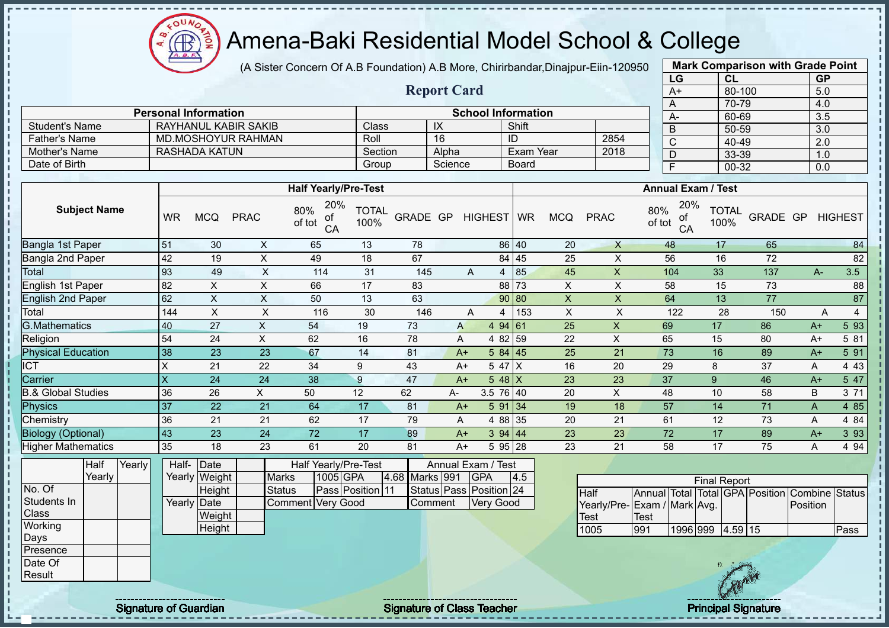$\Omega$ **AR** 

# Amena-Baki Residential Model School & College

(A Sister Concern Of A.B Foundation) A.B More, Chirirbandar,Dinajpur-Eiin-120950

**Report Card**

|      | <b>Mark Comparison with Grade Point</b> |           |  |  |  |  |  |  |  |  |  |
|------|-----------------------------------------|-----------|--|--|--|--|--|--|--|--|--|
| LG   | CL                                      | <b>GP</b> |  |  |  |  |  |  |  |  |  |
| $A+$ | 80-100                                  | 5.0       |  |  |  |  |  |  |  |  |  |
| A    | 70-79                                   | 4.0       |  |  |  |  |  |  |  |  |  |
| A-   | 60-69                                   | 3.5       |  |  |  |  |  |  |  |  |  |
| B    | 50-59                                   | 3.0       |  |  |  |  |  |  |  |  |  |
| C    | 40-49                                   | 2.0       |  |  |  |  |  |  |  |  |  |
| D    | 33-39                                   | 1.0       |  |  |  |  |  |  |  |  |  |
| F    | $00 - 32$                               | 0.0       |  |  |  |  |  |  |  |  |  |
|      |                                         |           |  |  |  |  |  |  |  |  |  |

|                       | <b>Personal Information</b> |         |         | <b>School Information</b> |      |
|-----------------------|-----------------------------|---------|---------|---------------------------|------|
| <b>Student's Name</b> | RAYHANUL KABIR SAKIB        | Class   | IX      | Shift                     |      |
| Father's Name         | MD MOSHOYUR RAHMAN          | Roll    | 16      |                           | 2854 |
| Mother's Name         | RASHADA KATUN               | Section | Alpha   | Exam Year                 | 2018 |
| Date of Birth         |                             | Group   | Science | <b>Board</b>              |      |

|                           |                           |     |             | <b>Half Yearly/Pre-Test</b>      |                      |          |    | <b>Annual Exam / Test</b> |             |     |            |             |                                  |                      |          |       |                |
|---------------------------|---------------------------|-----|-------------|----------------------------------|----------------------|----------|----|---------------------------|-------------|-----|------------|-------------|----------------------------------|----------------------|----------|-------|----------------|
| <b>Subject Name</b>       | WR                        | MCQ | <b>PRAC</b> | 20%<br>80%<br>οf<br>of tot<br>CA | <b>TOTAL</b><br>100% | GRADE GP |    |                           | HIGHEST WR  |     | <b>MCQ</b> | <b>PRAC</b> | 20%<br>80%<br>οf<br>of tot<br>CA | <b>TOTAL</b><br>100% | GRADE GP |       | <b>HIGHEST</b> |
| Bangla 1st Paper          | 51                        | 30  | X           | 65                               | 13                   | 78       |    |                           | 86 40       |     | 20         | X           | 48                               | 17                   | 65       |       | 84             |
| Bangla 2nd Paper          | 42                        | 19  | X           | 49                               | 18                   | 67       |    |                           | 84 45       |     | 25         | X           | 56                               | 16                   | 72       |       | 82             |
| Total                     | 93                        | 49  | X           | 114                              | 31                   | 145      |    | A                         | 4           | 85  | 45         | X           | 104                              | 33                   | 137      | $A -$ | 3.5            |
| English 1st Paper         | 82                        | X   | X           | 66                               | 17                   | 83       |    |                           | 88 73       |     | X          | X           | 58                               | 15                   | 73       |       | 88             |
| <b>English 2nd Paper</b>  | 62                        | X   | X           | 50                               | 13                   | 63       |    |                           | 90 80       |     | X          | X           | 64                               | 13                   | 77       |       | 87             |
| Total                     | 144                       | X   | X           | 116                              | 30                   | 146      |    | A                         | 4           | 153 | X          | X           | 122                              | 28                   | 150      |       | 4<br>Α         |
| <b>G.Mathematics</b>      | 40                        | 27  | X           | 54                               | 19                   | 73       | A  |                           | 4 94 61     |     | 25         | X           | 69                               | 17                   | 86       | $A+$  | 5 93           |
| Religion                  | 54                        | 24  | X           | 62                               | 16                   | 78       | A  |                           | 4 82 59     |     | 22         | X           | 65                               | 15                   | 80       | $A+$  | 5 81           |
| <b>Physical Education</b> | 38                        | 23  | 23          | 67                               | 14                   | 81       |    | $A+$                      | 584   45    |     | 25         | 21          | 73                               | 16                   | 89       | $A+$  | 5 91           |
| <b>ICT</b>                | X                         | 21  | 22          | 34                               | 9                    | 43       |    | A+                        | 5 47        | Iχ  | 16         | 20          | 29                               | 8                    | 37       | Α     | 4 4 3          |
| Carrier                   | $\boldsymbol{\mathsf{X}}$ | 24  | 24          | 38                               | 9                    | 47       |    | $A+$                      | 5 48 $X$    |     | 23         | 23          | 37                               | 9                    | 46       | $A+$  | 5 47           |
| & Global Studies          | 36                        | 26  | X.          | 50                               | 12                   | 62       | А- |                           | $3.5$ 76 40 |     | 20         | X           | 48                               | 10                   | 58       | B     | 3 71           |
| <b>Physics</b>            | 37                        | 22  | 21          | 64                               | 17                   | 81       |    | $A+$                      | 591 34      |     | 19         | 18          | 57                               | 14                   | 71       | A     | 4 8 5          |
| Chemistry                 | 36                        | 21  | 21          | 62                               | 17                   | 79       | A  |                           | 4 88 35     |     | 20         | 21          | 61                               | 12                   | 73       | Α     | 4 8 4          |
| <b>Biology (Optional)</b> | 43                        | 23  | 24          | 72                               | 17                   | 89       |    | $A+$                      | 394   44    |     | 23         | 23          | 72                               | 17                   | 89       | $A+$  | 3 9 3          |
| <b>Higher Mathematics</b> | 35                        | 18  | 23          | 61                               | 20                   | 81       |    | $A+$                      | 5 95 28     |     | 23         | 21          | 58                               | 17                   | 75       | A     | 4 9 4          |

|              | Half   | Yearly | Half-       | Date          |                   | Half Yearly/Pre-Test |                | Annual Exam / Test      |     |
|--------------|--------|--------|-------------|---------------|-------------------|----------------------|----------------|-------------------------|-----|
|              | Yearlv |        |             | Yearly Weight | <b>Marks</b>      | 1005 GPA             | 4.68 Marks 991 | <b>IGPA</b>             | 4.5 |
| No. Of       |        |        |             | Height        | <b>Status</b>     | Pass Position 11     |                | Status Pass Position 24 |     |
| Students In  |        |        | Yearly Date |               | Comment Very Good |                      | Comment        | <b>Very Good</b>        |     |
| <b>Class</b> |        |        |             | Weight        |                   |                      |                |                         |     |
| Working      |        |        |             | Height        |                   |                      |                |                         |     |
| Days         |        |        |             |               |                   |                      |                |                         |     |
| Presence     |        |        |             |               |                   |                      |                |                         |     |
| Date Of      |        |        |             |               |                   |                      |                |                         |     |
| Result       |        |        |             |               |                   |                      |                |                         |     |

| <b>Final Report</b>         |      |                     |  |  |  |                                                |      |  |  |  |  |  |
|-----------------------------|------|---------------------|--|--|--|------------------------------------------------|------|--|--|--|--|--|
| <b>I</b> Half               |      |                     |  |  |  | Annual Total Total GPA Position Combine Status |      |  |  |  |  |  |
| Yearly/Pre-Exam / Mark Avg. |      |                     |  |  |  | <b>IPosition</b>                               |      |  |  |  |  |  |
| <b>I</b> Test               | Test |                     |  |  |  |                                                |      |  |  |  |  |  |
| 1005                        | 991  | 1996 999  4.59   15 |  |  |  |                                                | Pass |  |  |  |  |  |

Signature of Guardian Signature of Class Teacher Number of Class Teacher Principal Signature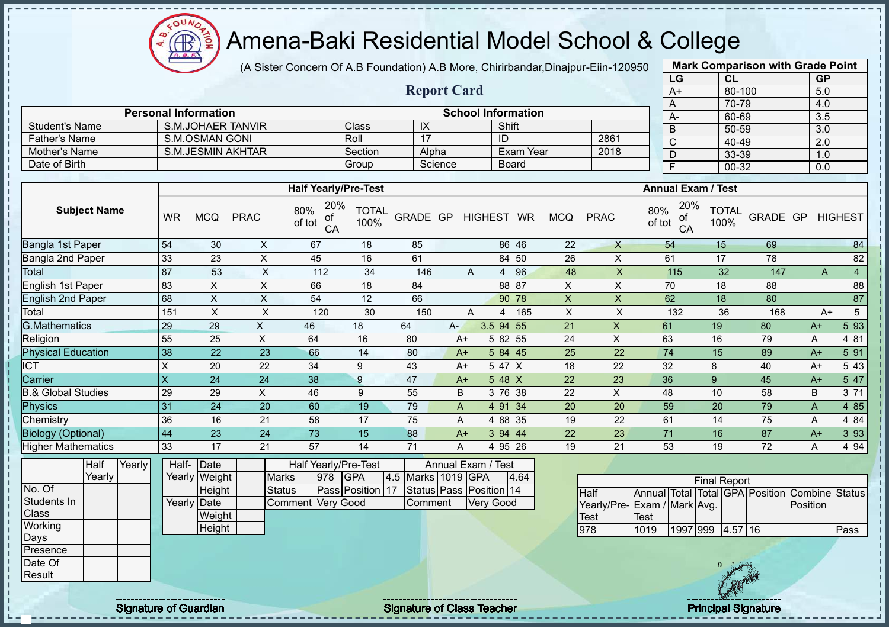$\Omega$ **AB** 

# Amena-Baki Residential Model School & College

(A Sister Concern Of A.B Foundation) A.B More, Chirirbandar,Dinajpur-Eiin-120950

**Report Card**

| <b>Mark Comparison with Grade Point</b> |        |           |  |  |  |  |  |  |  |  |
|-----------------------------------------|--------|-----------|--|--|--|--|--|--|--|--|
| LG                                      | CL     | <b>GP</b> |  |  |  |  |  |  |  |  |
| $\overline{A+}$                         | 80-100 | 5.0       |  |  |  |  |  |  |  |  |
| A                                       | 70-79  | 4.0       |  |  |  |  |  |  |  |  |
| A-                                      | 60-69  | 3.5       |  |  |  |  |  |  |  |  |
| B                                       | 50-59  | 3.0       |  |  |  |  |  |  |  |  |
| $\overline{\text{c}}$                   | 40-49  | 2.0       |  |  |  |  |  |  |  |  |
| D                                       | 33-39  | 1.0       |  |  |  |  |  |  |  |  |
| F                                       | 00-32  | 0.0       |  |  |  |  |  |  |  |  |
|                                         |        |           |  |  |  |  |  |  |  |  |

|                       | <b>Personal Information</b> |         | $A-$    |           |      |  |
|-----------------------|-----------------------------|---------|---------|-----------|------|--|
| <b>Student's Name</b> | S.M.JOHAER TANVIR           | Class   | ᠕       | Shift     |      |  |
| <b>Father's Name</b>  | S.M.OSMAN GONI              | Roll    |         | ID        | 2861 |  |
| Mother's Name         | S.M.JESMIN AKHTAR           | Section | Alpha   | Exam Year | 2018 |  |
| Date of Birth         |                             | Group   | Science | Board     |      |  |

|                               |           |            |             | <b>Half Yearly/Pre-Test</b>      |               |          |     |            |             | <b>Annual Exam / Test</b> |            |             |                                  |                      |          |      |                       |
|-------------------------------|-----------|------------|-------------|----------------------------------|---------------|----------|-----|------------|-------------|---------------------------|------------|-------------|----------------------------------|----------------------|----------|------|-----------------------|
| <b>Subject Name</b>           | <b>WR</b> | <b>MCQ</b> | <b>PRAC</b> | 20%<br>80%<br>οf<br>of tot<br>CA | TOTAL<br>100% | GRADE GP |     | HIGHEST WR |             |                           | <b>MCQ</b> | <b>PRAC</b> | 20%<br>80%<br>οf<br>of tot<br>CA | <b>TOTAL</b><br>100% | GRADE GP |      | <b>HIGHEST</b>        |
| Bangla 1st Paper              | 54        | 30         | X           | 67                               | 18            | 85       |     |            | 86 46       |                           | 22         | X           | 54                               | 15                   | 69       |      | 84                    |
| Bangla 2nd Paper              | 33        | 23         | X           | 45                               | 16            | 61       |     |            | 84 50       |                           | 26         | X           | 61                               | 17                   | 78       |      | 82                    |
| Total                         | 87        | 53         | X           | 112                              | 34            | 146      |     | A          | 4           | 96                        | 48         | X           | 115                              | 32                   | 147      |      | 4<br>A                |
| English 1st Paper             | 83        | $\times$   | X           | 66                               | 18            | 84       |     |            | 88 87       |                           | X          | X           | 70                               | 18                   | 88       |      | 88                    |
| English 2nd Paper             | 68        | X          | X           | 54                               | 12            | 66       |     |            | 90 78       |                           | X          | X           | 62                               | 18                   | 80       |      | 87                    |
| Total                         | 151       | X          | X           | 120                              | 30            | 150      |     | A          | 4           | 165                       | X          | X           | 132                              | 36                   | 168      |      | $5\phantom{.0}$<br>A+ |
| <b>G.Mathematics</b>          | 29        | 29         | X           | 46                               | 18            | 64       | A-. |            | $3.5$ 94 55 |                           | 21         | X           | 61                               | 19                   | 80       | $A+$ | 5 93                  |
| Religion                      | 55        | 25         | X           | 64                               | 16            | 80       |     | $A+$       | 5 82 55     |                           | 24         | X           | 63                               | 16                   | 79       | A    | 4 81                  |
| <b>Physical Education</b>     | 38        | 22         | 23          | 66                               | 14            | 80       |     | $A+$       | 584 45      |                           | 25         | 22          | 74                               | 15                   | 89       | $A+$ | 5 91                  |
| <b>ICT</b>                    | X         | 20         | 22          | 34                               | 9             | 43       |     | $A+$       | 5 47 X      |                           | 18         | 22          | 32                               | 8                    | 40       | $A+$ | 5 43                  |
| Carrier                       | X         | 24         | 24          | 38                               | 9             | 47       |     | $A+$       | $548$ $X$   |                           | 22         | 23          | 36                               | 9                    | 45       | $A+$ | 5 47                  |
| <b>B.&amp; Global Studies</b> | 29        | 29         | X           | 46                               | 9             | 55       |     | B          | 3 76 38     |                           | 22         | X           | 48                               | 10                   | 58       | B    | 3 71                  |
| Physics                       | 31        | 24         | 20          | 60                               | 19            | 79       |     | A          | 4 91 34     |                           | 20         | 20          | 59                               | 20                   | 79       | A    | 4 8 5                 |
| Chemistry                     | 36        | 16         | 21          | 58                               | 17            | 75       |     | A          | 4 88 35     |                           | 19         | 22          | 61                               | 14                   | 75       | Α    | 4 8 4                 |
| <b>Biology (Optional)</b>     | 44        | 23         | 24          | 73                               | 15            | 88       |     | $A+$       | 394   44    |                           | 22         | 23          | 71                               | 16                   | 87       | $A+$ | 3 9 3                 |
| <b>Higher Mathematics</b>     | 33        | 17         | 21          | 57                               | 14            | 71       |     | A          | 4 95 26     |                           | 19         | 21          | 53                               | 19                   | 72       | А    | 4 9 4                 |

|             | Half   | Yearly | Half-       | Date          |                     |     | Half Yearly/Pre-Test |                    | Annual Exam / Test      |      |
|-------------|--------|--------|-------------|---------------|---------------------|-----|----------------------|--------------------|-------------------------|------|
|             | Yearly |        |             | Yearly Weight | <b>Marks</b>        | 978 | <b>IGPA</b>          | 4.5 Marks 1019 GPA |                         | 4.64 |
| No. Of      |        |        |             | Height        | <b>Status</b>       |     | Pass Position 17     |                    | Status Pass Position 14 |      |
| Students In |        |        | Yearly Date |               | Comment   Very Good |     |                      | Comment            | <b>Very Good</b>        |      |
| Class       |        |        |             | Weight        |                     |     |                      |                    |                         |      |
| Working     |        |        |             | Height        |                     |     |                      |                    |                         |      |
| Days        |        |        |             |               |                     |     |                      |                    |                         |      |
| Presence    |        |        |             |               |                     |     |                      |                    |                         |      |
| Date Of     |        |        |             |               |                     |     |                      |                    |                         |      |
| Result      |        |        |             |               |                     |     |                      |                    |                         |      |

|                             |      |          | <b>Final Report</b> |         |                                                |      |
|-----------------------------|------|----------|---------------------|---------|------------------------------------------------|------|
| <b>Half</b>                 |      |          |                     |         | Annual Total Total GPA Position Combine Status |      |
| Yearly/Pre-Exam / Mark Avg. |      |          |                     |         | <b>IPosition</b>                               |      |
| Test                        | Test |          |                     |         |                                                |      |
| 1978                        | 1019 | 1997 999 |                     | 4.57 16 |                                                | Pass |

j. J.  $\mathbf I$  $\mathbf{I}$ j  $\mathbf I$ 

Signature of Guardian Signature of Class Teacher Principal Signature of Class Teacher Principal Signature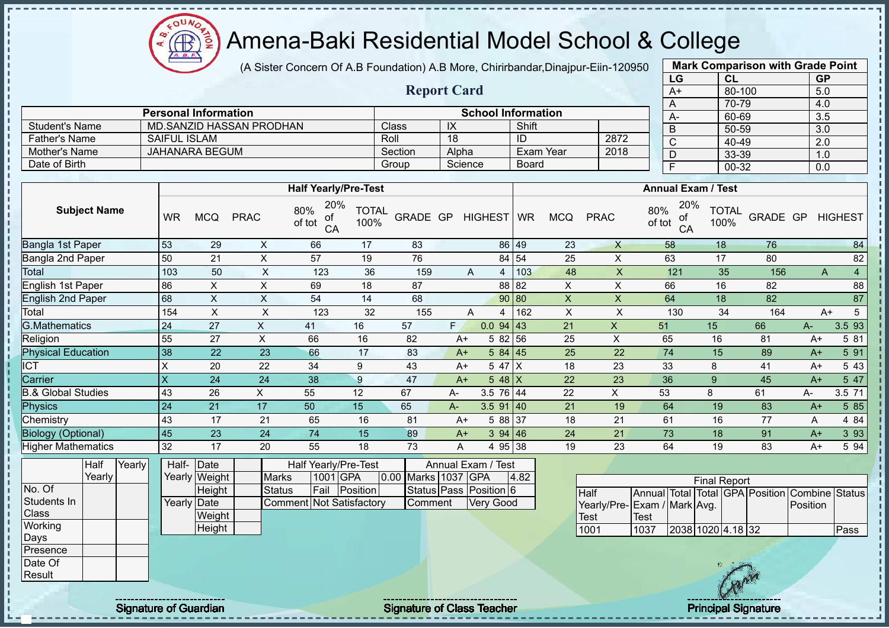(A Sister Concern Of A.B Foundation) A.B More, Chirirbandar,Dinajpur-Eiin-120950

|                                  |                                  |                    |                           |                |               | LG                        | CL                   |          | <b>GP</b> |                |
|----------------------------------|----------------------------------|--------------------|---------------------------|----------------|---------------|---------------------------|----------------------|----------|-----------|----------------|
|                                  |                                  | <b>Report Card</b> |                           |                |               | $A+$                      | 80-100               |          | 5.0       |                |
|                                  |                                  |                    |                           |                |               | A                         | 70-79                |          | 4.0       |                |
|                                  |                                  |                    | <b>School Information</b> |                |               | $A-$                      | 60-69                |          | 3.5       |                |
| <b>JAN</b>                       | Class                            | IX                 | Shift                     |                |               | B                         | 50-59                |          | 3.0       |                |
|                                  | Roll                             | 18                 | ID                        | 2872           |               | C                         | $40 - 49$            |          | 2.0       |                |
|                                  | Section                          | Alpha              | Exam Year                 | 2018           |               | D                         | 33-39                |          | 1.0       |                |
|                                  | Group                            | Science            | <b>Board</b>              |                |               | F                         | 00-32                |          | 0.0       |                |
|                                  |                                  |                    |                           |                |               |                           |                      |          |           |                |
| <b>Half Yearly/Pre-Test</b>      |                                  |                    |                           |                |               | <b>Annual Exam / Test</b> |                      |          |           |                |
| 20%<br>80%<br>of<br>of tot<br>CA | <b>TOTAL</b><br>GRADE GP<br>100% | HIGHEST WR         | <b>MCQ</b>                | <b>PRAC</b>    | 80%<br>of tot | 20%<br>0f<br>CA           | <b>TOTAL</b><br>100% | GRADE GP |           | <b>HIGHEST</b> |
| 66                               | 83<br>17                         | 86                 | 49                        | 23<br>X        |               | 58                        | 18                   | 76       |           | 84             |
| 57                               | 19<br>76                         | 84                 | 54                        | 25<br>X        |               | 63                        | 17                   | 80       |           | 82             |
| 123                              | 36<br>159                        | 4<br>A             | 103                       | $\times$<br>48 |               | 121                       | 35                   | 156      | A         | $\overline{4}$ |
| 69                               | 18<br>87                         | 88                 | 82                        | X<br>X         |               | 66                        | 16                   | 82       |           | 88             |
| 54                               | 14<br>68                         | 90                 | 80                        | $\times$<br>X  |               | 64                        | 18                   | 82       |           | 87             |
| 123                              | 32<br>155                        | 4<br>Α             | 162                       | X<br>X         |               | 130                       | 34                   | 164      | A+        | 5              |
| 16<br>41                         | 57                               | 0.094<br>F.        | 43                        | 21<br>X.       |               | 51                        | 15                   | 66       | $A -$     | 3.5 93         |
| 16<br>66                         | 82                               | 5 82<br>$A+$       | 56                        | 25<br>X        |               | 65                        | 16                   | 81       | $A+$      | 5 81           |
| 66<br>17                         | 83                               | 5 84<br>$A+$       | 45                        | 25<br>22       |               | 74                        | 15                   | 89       | $A+$      | 5 91           |
| 9<br>34                          | 43                               | 5 47<br>$A+$       | ΙX                        | 23<br>18       |               | 33                        | 8                    | 41       | $A+$      | 5 4 3          |
| 38<br>9                          | 47                               | 5 48 X<br>$A+$     |                           | 22<br>23       |               | 36                        | 9                    | 45       | $A+$      | 5 47           |

|                      | <b>Personal Information</b> |         |            | <b>School Information</b> |      | $A-$           |
|----------------------|-----------------------------|---------|------------|---------------------------|------|----------------|
| Student's Name       | MD.SANZID HASSAN PRODHAN    | Class   | $\sqrt{ }$ | Shift                     |      | $\overline{B}$ |
| <b>Father's Name</b> | SAIFUL ISLAM                | Roll    | 18         |                           | 2872 |                |
| Mother's Name        | JAHANARA BEGUM              | Section | Alpha      | Exam Year                 | 2018 |                |
| Date of Birth        |                             | Group   | Science    | Board                     |      |                |

| Subject Name                  |        | <b>WR</b>    | <b>MCQ</b>    | <b>PRAC</b>    | 80%<br>оf<br>of tot<br>CA       | TUTAL<br>100% | GRADE GP            |      | HIGHEST WR             |       | <b>MCQ</b>                | <b>PRAC</b>                 | 80%<br>of tot | оf<br>CA | TUTAL<br>100%       | GRADE GP                                |          | <b>HIGHEST</b>        |
|-------------------------------|--------|--------------|---------------|----------------|---------------------------------|---------------|---------------------|------|------------------------|-------|---------------------------|-----------------------------|---------------|----------|---------------------|-----------------------------------------|----------|-----------------------|
| Bangla 1st Paper              |        | 53           | 29            | X              | 66                              | 17            | 83                  |      |                        | 86 49 | 23                        | X                           |               | 58       | 18                  | 76                                      |          | 84                    |
| Bangla 2nd Paper              |        | 50           | 21            | $\times$       | 57                              | 19            | 76                  |      |                        | 84 54 | 25                        | X                           |               | 63       | 17                  | 80                                      |          | 82                    |
| Total                         |        | 103          | 50            | X              | 123                             | 36            | 159                 |      | A<br>Δ                 | 103   | 48                        | $\mathsf{X}$                |               | 121      | 35                  | 156                                     |          | $\overline{4}$<br>A   |
| English 1st Paper             |        | 86           | Χ             | $\pmb{\times}$ | 69                              | 18            | 87                  |      |                        | 88 82 | X                         | X                           |               | 66       | 16                  | 82                                      |          | 88                    |
| <b>English 2nd Paper</b>      |        | 68           | X.            | $\mathsf X$    | 54                              | 14            | 68                  |      |                        | 90 80 | $\mathsf X$               | $\mathsf{X}$                |               | 64       | 18                  | 82                                      |          | 87                    |
| Total                         |        | 154          | X             | X              | 123                             | 32            | 155                 |      | A<br>4                 | 162   | $\boldsymbol{\mathsf{X}}$ | X                           |               | 130      | 34                  | 164                                     |          | $5\phantom{.0}$<br>A+ |
| <b>G.Mathematics</b>          |        | 24           | 27            | X              | 41                              | 16            | 57                  | F.   | $0.0$ 94 43            |       | 21                        | $\pmb{\times}$              | 51            |          | 15                  | 66                                      | A-       | 3.5 93                |
| Religion                      |        | 55           | 27            | X              | 66                              | 16            | 82                  | $A+$ | 5 82 56                |       | 25                        | X                           | 65            |          | 16                  | 81                                      | $A+$     | 5 81                  |
| <b>Physical Education</b>     |        | 38           | 22            | 23             | 66                              | 17            | 83                  | $A+$ | 584   45               |       | 25                        | 22                          | 74            |          | 15                  | 89                                      | $A+$     | 5 91                  |
| <b>ICT</b>                    |        | X            | 20            | 22             | 34                              | 9             | 43                  | $A+$ | 5 47 X                 |       | 18                        | 23                          | 33            |          | 8                   | 41                                      | $A+$     | 5 4 3                 |
| Carrier                       |        | $\mathsf{X}$ | 24            | 24             | 38                              | 9             | 47                  | $A+$ | $548$ X                |       | 22                        | 23                          | 36            |          | 9                   | 45                                      | $A+$     | 5 47                  |
| <b>B.&amp; Global Studies</b> |        | 43           | 26            | X              | 55                              | 12            | 67                  | А-   | 3.5 76 44              |       | 22                        | X.                          | 53            |          | 8                   | 61                                      | А-       | 3.5 71                |
| <b>Physics</b>                |        | 24           | 21            | 17             | 50                              | 15            | 65                  | А-   | $3.5$ 91 40            |       | 21                        | 19                          | 64            |          | 19                  | 83                                      | $A+$     | 5 85                  |
| Chemistry                     |        | 43           | 17            | 21             | 65                              | 16            | 81                  | $A+$ | 5 88 37                |       | 18                        | 21                          | 61            |          | 16                  | 77                                      | A        | 4 8 4                 |
| <b>Biology (Optional)</b>     |        | 45           | 23            | 24             | 74                              | 15            | 89                  | $A+$ | 394   46               |       | 24                        | 21                          | 73            |          | 18                  | 91                                      | $A+$     | 3 9 3                 |
| <b>Higher Mathematics</b>     |        | 32           | 17            | 20             | 55                              | 18            | 73                  | A    | 4 95 38                |       | 19                        | 23                          | 64            |          | 19                  | 83                                      | $A+$     | 5 94                  |
| Half                          | Yearly | Half-Date    |               |                | Half Yearly/Pre-Test            |               |                     |      | Annual Exam / Test     |       |                           |                             |               |          |                     |                                         |          |                       |
| Yearly                        |        |              | Yearly Weight | <b>Marks</b>   | 1001 GPA                        |               | 0.00 Marks 1037 GPA |      |                        | 4.82  |                           |                             |               |          | <b>Final Report</b> |                                         |          |                       |
| No. Of                        |        |              | Height        | <b>Status</b>  | Fail                            | Position      |                     |      | Status Pass Position 6 |       |                           | <b>Half</b>                 |               |          |                     | Annual Total Total GPA Position Combine |          | <b>Status</b>         |
| Students In                   |        | Yearly Date  |               |                | <b>Comment Not Satisfactory</b> |               | Comment             |      | <b>Very Good</b>       |       |                           | Yearly/Pre-Exam / Mark Avg. |               |          |                     |                                         | Position |                       |
| Class                         |        |              | Weight        |                |                                 |               |                     |      |                        |       |                           | <b>Test</b>                 | <b>Test</b>   |          |                     |                                         |          |                       |
| Working                       |        |              | Height        |                |                                 |               |                     |      |                        |       |                           | 1001                        | 1037          |          | 2038 1020 4.18 32   |                                         |          | Pass                  |
| Days<br>Presence              |        |              |               |                |                                 |               |                     |      |                        |       |                           |                             |               |          |                     |                                         |          |                       |
| Date Of                       |        |              |               |                |                                 |               |                     |      |                        |       |                           |                             |               |          |                     |                                         |          |                       |
| Result                        |        |              |               |                |                                 |               |                     |      |                        |       |                           |                             |               |          |                     |                                         |          |                       |
|                               |        |              |               |                |                                 |               |                     |      |                        |       |                           |                             |               |          |                     |                                         |          |                       |

oυ Æ

**Subject Name**

ł D

 $\mathbf{I}$  $\mathbf{I}$ 

Signature of Guardian Signature of Class Teacher Principal Signature of Guardian Signature of Class Teacher Principal Signature

**Mark Comparison with Grade Point**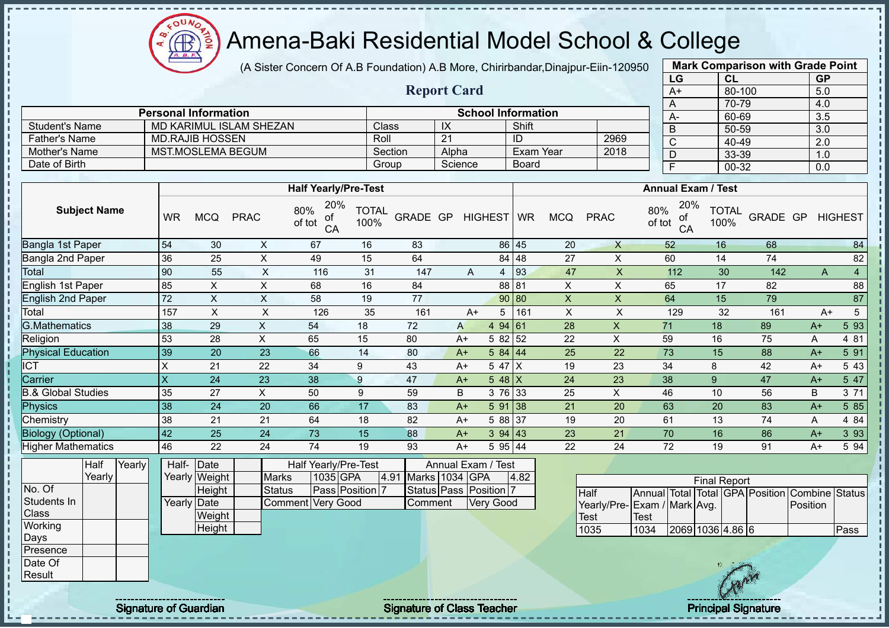(A Sister Concern Of A.B Foundation) A.B More, Chirirbandar,Dinajpur-Eiin-120950

|                                 |                         |                             |                                |                                         |                      |          | <b>Report Card</b> |                           |                  |                           |                             |               | $A+$                             | 80-100                                         |          | 5.0              |                |
|---------------------------------|-------------------------|-----------------------------|--------------------------------|-----------------------------------------|----------------------|----------|--------------------|---------------------------|------------------|---------------------------|-----------------------------|---------------|----------------------------------|------------------------------------------------|----------|------------------|----------------|
|                                 |                         | <b>Personal Information</b> |                                |                                         |                      |          |                    | <b>School Information</b> |                  |                           |                             |               | A                                | 70-79                                          |          | 4.0              |                |
| <b>Student's Name</b>           |                         |                             | <b>MD KARIMUL ISLAM SHEZAN</b> |                                         |                      | Class    | IX                 |                           | Shift            |                           |                             |               | $A -$                            | 60-69                                          |          | 3.5              |                |
| <b>Father's Name</b>            |                         | <b>MD.RAJIB HOSSEN</b>      |                                |                                         | Roll                 |          | 21                 |                           | $\overline{1}$   |                           | 2969                        |               | $\sf B$                          | 50-59                                          |          | 3.0              |                |
| Mother's Name                   |                         | <b>MST.MOSLEMA BEGUM</b>    |                                |                                         |                      | Section  | Alpha              |                           | <b>Exam Year</b> |                           | 2018                        |               | $\overline{\text{c}}$            | $40 - 49$<br>33-39                             |          | $\overline{2.0}$ |                |
| Date of Birth                   |                         |                             |                                |                                         |                      | Group    | Science            |                           | <b>Board</b>     |                           |                             |               | $\overline{D}$<br>$\overline{F}$ |                                                |          | 1.0              |                |
|                                 |                         |                             |                                |                                         |                      |          |                    |                           |                  |                           |                             |               |                                  | $00 - 32$                                      |          | 0.0              |                |
|                                 |                         |                             |                                | <b>Half Yearly/Pre-Test</b>             |                      |          |                    |                           |                  |                           |                             |               |                                  | <b>Annual Exam / Test</b>                      |          |                  |                |
| <b>Subject Name</b>             | <b>WR</b>               | <b>MCQ</b>                  | <b>PRAC</b>                    | 20%<br>80%<br>οf<br>of tot<br>CA        | <b>TOTAL</b><br>100% | GRADE GP |                    | <b>HIGHEST</b>            | <b>WR</b>        | <b>MCQ</b>                | <b>PRAC</b>                 | 80%<br>of tot | 20%<br>of<br>CA                  | <b>TOTAL</b><br>100%                           | GRADE GP |                  | <b>HIGHEST</b> |
| <b>Bangla 1st Paper</b>         | 54                      | 30                          | $\pmb{\times}$                 | 67                                      | 16                   | 83       |                    |                           | 86 45            | 20                        | $\mathsf{X}$                |               | 52                               | 16                                             | 68       |                  | 84             |
| Bangla 2nd Paper                | 36                      | 25                          | $\boldsymbol{\mathsf{X}}$      | 49                                      | 15                   | 64       |                    |                           | 84 48            | 27                        | $\mathsf X$                 |               | 60                               | 14                                             | 74       |                  | 82             |
| Total                           | 90                      | $\overline{55}$             | $\sf X$                        | 116                                     | 31                   | 147      |                    | A<br>4                    | 93               | 47                        | $\mathsf X$                 |               | 112                              | 30                                             | 142      | A                | $\overline{4}$ |
| English 1st Paper               | 85                      | X                           | $\boldsymbol{\mathsf{X}}$      | 68                                      | 16                   | 84       |                    |                           | 88 81            | $\pmb{\times}$            | $\pmb{\times}$              |               | 65                               | 17                                             | 82       |                  | 88             |
| <b>English 2nd Paper</b>        | 72                      | $\mathsf X$                 | $\boldsymbol{\mathsf{X}}$      | 58                                      | 19                   | 77       |                    |                           | 90 80            | $\boldsymbol{\mathsf{X}}$ | $\boldsymbol{\mathsf{X}}$   | 64            |                                  | 15                                             | 79       |                  | 87             |
| Total                           | 157                     | $\mathsf{x}$                | $\sf X$                        | 126                                     | 35                   | 161      |                    | $A+$                      | 5 161            | $\pmb{\mathsf{X}}$        | $\mathsf X$                 |               | 129                              | 32                                             | 161      | $A+$             | 5              |
| <b>G.Mathematics</b>            | 38                      | 29                          | $\pmb{\times}$                 | 54                                      | 18                   | 72       | A                  | 4 94 61                   |                  | 28                        | X                           | 71            |                                  | 18                                             | 89       | $A+$             | 5 93           |
| Religion                        | 53                      | 28                          | $\pmb{\times}$                 | 65                                      | 15                   | 80       | $A+$               | 5 82 52                   |                  | 22                        | $\mathsf X$                 | 59            |                                  | 16                                             | 75       | A                | 4 81           |
| <b>Physical Education</b>       | 39                      | 20                          | 23                             | 66                                      | 14                   | 80       | $A+$               | 5 84 44                   |                  | 25                        | 22                          | 73            |                                  | 15                                             | 88       | $A+$             | 5 91           |
| $\overline{\text{CT}}$          | X                       | 21                          | 22                             | 34                                      | 9                    | 43       | $A+$               | 5 47 X                    |                  | 19                        | 23                          | 34            |                                  | 8                                              | 42       | $A+$             | 5 4 3          |
| Carrier                         | $\overline{\mathsf{X}}$ | 24                          | 23                             | $\overline{38}$                         | $\overline{9}$       | 47       | $A+$               | $548$ X                   |                  | 24                        | 23                          | 38            |                                  | 9                                              | 47       | $A+$             | 5 47           |
| <b>B.&amp; Global Studies</b>   | 35                      | 27                          | X                              | 50                                      | 9                    | 59       | B                  | 3 76 33                   |                  | 25                        | $\pmb{\times}$              | 46            |                                  | 10                                             | 56       | $\sf B$          | 3 7 1          |
| <b>Physics</b>                  | 38                      | 24                          | 20                             | 66                                      | 17                   | 83       | $A+$               | 5 91 38                   |                  | 21                        | 20                          | 63            |                                  | 20                                             | 83       | $A+$             | 5 8 5          |
| Chemistry                       | 38                      | 21                          | 21                             | 64                                      | 18                   | 82       | $A+$               | 58837                     |                  | 19                        | 20                          | 61            |                                  | 13                                             | 74       | A                | 4 84           |
| <b>Biology (Optional)</b>       | 42                      | 25                          | 24                             | 73                                      | 15                   | 88       | $A+$               | 3 94 43                   |                  | 23                        | 21                          | 70            |                                  | 16                                             | 86       | $A+$             | 3 9 3          |
| <b>Higher Mathematics</b>       | 46                      | 22                          | 24                             | 74                                      | 19                   | 93       | $A+$               | 5 95 44                   |                  | 22                        | 24                          | 72            |                                  | 19                                             | 91       | $A+$             | 5 94           |
| <b>Half</b><br>Yearly<br>Yearly | Half-                   | Date<br>Yearly Weight       | <b>Marks</b>                   | <b>Half Yearly/Pre-Test</b><br>1035 GPA |                      | 4.91     | Marks 1034 GPA     | Annual Exam / Test        | 4.82             |                           |                             |               |                                  | <b>Final Report</b>                            |          |                  |                |
| No. Of                          |                         | Height                      | <b>Status</b>                  | Pass Position 7                         |                      |          |                    | Status Pass Position 7    |                  |                           | Half                        |               |                                  | Annual Total Total GPA Position Combine Status |          |                  |                |
| Students In                     |                         | Yearly Date                 |                                | <b>Very Good</b><br>Comment             |                      | Comment  |                    | <b>Very Good</b>          |                  |                           | Yearly/Pre-Exam / Mark Avg. |               |                                  |                                                |          | Position         |                |
| Class                           |                         | Weight                      |                                |                                         |                      |          |                    |                           |                  |                           | <b>Test</b>                 | <b>Test</b>   |                                  |                                                |          |                  |                |
| Working<br>Days                 |                         | Height                      |                                |                                         |                      |          |                    |                           |                  |                           | 1035                        | 1034          |                                  | 2069 1036 4.86 6                               |          |                  | Pass           |
| Presence                        |                         |                             |                                |                                         |                      |          |                    |                           |                  |                           |                             |               |                                  |                                                |          |                  |                |
| Date Of                         |                         |                             |                                |                                         |                      |          |                    |                           |                  |                           |                             |               |                                  |                                                |          |                  |                |
| Result                          |                         |                             |                                |                                         |                      |          |                    |                           |                  |                           |                             |               |                                  | $\sqrt{2}$                                     |          |                  |                |

COUND  $\bigoplus$ 

A. B.

Signature of Guardian Signature of Class Teacher Principal Signature of Class Teacher Principal Signature of Class Teacher Principal Signature of Class Teacher Principal Signature of Class Teacher Principal Signature of Cl

**Mark Comparison with Grade Point**

**LG CL GP**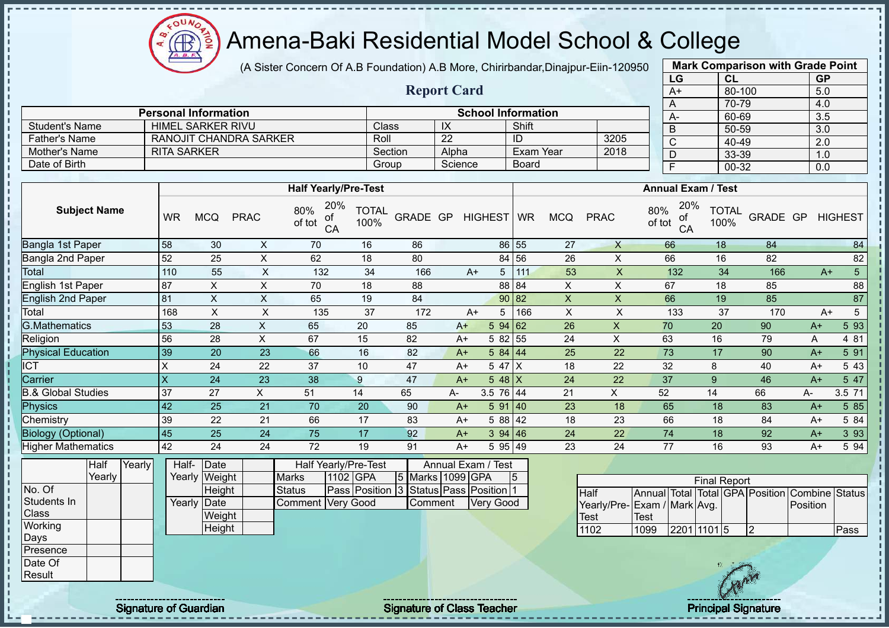(A Sister Concern Of A.B Foundation) A.B More, Chirirbandar,Dinajpur-Eiin-120950 **Mark Comparison with Grade Point**

|                               |                    |                               |              |                                  |                      |                     | <b>Report Card</b> |                           |                  |            |              | LG                               | <b>CL</b><br>80-100 |          | <b>GP</b>  |                |
|-------------------------------|--------------------|-------------------------------|--------------|----------------------------------|----------------------|---------------------|--------------------|---------------------------|------------------|------------|--------------|----------------------------------|---------------------|----------|------------|----------------|
|                               |                    |                               |              |                                  |                      |                     |                    |                           |                  |            |              | $A+$<br>Α                        | 70-79               |          | 5.0<br>4.0 |                |
|                               |                    | <b>Personal Information</b>   |              |                                  |                      |                     |                    | <b>School Information</b> |                  |            |              | A-                               | 60-69               |          | 3.5        |                |
| <b>Student's Name</b>         |                    | <b>HIMEL SARKER RIVU</b>      |              |                                  | Class                |                     | $\overline{X}$     |                           | Shift            |            |              | B                                | 50-59               |          | 3.0        |                |
| <b>Father's Name</b>          |                    | <b>RANOJIT CHANDRA SARKER</b> |              |                                  | Roll                 |                     | $\overline{22}$    |                           | ID               |            | 3205         | $\overline{\text{c}}$            | 40-49               |          | 2.0        |                |
| <b>Mother's Name</b>          | <b>RITA SARKER</b> |                               |              |                                  |                      | Section             | Alpha              |                           | <b>Exam Year</b> |            | 2018         | D                                | 33-39               |          | 1.0        |                |
| Date of Birth                 |                    |                               |              |                                  |                      | Group               | Science            |                           | <b>Board</b>     |            |              | F                                | 00-32               |          | 0.0        |                |
|                               |                    |                               |              |                                  |                      |                     |                    |                           |                  |            |              |                                  |                     |          |            |                |
|                               |                    |                               |              | <b>Half Yearly/Pre-Test</b>      |                      |                     |                    |                           |                  |            |              | <b>Annual Exam / Test</b>        |                     |          |            |                |
| <b>Subject Name</b>           | <b>WR</b>          | <b>MCQ</b>                    | <b>PRAC</b>  | 20%<br>80%<br>of<br>of tot<br>CA | <b>TOTAL</b><br>100% | GRADE GP HIGHEST WR |                    |                           |                  | <b>MCQ</b> | <b>PRAC</b>  | 20%<br>80%<br>οf<br>of tot<br>CA | TOTAL<br>100%       | GRADE GP |            | <b>HIGHEST</b> |
| <b>Bangla 1st Paper</b>       | 58                 | 30                            | X            | 70                               | 16                   | 86                  |                    |                           | 86 55            | 27         | X            | 66                               | 18                  | 84       |            | 84             |
| Bangla 2nd Paper              | 52                 | 25                            | X            | 62                               | 18                   | 80                  |                    | 84                        | 56               | 26         | X            | 66                               | 16                  | 82       |            | 82             |
| Total                         | 110                | 55                            | X            | 132                              | 34                   | 166                 | $A+$               | 5                         | 111              | 53         | $\mathsf X$  | 132                              | 34                  | 166      | $A+$       | 5              |
| English 1st Paper             | 87                 | X                             | X            | 70                               | 18                   | 88                  |                    | 88                        | 84               | X          | X            | 67                               | 18                  | 85       |            | 88             |
| English 2nd Paper             | 81                 | X                             | X            | 65                               | 19                   | 84                  |                    | 90                        | 82               | X          | X            | 66                               | 19                  | 85       |            | 87             |
| Total                         | 168                | $\mathsf X$                   | X            | 135                              | 37                   | 172                 | $A+$               | 5                         | 166              | X          | X            | 133                              | 37                  | 170      | $A+$       | 5              |
| <b>G.Mathematics</b>          | 53                 | 28                            | $\mathsf{X}$ | 65                               | 20                   | 85                  | $A+$               | 594 62                    |                  | 26         | $\mathsf{X}$ | 70                               | 20                  | 90       | $A+$       | 5 93           |
| Religion                      | 56                 | 28                            | X            | 67                               | 15                   | 82                  | $A+$               | 5 82                      | 55               | 24         | $\times$     | 63                               | 16                  | 79       | Α          | 4 81           |
| <b>Physical Education</b>     | 39                 | 20                            | 23           | 66                               | 16                   | 82                  | $A+$               | 584 44                    |                  | 25         | 22           | 73                               | 17                  | 90       | $A+$       | 5 91           |
| ICT                           | X                  | 24                            | 22           | 37                               | 10                   | 47                  | $A+$               | 5 47 X                    |                  | 18         | 22           | 32                               | 8                   | 40       | $A+$       | 5 4 3          |
| Carrier                       | X                  | 24                            | 23           | 38                               | 9                    | 47                  | $A+$               | $548$ X                   |                  | 24         | 22           | 37                               | 9                   | 46       | $A+$       | 5 47           |
| <b>B.&amp; Global Studies</b> | 37                 | 27                            | X.           | 51                               | 14                   | 65                  | А-                 | 3.5 76 44                 |                  | 21         | X.           | 52                               | 14                  | 66       | A-         | 3.5 71         |
| <b>Physics</b>                | 42                 | 25                            | 21           | 70                               | 20                   | 90                  | $A+$               | 591 40                    |                  | 23         | 18           | 65                               | 18                  | 83       | $A+$       | 5 8 5          |
| Chemistry                     | 39                 | 22                            | 21           | 66                               | 17                   | 83                  | $A+$               | 5 88                      | 42               | 18         | 23           | 66                               | 18                  | 84       | $A+$       | 5 84           |
| <b>Biology (Optional)</b>     | 45                 | 25                            | 24           | 75                               | 17                   | 92                  | $A+$               | 394   46                  |                  | 24         | 22           | 74                               | 18                  | 92       | $A+$       | 3 9 3          |

| <b>Higher Mathematics</b> |        |        | 42          | 24            | 24 | 72            | 19                                     | 91 | $A+$               |                  | 595 49 | 23 |               | 24                           | 16                  |     | 93 | $A+$                                           | 5 94 |
|---------------------------|--------|--------|-------------|---------------|----|---------------|----------------------------------------|----|--------------------|------------------|--------|----|---------------|------------------------------|---------------------|-----|----|------------------------------------------------|------|
|                           | Half   | Yearly | Half-       | $\vert$ Date  |    |               | Half Yearly/Pre-Test                   |    | Annual Exam / Test |                  |        |    |               |                              |                     |     |    |                                                |      |
|                           | Yearly |        |             | Yearly Weight |    | Marks         | 1102 GPA                               |    | 5 Marks 1099 GPA   |                  |        |    |               |                              | <b>Final Report</b> |     |    |                                                |      |
| No. Of                    |        |        |             | Height        |    | <b>Status</b> | Pass Position 3 Status Pass Position 1 |    |                    |                  |        |    | <b>I</b> Half |                              |                     |     |    | Annual Total Total GPA Position Combine Status |      |
| Students In               |        |        | Yearly Date |               |    |               | Comment Very Good                      |    | <b>Comment</b>     | <b>Very Good</b> |        |    |               | Yearly/Pre- Exam / Mark Avg. |                     |     |    | Position                                       |      |
| <b>Class</b>              |        |        |             | Weight        |    |               |                                        |    |                    |                  |        |    | <b>Test</b>   | <b>Test</b>                  |                     |     |    |                                                |      |
| Working                   |        |        |             | Height        |    |               |                                        |    |                    |                  |        |    | 1102          | 1099                         | 2201 1101 5         |     |    |                                                | Pass |
| Days                      |        |        |             |               |    |               |                                        |    |                    |                  |        |    |               |                              |                     |     |    |                                                |      |
| Presence                  |        |        |             |               |    |               |                                        |    |                    |                  |        |    |               |                              |                     |     |    |                                                |      |
| Date Of                   |        |        |             |               |    |               |                                        |    |                    |                  |        |    |               |                              |                     |     |    |                                                |      |
| Result                    |        |        |             |               |    |               |                                        |    |                    |                  |        |    |               |                              |                     | CAR |    |                                                |      |

|                              | <b>Final Report</b><br>Annual Total Total GPA Position Combine Status |                      |  |  |  |          |      |  |  |  |  |  |  |  |  |
|------------------------------|-----------------------------------------------------------------------|----------------------|--|--|--|----------|------|--|--|--|--|--|--|--|--|
| Half                         |                                                                       |                      |  |  |  |          |      |  |  |  |  |  |  |  |  |
| Yearly/Pre- Exam / Mark Avg. |                                                                       |                      |  |  |  | Position |      |  |  |  |  |  |  |  |  |
| Test                         | Test                                                                  |                      |  |  |  |          |      |  |  |  |  |  |  |  |  |
| 1102                         | 1099                                                                  | $\sqrt{2201}$ 1101 5 |  |  |  |          | Pass |  |  |  |  |  |  |  |  |

COUND

 $\bigoplus_{\alpha,\beta,\gamma}$ 

 $\mathbf{I}$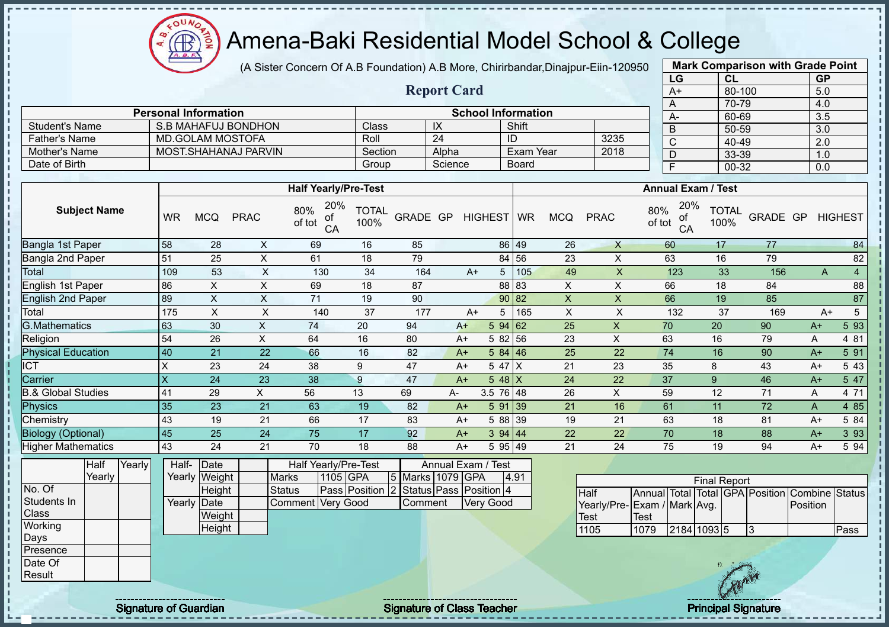$\Omega$ Æ

# Amena-Baki Residential Model School & College

(A Sister Concern Of A.B Foundation) A.B More, Chirirbandar,Dinajpur-Eiin-120950

**Report Card**

|      | <b>Mark Comparison with Grade Point</b> |           |
|------|-----------------------------------------|-----------|
| LG   | CL                                      | <b>GP</b> |
| $A+$ | 80-100                                  | 5.0       |
| A    | 70-79                                   | 4.0       |
| A-   | 60-69                                   | 3.5       |
| B    | 50-59                                   | 3.0       |
| C    | 40-49                                   | 2.0       |
| D    | 33-39                                   | 1.0       |
| F    | 00-32                                   | 0.0       |
|      |                                         |           |

|                      | <b>Personal Information</b> |         |         | <b>School Information</b> |      |  |  |
|----------------------|-----------------------------|---------|---------|---------------------------|------|--|--|
| Student's Name       | S.B MAHAFUJ BONDHON         | Class   | $\sim$  | Shift                     |      |  |  |
| <b>Father's Name</b> | MD.GOLAM MOSTOFA            | Roll    | 24      | ID                        | 3235 |  |  |
| Mother's Name        | MOST. SHAHANAJ PARVIN       | Section | Alpha   | Exam Year                 | 2018 |  |  |
| Date of Birth        |                             | Group   | Science | Board                     |      |  |  |

|                               |                         |            |             | <b>Half Yearly/Pre-Test</b>      |                      |          |    |            |             |     |            |             | <b>Annual Exam / Test</b>        |                      |          |      |                |
|-------------------------------|-------------------------|------------|-------------|----------------------------------|----------------------|----------|----|------------|-------------|-----|------------|-------------|----------------------------------|----------------------|----------|------|----------------|
| <b>Subject Name</b>           | <b>WR</b>               | <b>MCQ</b> | <b>PRAC</b> | 20%<br>80%<br>of<br>of tot<br>CA | <b>TOTAL</b><br>100% | GRADE GP |    | HIGHEST WR |             |     | <b>MCQ</b> | <b>PRAC</b> | 20%<br>80%<br>of<br>of tot<br>CA | <b>TOTAL</b><br>100% | GRADE GP |      | <b>HIGHEST</b> |
| Bangla 1st Paper              | 58                      | 28         | X           | 69                               | 16                   | 85       |    |            | 86 49       |     | 26         | X           | 60                               | 17                   | 77       |      | 84             |
| Bangla 2nd Paper              | 51                      | 25         | X           | 61                               | 18                   | 79       |    |            | 84 56       |     | 23         | X           | 63                               | 16                   | 79       |      | 82             |
| Total                         | 109                     | 53         | X           | 130                              | 34                   | 164      |    | $A+$       | 5           | 105 | 49         | X           | 123                              | 33                   | 156      | A    | 4              |
| English 1st Paper             | 86                      | X.         | X           | 69                               | 18                   | 87       |    |            | 88 83       |     | X          | X           | 66                               | 18                   | 84       |      | 88             |
| <b>English 2nd Paper</b>      | 89                      | X          | X           | 71                               | 19                   | 90       |    |            | 90 82       |     | X          | X           | 66                               | 19                   | 85       |      | 87             |
| Total                         | 175                     | X          | X           | 140                              | 37                   | 177      |    | $A+$       | 5           | 165 | X          | X           | 132                              | 37                   | 169      | A+   | 5              |
| <b>G.Mathematics</b>          | 63                      | 30         | X           | 74                               | 20                   | 94       |    | $A+$       | 594 62      |     | 25         | X           | 70                               | 20                   | 90       | $A+$ | 5 93           |
| Religion                      | 54                      | 26         | X           | 64                               | 16                   | 80       |    | $A+$       | 5 82 56     |     | 23         | X           | 63                               | 16                   | 79       | A    | 4 81           |
| <b>Physical Education</b>     | 40                      | 21         | 22          | 66                               | 16                   | 82       |    | $A+$       | 584 46      |     | 25         | 22          | 74                               | 16                   | 90       | $A+$ | 5 91           |
| ICT                           | X                       | 23         | 24          | 38                               | 9                    | 47       |    | $A+$       | 5 47 X      |     | 21         | 23          | 35                               | 8                    | 43       | $A+$ | 5 43           |
| Carrier                       | $\overline{\mathsf{x}}$ | 24         | 23          | 38                               | 9                    | 47       |    | $A+$       | 5 48 $X$    |     | 24         | 22          | 37                               | 9                    | 46       | $A+$ | 5 47           |
| <b>B.&amp; Global Studies</b> | 41                      | 29         | X.          | 56                               | 13                   | 69       | A- |            | $3.5$ 76 48 |     | 26         | X           | 59                               | 12                   | 71       | Α    | 4 71           |
| <b>Physics</b>                | 35                      | 23         | 21          | 63                               | 19                   | 82       |    | $A+$       | 5 91        | 39  | 21         | 16          | 61                               | 11                   | 72       | A    | 4 8 5          |
| Chemistry                     | 43                      | 19         | 21          | 66                               | 17                   | 83       |    | $A+$       | 5 88 39     |     | 19         | 21          | 63                               | 18                   | 81       | $A+$ | 5 84           |
| <b>Biology (Optional)</b>     | 45                      | 25         | 24          | 75                               | 17                   | 92       |    | $A+$       | 394 44      |     | 22         | 22          | 70                               | 18                   | 88       | $A+$ | 3 9 3          |
| Higher Mathematics            | 43                      | 24         | 21          | 70                               | 18                   | 88       |    | $A+$       | 5 95 49     |     | 21         | 24          | 75                               | 19                   | 94       | $A+$ | 5 94           |

|                  | Half   | Yearly | Half-       | Date          |                    |          | <b>Half Yearly/Pre-Test</b> |                  | Annual Exam / Test       |      |
|------------------|--------|--------|-------------|---------------|--------------------|----------|-----------------------------|------------------|--------------------------|------|
|                  | Yearly |        |             | Yearly Weight | <b>Marks</b>       | 1105 GPA |                             | 5 Marks 1079 GPA |                          | 4.91 |
| No. Of           |        |        |             | Height        | Status             |          | Pass Position               |                  | 2 Status Pass Position 4 |      |
| Students In      |        |        | Yearly Date |               | Comment IVery Good |          |                             | Comment          | <b>Very Good</b>         |      |
| <b>Class</b>     |        |        |             | Weight        |                    |          |                             |                  |                          |      |
| Working          |        |        |             | Height        |                    |          |                             |                  |                          |      |
| Days             |        |        |             |               |                    |          |                             |                  |                          |      |
| <b>IPresence</b> |        |        |             |               |                    |          |                             |                  |                          |      |
| Date Of          |        |        |             |               |                    |          |                             |                  |                          |      |
| <b>IResult</b>   |        |        |             |               |                    |          |                             |                  |                          |      |

| <b>Final Report</b>         |      |  |             |  |    |                                                |      |  |  |  |  |  |  |
|-----------------------------|------|--|-------------|--|----|------------------------------------------------|------|--|--|--|--|--|--|
| <b>Half</b>                 |      |  |             |  |    | Annual Total Total GPA Position Combine Status |      |  |  |  |  |  |  |
| Yearly/Pre-Exam / Mark Avg. |      |  |             |  |    | Position                                       |      |  |  |  |  |  |  |
| <b>Test</b>                 | Test |  |             |  |    |                                                |      |  |  |  |  |  |  |
| 1105                        | 1079 |  | 2184 1093 5 |  | 13 |                                                | Pass |  |  |  |  |  |  |

J.

 $\mathbf{I}$  $\mathbf{I}$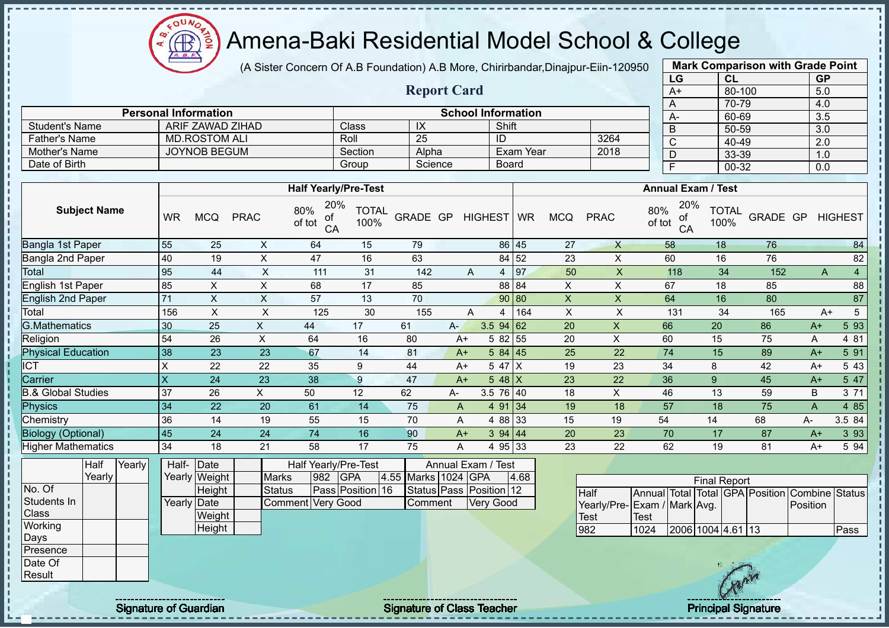$\Omega$ Æ

# Amena-Baki Residential Model School & College

(A Sister Concern Of A.B Foundation) A.B More, Chirirbandar,Dinajpur-Eiin-120950

**Report Card**

| <b>Mark Comparison with Grade Point</b> |        |           |  |  |  |  |  |  |  |  |
|-----------------------------------------|--------|-----------|--|--|--|--|--|--|--|--|
| LG                                      | CL     | <b>GP</b> |  |  |  |  |  |  |  |  |
| $A+$                                    | 80-100 | 5.0       |  |  |  |  |  |  |  |  |
| A                                       | 70-79  | 4.0       |  |  |  |  |  |  |  |  |
| A-                                      | 60-69  | 3.5       |  |  |  |  |  |  |  |  |
| B                                       | 50-59  | 3.0       |  |  |  |  |  |  |  |  |
| C                                       | 40-49  | 2.0       |  |  |  |  |  |  |  |  |
| D                                       | 33-39  | 1.0       |  |  |  |  |  |  |  |  |
| F                                       | 00-32  | 0.0       |  |  |  |  |  |  |  |  |
|                                         |        |           |  |  |  |  |  |  |  |  |

|                      | <b>Personal Information</b> |         |         | <b>School Information</b> |      |  |
|----------------------|-----------------------------|---------|---------|---------------------------|------|--|
| Student's Name       | ARIF ZAWAD ZIHAD            | Class   | IX      | Shift                     |      |  |
| <b>Father's Name</b> | <b>MD.ROSTOM ALI</b>        | Roll    | 25      | ID                        | 3264 |  |
| Mother's Name        | JOYNOB BEGUM                | Section | Alpha   | Exam Year                 | 2018 |  |
| Date of Birth        |                             | Group   | Science | Board                     |      |  |

|                               |           |            |             | <b>Half Yearly/Pre-Test</b>      |                      |          |              |                  |           |            |             | <b>Annual Exam / Test</b>        |                      |          |      |                |
|-------------------------------|-----------|------------|-------------|----------------------------------|----------------------|----------|--------------|------------------|-----------|------------|-------------|----------------------------------|----------------------|----------|------|----------------|
| <b>Subject Name</b>           | <b>WR</b> | <b>MCQ</b> | <b>PRAC</b> | 20%<br>80%<br>οf<br>of tot<br>CA | <b>TOTAL</b><br>100% | GRADE GP |              | HIGHEST WR       |           | <b>MCQ</b> | <b>PRAC</b> | 20%<br>80%<br>οf<br>of tot<br>CA | <b>TOTAL</b><br>100% | GRADE GP |      | <b>HIGHEST</b> |
| Bangla 1st Paper              | 55        | 25         | X           | 64                               | 15                   | 79       |              |                  | 86 45     | 27         | $\times$    | 58                               | 18                   | 76       |      | 84             |
| Bangla 2nd Paper              | 40        | 19         | X           | 47                               | 16                   | 63       |              |                  | 84 52     | 23         | X           | 60                               | 16                   | 76       |      | 82             |
| Total                         | 95        | 44         | Χ           | 111                              | 31                   | 142      |              | A<br>4           | 97        | 50         | X           | 118                              | 34                   | 152      | A    |                |
| English 1st Paper             | 85        | X          | X           | 68                               | 17                   | 85       |              |                  | 88 84     | X          | X           | 67                               | 18                   | 85       |      | 88             |
| <b>English 2nd Paper</b>      | 71        | X          | X           | 57                               | 13                   | 70       |              |                  | 90 80     | X          | X           | 64                               | 16                   | 80       |      | 87             |
| Total                         | 156       | X          | X           | 125                              | 30                   | 155      |              | A<br>4           | 164       | X          | X           | 131                              | 34                   | 165      |      | 5<br>$A+$      |
| <b>G.Mathematics</b>          | 30        | 25         | X.          | 44                               | 17                   | 61       | $A-$         | $3.5$ 94 62      |           | 20         | X           | 66                               | 20                   | 86       | $A+$ | 5 93           |
| Religion                      | 54        | 26         | X           | 64                               | 16                   | 80       |              | 5 82 55<br>A+    |           | 20         | X           | 60                               | 15                   | 75       | A    | 4 81           |
| <b>Physical Education</b>     | 38        | 23         | 23          | 67                               | 14                   | 81       |              | 584<br>$A+$      | <b>45</b> | 25         | 22          | 74                               | 15                   | 89       | $A+$ | 5 91           |
| <b>ICT</b>                    | X         | 22         | 22          | 35                               | 9                    | 44       |              | 5 47<br>$A+$     | ΙX        | 19         | 23          | 34                               | 8                    | 42       | $A+$ | 5 4 3          |
| Carrier                       | $\times$  | 24         | 23          | 38                               | 9                    | 47       |              | $548$ X<br>$A+$  |           | 23         | 22          | 36                               | 9                    | 45       | $A+$ | 5 47           |
| <b>B.&amp; Global Studies</b> | 37        | 26         | X           | 50                               | 12                   | 62       | A-           | $3.5$ 76 40      |           | 18         | X           | 46                               | 13                   | 59       | B    | 3 71           |
| Physics                       | 34        | 22         | 20          | 61                               | 14                   | 75       | $\mathsf{A}$ | 4 91 34          |           | 19         | 18          | 57                               | 18                   | 75       | A    | 4 8 5          |
| Chemistry                     | 36        | 14         | 19          | 55                               | 15                   | 70       | A            | 4 88 33          |           | 15         | 19          | 54                               | 14                   | 68       | А-   | 3.5 84         |
| <b>Biology (Optional)</b>     | 45        | 24         | 24          | 74                               | 16                   | 90       |              | 394   44<br>$A+$ |           | 20         | 23          | 70                               | 17                   | 87       | $A+$ | 3 9 3          |
| <b>Higher Mathematics</b>     | 34        | 18         | 21          | 58                               | 17                   | 75       | A            | 4 95 33          |           | 23         | 22          | 62                               | 19                   | 81       | $A+$ | 5 94           |

|                  | Half   | Yearly | Half-       | Date          |                   |     | Half Yearly/Pre-Test    |                     | Annual Exam / Test      |      |  |                     |           |    |
|------------------|--------|--------|-------------|---------------|-------------------|-----|-------------------------|---------------------|-------------------------|------|--|---------------------|-----------|----|
|                  | Yearly |        |             | Yearly Weight | <b>Marks</b>      | 982 | <b>IGPA</b>             | 4.55 Marks 1024 GPA |                         | 4.68 |  |                     |           |    |
| No. Of           |        |        |             | Height        | <b>Status</b>     |     | <b>Pass Position 16</b> |                     | Status Pass Position 12 |      |  | Half                | Annual To |    |
| Students In      |        |        | Yearly Date |               | Comment Very Good |     |                         | Comment             | <b>Very Good</b>        |      |  | Yearly/Pre-Exam / M |           |    |
| Class            |        |        |             | Weight        |                   |     |                         |                     |                         |      |  | Test                | Test      |    |
| Working          |        |        |             | Height        |                   |     |                         |                     |                         |      |  | 982                 | 1024      | 20 |
| Days             |        |        |             |               |                   |     |                         |                     |                         |      |  |                     |           |    |
| <b>IPresence</b> |        |        |             |               |                   |     |                         |                     |                         |      |  |                     |           |    |
| Date Of          |        |        |             |               |                   |     |                         |                     |                         |      |  |                     |           |    |
| Result           |        |        |             |               |                   |     |                         |                     |                         |      |  |                     |           |    |

|                              | <b>Final Report</b> |                   |  |  |  |                                                |      |  |  |  |  |  |  |  |
|------------------------------|---------------------|-------------------|--|--|--|------------------------------------------------|------|--|--|--|--|--|--|--|
| Half                         |                     |                   |  |  |  | Annual Total Total GPA Position Combine Status |      |  |  |  |  |  |  |  |
| Yearly/Pre- Exam / Mark Avg. |                     |                   |  |  |  | Position                                       |      |  |  |  |  |  |  |  |
| Test                         | Test                |                   |  |  |  |                                                |      |  |  |  |  |  |  |  |
| 982                          | 1024                | 2006 1004 4.61 13 |  |  |  |                                                | Pass |  |  |  |  |  |  |  |

J.  $\mathbf{I}$  $\mathbf{I}$  $\mathbf{I}$  $\mathbf{I}$ 

experiment the contract of Class Teacher and the Class Teacher and the Class Teacher and the Class Teacher Principal Signature of Guardian Signature of Class Teacher and the Class Teacher and the Class Teacher and the Clas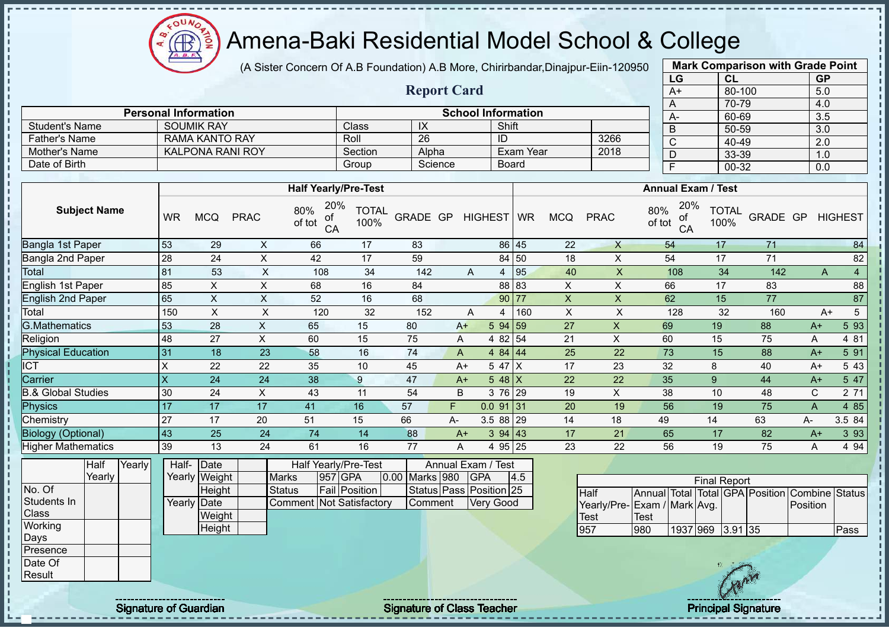$\Omega$ **AR** 

# Amena-Baki Residential Model School & College

(A Sister Concern Of A.B Foundation) A.B More, Chirirbandar,Dinajpur-Eiin-120950

**Report Card**

| <b>Mark Comparison with Grade Point</b> |           |           |  |  |  |  |  |  |  |  |
|-----------------------------------------|-----------|-----------|--|--|--|--|--|--|--|--|
| LG                                      | <b>CL</b> | <b>GP</b> |  |  |  |  |  |  |  |  |
| $A+$                                    | 80-100    | 5.0       |  |  |  |  |  |  |  |  |
| A                                       | 70-79     | 4.0       |  |  |  |  |  |  |  |  |
| А-                                      | 60-69     | 3.5       |  |  |  |  |  |  |  |  |
| B                                       | 50-59     | 3.0       |  |  |  |  |  |  |  |  |
| $\mathsf{C}$                            | 40-49     | 2.0       |  |  |  |  |  |  |  |  |
| D                                       | 33-39     | 1.0       |  |  |  |  |  |  |  |  |
| F                                       | 00-32     | 0.0       |  |  |  |  |  |  |  |  |

|                      | <b>Personal Information</b> |                |         | <b>School Information</b> |      | $A-$ |
|----------------------|-----------------------------|----------------|---------|---------------------------|------|------|
| Student's Name       | <b>SOUMIK RAY</b>           | Class          | ᠕       | Shift                     |      |      |
| <b>Father's Name</b> | RAMA KANTO RAY              | Roll           | 26      | -ID                       | 3266 | ັ    |
| Mother's Name        | <b>KALPONA RANI ROY</b>     | <b>Section</b> | Alpha   | Exam Year                 | 2018 |      |
| Date of Birth        |                             | Group          | Science | <b>Board</b>              |      |      |

|                           |           |            |             | <b>Half Yearly/Pre-Test</b>      |                      |          |    |             |            |            |             | <b>Annual Exam / Test</b>        |                      |          |      |                |
|---------------------------|-----------|------------|-------------|----------------------------------|----------------------|----------|----|-------------|------------|------------|-------------|----------------------------------|----------------------|----------|------|----------------|
| <b>Subject Name</b>       | WR        | <b>MCQ</b> | <b>PRAC</b> | 20%<br>80%<br>οf<br>of tot<br>CA | <b>TOTAL</b><br>100% | GRADE GP |    | HIGHEST WR  |            | <b>MCQ</b> | <b>PRAC</b> | 20%<br>80%<br>οf<br>of tot<br>CA | <b>TOTAL</b><br>100% | GRADE GP |      | <b>HIGHEST</b> |
| Bangla 1st Paper          | 53        | 29         | X           | 66                               | 17                   | 83       |    |             | 86 45      | 22         | X           | 54                               | 17                   | 71       |      | 84             |
| Bangla 2nd Paper          | 28        | 24         | X           | 42                               | 17                   | 59       |    |             | 84 50      | 18         | X.          | 54                               | 17                   | 71       |      | 82             |
| Total                     | 81        | 53         | Χ           | 108                              | 34                   | 142      |    | A<br>4      | 95         | 40         | X           | 108                              | 34                   | 142      | A    |                |
| English 1st Paper         | 85        | X          | X           | 68                               | 16                   | 84       |    |             | 88 83      | X          | X           | 66                               | 17                   | 83       |      | 88             |
| <b>English 2nd Paper</b>  | 65        | X          | X           | 52                               | 16                   | 68       |    |             | 90 77      | X          | X           | 62                               | 15                   | 77       |      | 87             |
| Total                     | 150       | X          | X           | 120                              | 32                   | 152      |    | A<br>4      | 160        | X          | X           | 128                              | 32                   | 160      | $A+$ | 5              |
| <b>G.Mathematics</b>      | 53        | 28         | X           | 65                               | 15                   | 80       |    | $A+$        | 594 59     | 27         | X           | 69                               | 19                   | 88       | $A+$ | 5 93           |
| Religion                  | 48        | 27         | X           | 60                               | 15                   | 75       | A  |             | 4 82 54    | 21         | X           | 60                               | 15                   | 75       | Α    | 4 81           |
| <b>Physical Education</b> | 31        | 18         | 23          | 58                               | 16                   | 74       | A  |             | 4 84 $ 44$ | 25         | 22          | 73                               | 15                   | 88       | $A+$ | 5 91           |
| <b>CT</b>                 | X         | 22         | 22          | 35                               | 10                   | 45       |    | $A+$        | 5 47 X     | 17         | 23          | 32                               | 8                    | 40       | $A+$ | 5 4 3          |
| Carrier                   | ΙX        | 24         | 24          | 38                               | 9                    | 47       |    | $A+$        | $548$ X    | 22         | 22          | 35                               | 9                    | 44       | $A+$ | 5 47           |
| 3.& Global Studies        | 30        | 24         | X           | 43                               | 11                   | 54       | B  |             | 3 76 29    | 19         | X           | 38                               | 10                   | 48       | C    | 2 71           |
| Physics                   | 17        | 17         | 17          | 41                               | 16                   | 57       | F. | $0.0$ 91 31 |            | 20         | 19          | 56                               | 19                   | 75       | A    | 4 8 5          |
| Chemistry                 | 27        | 17         | 20          | 51                               | 15                   | 66       | A- |             | 3.5 88 29  | 14         | 18          | 49                               | 14                   | 63       | A-   | 3.5 84         |
| <b>Biology (Optional)</b> | <b>43</b> | 25         | 24          | 74                               | 14                   | 88       |    | $A+$        | 394 43     | 17         | 21          | 65                               | 17                   | 82       | $A+$ | 3 9 3          |
| <b>Higher Mathematics</b> | 39        | 13         | 24          | 61                               | 16                   | 77       | A  |             | 4 95 25    | 23         | 22          | 56                               | 19                   | 75       | Α    | 4 9 4          |

|                  | Half   | Yearly <b>I</b> | Half- | Date          |                                 | <b>Half Yearly/Pre-Test</b> |                | Annual Exam / Test      |     |
|------------------|--------|-----------------|-------|---------------|---------------------------------|-----------------------------|----------------|-------------------------|-----|
|                  | Yearly |                 |       | Yearly Weight | <b>Marks</b>                    | 957 GPA                     | 0.00 Marks 980 | <b>IGPA</b>             | 4.5 |
| No. Of           |        |                 |       | Height        | <b>Status</b>                   | Fail Position               |                | Status Pass Position 25 |     |
| Students In      |        |                 |       | Yearly Date   | <b>Comment Not Satisfactory</b> |                             | Comment        | <b>Very Good</b>        |     |
| <b>Class</b>     |        |                 |       | Weight        |                                 |                             |                |                         |     |
| Working          |        |                 |       | Height        |                                 |                             |                |                         |     |
| Days             |        |                 |       |               |                                 |                             |                |                         |     |
| <b>IPresence</b> |        |                 |       |               |                                 |                             |                |                         |     |
| Date Of          |        |                 |       |               |                                 |                             |                |                         |     |
| Result           |        |                 |       |               |                                 |                             |                |                         |     |

| <b>Final Report</b>          |      |                  |  |  |  |                                                |      |  |  |  |  |  |
|------------------------------|------|------------------|--|--|--|------------------------------------------------|------|--|--|--|--|--|
| <b>Half</b>                  |      |                  |  |  |  | Annual Total Total GPA Position Combine Status |      |  |  |  |  |  |
| Yearly/Pre- Exam / Mark Avg. |      |                  |  |  |  | Position                                       |      |  |  |  |  |  |
| Test                         | Test |                  |  |  |  |                                                |      |  |  |  |  |  |
| 957                          | 980  | 1937 969 3.91 35 |  |  |  |                                                | Pass |  |  |  |  |  |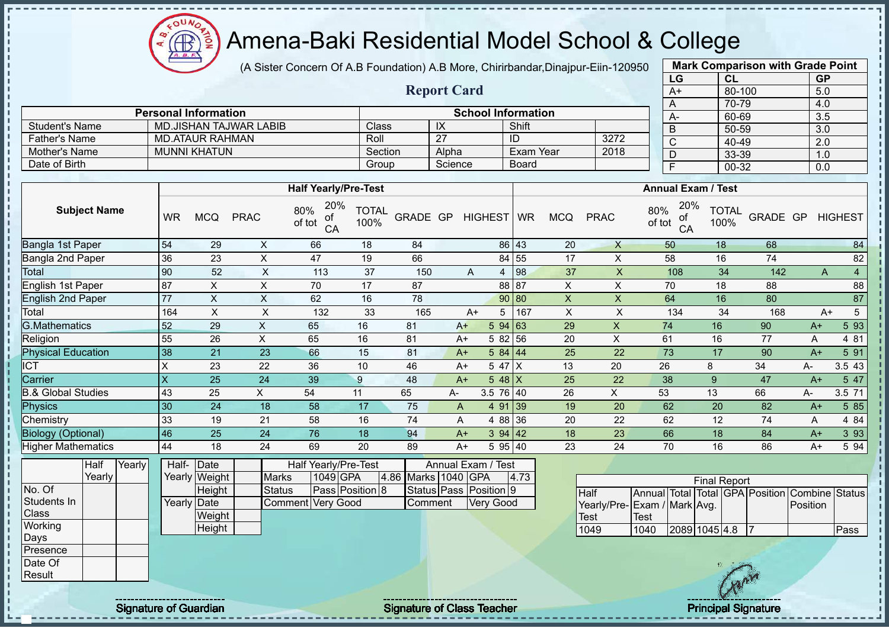COUND Amena-Baki Residential Model School & College  $\bigoplus_{\Delta,\Delta,\sigma}$ ğ

(A Sister Concern Of A.B Foundation) A.B More, Chirirbandar,Dinajpur-Eiin-120950

|                                                                                                             |             |                                                                          |                               |                                                              |                      |                                |                    |                                                                  |                  |                |                                    | LG                                                                                            | <b>CL</b>                            |                   | <b>GP</b>        |                |
|-------------------------------------------------------------------------------------------------------------|-------------|--------------------------------------------------------------------------|-------------------------------|--------------------------------------------------------------|----------------------|--------------------------------|--------------------|------------------------------------------------------------------|------------------|----------------|------------------------------------|-----------------------------------------------------------------------------------------------|--------------------------------------|-------------------|------------------|----------------|
|                                                                                                             |             |                                                                          |                               |                                                              |                      |                                | <b>Report Card</b> |                                                                  |                  |                |                                    | $A+$                                                                                          |                                      | 80-100            | 5.0              |                |
|                                                                                                             |             | <b>Personal Information</b>                                              |                               |                                                              |                      |                                |                    | <b>School Information</b>                                        |                  |                |                                    | A                                                                                             |                                      | 70-79             | 4.0              |                |
| <b>Student's Name</b>                                                                                       |             | <b>MD.JISHAN TAJWAR LABIB</b>                                            |                               |                                                              | Class                |                                | $\overline{1}X$    |                                                                  | Shift            |                |                                    | $A -$                                                                                         |                                      | 60-69             | 3.5              |                |
| <b>Father's Name</b>                                                                                        |             | <b>MD.ATAUR RAHMAN</b>                                                   |                               |                                                              | Roll                 |                                | $\overline{27}$    |                                                                  | ID               |                | 3272                               | $\mathsf B$                                                                                   |                                      | $50 - 59$         | 3.0              |                |
| Mother's Name                                                                                               |             | <b>MUNNI KHATUN</b>                                                      |                               |                                                              | Section              |                                | Alpha              |                                                                  | <b>Exam Year</b> |                | 2018                               | $\overline{C}$                                                                                |                                      | 40-49             | $\overline{2.0}$ |                |
| Date of Birth                                                                                               |             |                                                                          |                               |                                                              | Group                |                                | Science            |                                                                  | <b>Board</b>     |                |                                    | $\overline{D}$                                                                                |                                      | 33-39             | 1.0              |                |
|                                                                                                             |             |                                                                          |                               |                                                              |                      |                                |                    |                                                                  |                  |                |                                    | $\overline{F}$                                                                                |                                      | $00 - 32$         | 0.0              |                |
|                                                                                                             |             |                                                                          |                               | <b>Half Yearly/Pre-Test</b>                                  |                      |                                |                    |                                                                  |                  |                |                                    |                                                                                               | <b>Annual Exam / Test</b>            |                   |                  |                |
| <b>Subject Name</b>                                                                                         | <b>WR</b>   | <b>MCQ</b>                                                               | <b>PRAC</b>                   | 20%<br>80%<br>оf<br>of tot<br>CA                             | <b>TOTAL</b><br>100% | GRADE GP                       |                    | HIGHEST WR                                                       |                  | <b>MCQ</b>     | <b>PRAC</b>                        | 80%<br>of<br>of tot<br>CA                                                                     | 20%<br><b>TOTAL</b><br>100%          | GRADE GP          |                  | <b>HIGHEST</b> |
| <b>Bangla 1st Paper</b>                                                                                     | 54          | 29                                                                       | $\times$                      | 66                                                           | 18                   | 84                             |                    |                                                                  | 86 43            | 20             | $\mathsf{X}$                       | 50                                                                                            | 18                                   | 68                |                  | 84             |
| Bangla 2nd Paper                                                                                            | 36          | 23                                                                       | $\mathsf{X}$                  | 47                                                           | 19                   | 66                             |                    |                                                                  | 84 55            | 17             | $\mathsf{X}$                       | 58                                                                                            | 16                                   | 74                |                  | 82             |
| Total                                                                                                       | 90          | 52                                                                       | X                             | 113                                                          | 37                   | 150                            |                    | A<br>4                                                           | 98               | 37             | $\boldsymbol{\mathsf{X}}$          | 108                                                                                           | 34                                   | 142               | A                | $\overline{4}$ |
| <b>English 1st Paper</b>                                                                                    | 87          | X                                                                        | $\boldsymbol{\mathsf{X}}$     | 70                                                           | 17                   | 87                             |                    |                                                                  | 88 87            | X              | $\pmb{\times}$                     | 70                                                                                            | 18                                   | 88                |                  | 88             |
| <b>English 2nd Paper</b>                                                                                    | 77          | X                                                                        | $\boldsymbol{\mathsf{X}}$     | 62                                                           | 16                   | 78                             |                    |                                                                  | 90 80            | $\mathsf{X}$   | $\boldsymbol{X}$                   | 64                                                                                            | 16                                   | 80                |                  | 87             |
| Total                                                                                                       | 164         | X                                                                        | X                             | 132                                                          | 33                   | 165                            |                    | 5<br>$A+$                                                        | 167              | $\pmb{\times}$ | $\boldsymbol{\mathsf{X}}$          | 134                                                                                           | 34                                   | 168               | $A+$             | 5              |
| <b>G.Mathematics</b>                                                                                        | 52          | 29                                                                       | X                             | 65                                                           | 16                   | 81                             | $A+$               |                                                                  | 594 63           | 29             | X                                  | 74                                                                                            | 16                                   | 90                | $A+$             | 5 93           |
| Religion                                                                                                    | 55          | 26                                                                       | X                             | 65                                                           | 16                   | 81                             | $A+$               | 5 82                                                             | 56               | 20             | $\pmb{\times}$                     | 61                                                                                            | 16                                   | 77                | A                | 4 81           |
| <b>Physical Education</b>                                                                                   | 38          | 21                                                                       | 23                            | 66                                                           | 15                   | 81                             | $A+$               | 584   44                                                         |                  | 25             | 22                                 | 73                                                                                            | 17                                   | 90                | $A+$             | 5 91           |
| <b>ICT</b>                                                                                                  | $\mathsf X$ | 23                                                                       | 22                            | 36                                                           | 10                   | 46                             | $A+$               | 5 47                                                             | $\times$         | 13             | 20                                 | 26                                                                                            | 8                                    | 34                | A-               | 3.5 43         |
| Carrier                                                                                                     | X           | 25                                                                       | 24                            | 39                                                           | 9                    | 48                             | $A+$               | $548$ X                                                          |                  | 25             | 22                                 | 38                                                                                            | 9                                    | 47                | $A+$             | 5 47           |
| <b>B.&amp; Global Studies</b>                                                                               | 43          | 25                                                                       | X                             | 54                                                           | 11                   | 65                             | А-                 | 3.5 76 40                                                        |                  | 26             | $\times$                           | 53                                                                                            | 13                                   | 66                | А-               | 3.5 71         |
| <b>Physics</b>                                                                                              | 30          | 24                                                                       | 18                            | 58                                                           | 17                   | 75                             | $\mathsf{A}$       |                                                                  | 4 91 39          | 19             | 20                                 | 62                                                                                            | 20                                   | 82                | $A+$             | 5 8 5          |
| Chemistry                                                                                                   | 33          | 19                                                                       | 21                            | 58                                                           | 16                   | 74                             | A                  |                                                                  | 4 88 36          | 20             | 22                                 | 62                                                                                            | 12                                   | 74                | A                | 4 8 4          |
| <b>Biology (Optional)</b>                                                                                   | 46          | 25                                                                       | 24                            | 76                                                           | 18                   | 94                             | $A+$               |                                                                  | 3 94 42          | 18             | 23                                 | 66                                                                                            | 18                                   | 84                | $A+$             | 3 9 3          |
| <b>Higher Mathematics</b>                                                                                   | 44          | 18                                                                       | 24                            | 69                                                           | 20                   | 89                             | $A+$               |                                                                  | 5 95 40          | 23             | 24                                 | 70                                                                                            | 16                                   | 86                | $A+$             | 5 94           |
| Yearly<br><b>Half</b><br>Yearly<br>No. Of<br>Students In<br>Class<br>Working<br>Days<br>Presence<br>Date Of |             | Half- Date<br>Yearly Weight<br>Height<br>Yearly Date<br>Weight<br>Height | <b>Marks</b><br><b>Status</b> | Half Yearly/Pre-Test<br>1049 GPA<br><b>Comment Very Good</b> | Pass Position 8      | 4.86 Marks 1040 GPA<br>Comment |                    | Annual Exam / Test<br>Status Pass Position 9<br><b>Very Good</b> | 4.73             |                | <b>Half</b><br><b>Test</b><br>1049 | Annual Total Total GPA Position Combine Status<br>Yearly/Pre-Exam / Mark Avg.<br>Test<br>1040 | <b>Final Report</b><br>2089 1045 4.8 |                   | Position         | Pass           |
| Result                                                                                                      |             |                                                                          |                               |                                                              |                      |                                |                    |                                                                  |                  |                |                                    |                                                                                               |                                      | $\curvearrowleft$ |                  |                |

**Result** 

Signature of Guardian Signature of Class Teacher Principal Signature of Class Teacher Principal Signature

**Mark Comparison with Grade Point**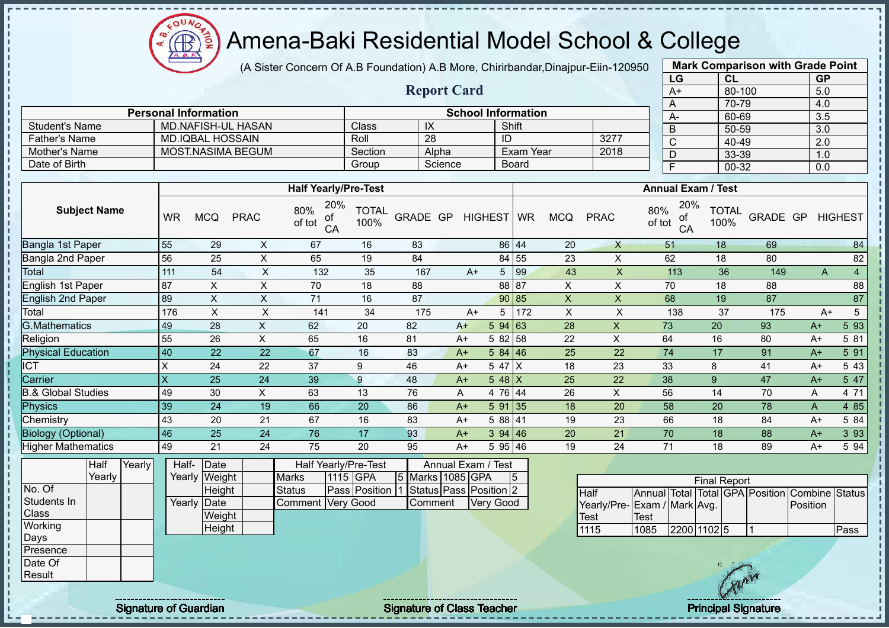(A Sister Concern Of A.B Foundation) A.B More, Chirirbandar,Dinajpur-Eiin-120950

**Report Card**

| <b>Mark Comparison with Grade Point</b> |           |
|-----------------------------------------|-----------|
| <b>CL</b>                               | <b>GP</b> |
| 80-100                                  | 5.0       |
| 70-79                                   | 4.0       |
| 60-69                                   | 3.5       |
| 50-59                                   | 3.0       |
| 40-49                                   | 2.0       |
| 33-39                                   | 1.0       |
| 00-32                                   | 0.0       |
|                                         |           |

|                       | <b>Personal Information</b> |         |            | <b>School Information</b> |      | $A-$ |
|-----------------------|-----------------------------|---------|------------|---------------------------|------|------|
| <b>Student's Name</b> | MD.NAFISH-UL HASAN          | Class⊺  | $\sqrt{ }$ | Shift                     |      |      |
| <b>Father's Name</b>  | MD.IQBAL HOSSAIN            | Roll    | 28         | ID                        | 3277 |      |
| Mother's Name         | MOST.NASIMA BEGUM           | Section | Alpha      | Exam Year                 | 2018 |      |
| Date of Birth         |                             | Group   | Science    | <b>Board</b>              |      |      |

|                               |           |            |             | <b>Half Yearly/Pre-Test</b>      |                      |          |      |            |       |            |             | <b>Annual Exam / Test</b>        |                      |          |      |                     |
|-------------------------------|-----------|------------|-------------|----------------------------------|----------------------|----------|------|------------|-------|------------|-------------|----------------------------------|----------------------|----------|------|---------------------|
| <b>Subject Name</b>           | <b>WR</b> | <b>MCQ</b> | <b>PRAC</b> | 20%<br>80%<br>οf<br>of tot<br>CA | <b>TOTAL</b><br>100% | GRADE GP |      | HIGHEST WR |       | <b>MCQ</b> | <b>PRAC</b> | 20%<br>80%<br>οf<br>of tot<br>CA | <b>TOTAL</b><br>100% | GRADE GP |      | <b>HIGHEST</b>      |
| Bangla 1st Paper              | 55        | 29         | X           | 67                               | 16                   | 83       |      |            | 86 44 | 20         | X           | 51                               | 18                   | 69       |      | 84                  |
| Bangla 2nd Paper              | 56        | 25         | X           | 65                               | 19                   | 84       |      | 84 55      |       | 23         | X           | 62                               | 18                   | 80       |      | 82                  |
| Total                         | 111       | 54         | X           | 132                              | 35                   | 167      | $A+$ | 5          | 99    | 43         | X           | 113                              | 36                   | 149      |      | $\overline{4}$<br>A |
| English 1st Paper             | 87        | X          | X           | 70                               | 18                   | 88       |      | 88 87      |       | X          | X           | 70                               | 18                   | 88       |      | 88                  |
| <b>English 2nd Paper</b>      | 89        | X.         | X           | 71                               | 16                   | 87       |      | 90 85      |       | X          | X           | 68                               | 19                   | 87       |      | 87                  |
| Total                         | 176       | X.         | X           | 141                              | 34                   | 175      | $A+$ | 5          | 172   | X          | X           | 138                              | 37                   | 175      |      | 5<br>$A+$           |
| <b>G.Mathematics</b>          | 49        | 28         | X           | 62                               | 20                   | 82       | $A+$ | 594 63     |       | 28         | X           | 73                               | 20                   | 93       | $A+$ | 5 93                |
| Religion                      | 55        | 26         | X           | 65                               | 16                   | 81       | $A+$ | 5 82 58    |       | 22         | X           | 64                               | 16                   | 80       | A+   | 5 81                |
| <b>Physical Education</b>     | 40        | 22         | 22          | 67                               | 16                   | 83       | $A+$ | 584 46     |       | 25         | 22          | 74                               | 17                   | 91       | $A+$ | 5 91                |
| <b>ICT</b>                    | X         | 24         | 22          | 37                               | 9                    | 46       | $A+$ | 5 47 X     |       | 18         | 23          | 33                               | 8                    | 41       | $A+$ | 5 4 3               |
| Carrier                       | X         | 25         | 24          | 39                               | 9                    | 48       | $A+$ | 5 48 $X$   |       | 25         | 22          | 38                               | 9                    | 47       | $A+$ | 5 47                |
| <b>B.&amp; Global Studies</b> | 49        | 30         | X           | 63                               | 13                   | 76       | A    | 4 76 44    |       | 26         | X           | 56                               | 14                   | 70       | Α    | 4 71                |
| Physics                       | 39        | 24         | 19          | 66                               | 20                   | 86       | $A+$ | 591 35     |       | 18         | 20          | 58                               | 20                   | 78       | A    | 4 8 5               |
| Chemistry                     | 43        | 20         | 21          | 67                               | 16                   | 83       | $A+$ | 5 88 41    |       | 19         | 23          | 66                               | 18                   | 84       | $A+$ | 5 84                |
| <b>Biology (Optional)</b>     | 46        | 25         | 24          | 76                               | 17                   | 93       | $A+$ | 394   46   |       | 20         | 21          | 70                               | 18                   | 88       | $A+$ | 3 9 3               |
| <b>Higher Mathematics</b>     | 49        | 21         | 24          | 75                               | 20                   | 95       | $A+$ | 5 95 46    |       | 19         | 24          | 71                               | 18                   | 89       | $A+$ | 5 94                |

|              | Half   | Yearly | Half-  | Date          |                     |          | Half Yearly/Pre-Test |                  | Annual Exam / Test     |   |
|--------------|--------|--------|--------|---------------|---------------------|----------|----------------------|------------------|------------------------|---|
|              | Yearly |        |        | Yearly Weight | <b>Marks</b>        | 1115 GPA |                      | 5 Marks 1085 GPA |                        | 5 |
| No. Of       |        |        |        | Height        | Status              |          | <b>Pass Position</b> |                  | Status Pass Position 2 |   |
| Students In  |        |        | Yearly | <b>IDate</b>  | Comment   Very Good |          |                      | Comment          | <b>Very Good</b>       |   |
| <b>Class</b> |        |        |        | Weight        |                     |          |                      |                  |                        |   |
| Working      |        |        |        | Height        |                     |          |                      |                  |                        |   |
| Days         |        |        |        |               |                     |          |                      |                  |                        |   |
| Presence     |        |        |        |               |                     |          |                      |                  |                        |   |
| Date Of      |        |        |        |               |                     |          |                      |                  |                        |   |

|                             |      |             | <b>Final Report</b> |  |                                                |      |
|-----------------------------|------|-------------|---------------------|--|------------------------------------------------|------|
| IHalf                       |      |             |                     |  | Annual Total Total GPA Position Combine Status |      |
| Yearly/Pre-Exam / Mark Avg. |      |             |                     |  | Position                                       |      |
| <b>Test</b>                 | Test |             |                     |  |                                                |      |
| 1115                        | 1085 | 2200 1102 5 |                     |  |                                                | Pass |

 $\Omega$ Æ

Result

j. J.  $\mathbf{I}$ 

Signature of Guardian Signature of Class Teacher Principal Signature of Class Teacher Principal Signature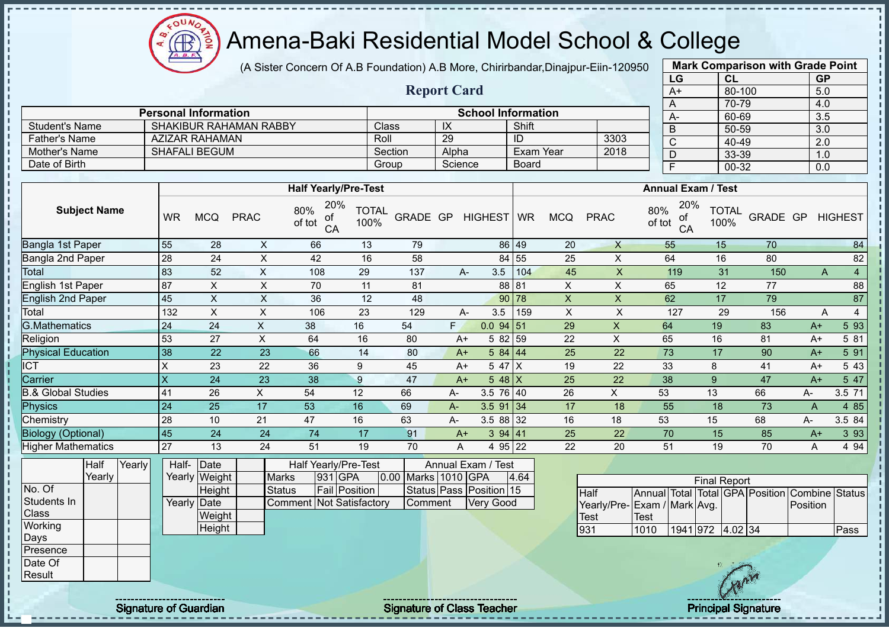(A Sister Concern Of A.B Foundation) A.B More, Chirirbandar,Dinajpur-Eiin-120950

|                               |                         |                               |                           |                                        |                      |                     |                         |                           |                  |                           |                           | LG                          |                                   | <b>CL</b>                                      | <b>GP</b>      |                |
|-------------------------------|-------------------------|-------------------------------|---------------------------|----------------------------------------|----------------------|---------------------|-------------------------|---------------------------|------------------|---------------------------|---------------------------|-----------------------------|-----------------------------------|------------------------------------------------|----------------|----------------|
|                               |                         |                               |                           |                                        |                      |                     | <b>Report Card</b>      |                           |                  |                           |                           | $A+$                        |                                   | 80-100                                         | 5.0            |                |
|                               |                         |                               |                           |                                        |                      |                     |                         |                           |                  |                           |                           | A                           |                                   | $70 - 79$                                      | 4.0            |                |
|                               |                         | <b>Personal Information</b>   |                           |                                        |                      |                     |                         | <b>School Information</b> |                  |                           |                           | $A -$                       |                                   | 60-69                                          | 3.5            |                |
| <b>Student's Name</b>         |                         | <b>SHAKIBUR RAHAMAN RABBY</b> |                           |                                        |                      | Class               | IX                      |                           | Shift            |                           |                           | B                           |                                   | 50-59                                          | 3.0            |                |
| <b>Father's Name</b>          |                         | <b>AZIZAR RAHAMAN</b>         |                           |                                        | Roll                 |                     | 29                      |                           | ID               |                           | 3303                      | $\overline{C}$              |                                   | $40 - 49$                                      | 2.0            |                |
| Mother's Name                 |                         | <b>SHAFALI BEGUM</b>          |                           |                                        |                      | Section             | Alpha                   |                           | <b>Exam Year</b> |                           | 2018                      | D                           |                                   | 33-39                                          | 1.0            |                |
| Date of Birth                 |                         |                               |                           |                                        |                      | Group               | Science                 |                           | <b>Board</b>     |                           |                           | $\overline{F}$              |                                   | $00 - 32$                                      | 0.0            |                |
|                               |                         |                               |                           | <b>Half Yearly/Pre-Test</b>            |                      |                     |                         |                           |                  |                           |                           | <b>Annual Exam / Test</b>   |                                   |                                                |                |                |
| <b>Subject Name</b>           | <b>WR</b>               | <b>MCQ</b>                    | <b>PRAC</b>               | 20%<br>80%<br>of<br>of tot<br>CA       | <b>TOTAL</b><br>100% | GRADE GP            |                         | <b>HIGHEST</b>            | <b>WR</b>        | <b>MCQ</b>                | <b>PRAC</b>               | 80%<br>of<br>of tot         | 20%<br><b>TOTAL</b><br>100%<br>CA | GRADE GP                                       |                | <b>HIGHEST</b> |
| Bangla 1st Paper              | 55                      | 28                            | X                         | 66                                     | 13                   | 79                  |                         |                           | 86 49            | 20                        | $\boldsymbol{X}$          | 55                          | 15                                | 70                                             |                | 84             |
| Bangla 2nd Paper              | 28                      | 24                            | $\pmb{\times}$            | 42                                     | 16                   | 58                  |                         |                           | 84 55            | 25                        | $\mathsf X$               | 64                          | 16                                | 80                                             |                | 82             |
| Total                         | 83                      | 52                            | $\mathsf X$               | 108                                    | 29                   | 137                 | A-                      | 3.5                       | 104              | 45                        | $\mathsf X$               | 119                         | 31                                | 150                                            | A              | $\overline{4}$ |
| <b>English 1st Paper</b>      | 87                      | $\times$                      | $\times$                  | 70                                     | 11                   | 81                  |                         |                           | 88 81            | $\pmb{\times}$            | $\times$                  | 65                          | 12                                | 77                                             |                | 88             |
| <b>English 2nd Paper</b>      | 45                      | $\pmb{\times}$                | $\times$                  | 36                                     | 12                   | 48                  |                         |                           | 90 78            | $\boldsymbol{\mathsf{X}}$ | $\boldsymbol{\mathsf{X}}$ | 62                          | 17                                | 79                                             |                | 87             |
| Total                         | 132                     | $\mathsf X$                   | $\boldsymbol{\mathsf{X}}$ | 106                                    | 23                   | 129                 | A-                      | 3.5                       | 159              | $\boldsymbol{\mathsf{X}}$ | $\boldsymbol{\mathsf{X}}$ | 127                         | 29                                | 156                                            | A              | $\overline{4}$ |
| <b>G.Mathematics</b>          | 24                      | 24                            | $\mathsf{X}$              | 38                                     | 16                   | 54                  | F.                      | $0.0$ 94 51               |                  | 29                        | $\mathsf{X}$              | 64                          | 19                                | 83                                             | $A+$           | 5 9 3          |
| Religion                      | 53                      | 27                            | $\pmb{\times}$            | 64                                     | 16                   | 80                  | $A+$                    | 5 82 59                   |                  | 22                        | $\mathsf X$               | 65                          | 16                                | 81                                             | $A+$           | 5 81           |
| <b>Physical Education</b>     | 38                      | $\overline{22}$               | 23                        | 66                                     | 14                   | 80                  | $A+$                    | 584   44                  |                  | $\overline{25}$           | $\overline{22}$           | 73                          | 17                                | 90                                             | $A+$           | 591            |
| <b>ICT</b>                    | $\sf X$                 | 23                            | 22                        | 36                                     | 9                    | 45                  | $A+$                    | 5 47 X                    |                  | 19                        | 22                        | 33                          | 8                                 | 41                                             | $A+$           | 5 4 3          |
| Carrier                       | $\overline{\mathsf{X}}$ | 24                            | 23                        | 38                                     | 9                    | 47                  | $A+$                    | $548$ X                   |                  | 25                        | 22                        | 38                          | $\overline{9}$                    | 47                                             | $A+$           | 547            |
| <b>B.&amp; Global Studies</b> | 41                      | 26                            | X                         | 54                                     | 12                   | 66                  | А-                      | 3.5 76 40                 |                  | 26                        | X                         | 53                          | 13                                | 66                                             | A-             | 3.5 71         |
| <b>Physics</b>                | 24                      | 25                            | 17                        | 53                                     | 16                   | 69                  | A-                      | $3.5$ 91 34               |                  | 17                        | 18                        | 55                          | 18                                | 73                                             | $\overline{A}$ | 4 8 5          |
| Chemistry                     | 28                      | 10                            | 21                        | 47                                     | 16                   | 63                  | A-                      | 3.5 88 32                 |                  | 16                        | 18                        | 53                          | 15                                | 68                                             | А-             | 3.5 84         |
| <b>Biology (Optional)</b>     | 45                      | 24                            | 24                        | 74                                     | 17                   | 91                  | $A+$                    | 3 94 41                   |                  | 25                        | 22                        | 70                          | 15                                | 85                                             | $A+$           | 3 9 3          |
| <b>Higher Mathematics</b>     | 27                      | 13                            | 24                        | 51                                     | 19                   | 70                  | A                       | 4 95 22                   |                  | 22                        | 20                        | 51                          | 19                                | 70                                             | A              | 4 94           |
| Half<br>Yearly<br>Yearly      | Half-                   | Date<br>Yearly Weight         | <b>Marks</b>              | <b>Half Yearly/Pre-Test</b><br>931 GPA |                      | 0.00 Marks 1010 GPA | Annual Exam / Test      |                           | 4.64             |                           |                           |                             | <b>Final Report</b>               |                                                |                |                |
| No. Of                        |                         | <b>Height</b>                 | <b>Status</b>             |                                        | <b>Fail Position</b> |                     | Status Pass Position 15 |                           |                  | Half                      |                           |                             |                                   | Annual Total Total GPA Position Combine Status |                |                |
| Students In                   |                         | Yearly Date                   |                           | <b>Comment Not Satisfactory</b>        |                      | Comment             |                         | <b>Very Good</b>          |                  |                           |                           | Yearly/Pre-Exam / Mark Avg. |                                   |                                                | Position       |                |
| Class                         |                         | Weight                        |                           |                                        |                      |                     |                         |                           |                  | <b>Test</b>               |                           | <b>Test</b>                 |                                   |                                                |                |                |
| Working                       |                         | <b>Height</b>                 |                           |                                        |                      |                     |                         |                           |                  | 931                       |                           | 1010                        | 1941 972 4.02 34                  |                                                |                | Pass           |
| Days                          |                         |                               |                           |                                        |                      |                     |                         |                           |                  |                           |                           |                             |                                   |                                                |                |                |
| Presence                      |                         |                               |                           |                                        |                      |                     |                         |                           |                  |                           |                           |                             |                                   |                                                |                |                |
| Date Of                       |                         |                               |                           |                                        |                      |                     |                         |                           |                  |                           |                           |                             |                                   | $\sqrt{\ }$                                    |                |                |
| Result                        |                         |                               |                           |                                        |                      |                     |                         |                           |                  |                           |                           |                             |                                   |                                                |                |                |

 $\Omega$ Æ

Signature of Guardian The Signature of Class Teacher Principal Signature Principal Signature

**Mark Comparison with Grade Point**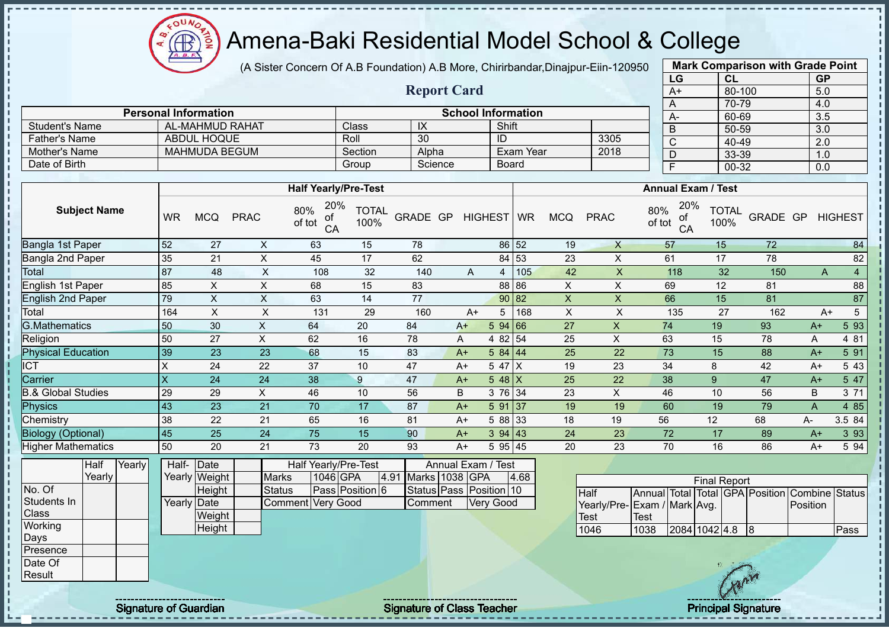$\Omega$ **AB** 

# Amena-Baki Residential Model School & College

(A Sister Concern Of A.B Foundation) A.B More, Chirirbandar,Dinajpur-Eiin-120950

**Report Card**

|      | <b>Mark Comparison with Grade Point</b> |           |
|------|-----------------------------------------|-----------|
| LG   | CL                                      | <b>GP</b> |
| $A+$ | 80-100                                  | 5.0       |
| Α    | 70-79                                   | 4.0       |
| A-   | 60-69                                   | 3.5       |
| B    | 50-59                                   | 3.0       |
| C    | 40-49                                   | 2.0       |
| D    | 33-39                                   | 1.0       |
| F    | 00-32                                   | 0.0       |
|      |                                         |           |

|                      | <b>Personal Information</b> |         |         | <b>School Information</b> |      | $A-$ |
|----------------------|-----------------------------|---------|---------|---------------------------|------|------|
| Student's Name       | AL-MAHMUD RAHAT             | Class   | ₩       | Shift                     |      |      |
| <b>Father's Name</b> | <b>ABDUL HOQUE</b>          | Roll    | 30      | ID                        | 3305 | ╰    |
| Mother's Name        | MAHMUDA BEGUM               | Section | Alpha   | Exam Year                 | 2018 |      |
| Date of Birth        |                             | Group   | Science | Board                     |      |      |

|                           |                           |            |             | <b>Half Yearly/Pre-Test</b>      |                      |                 |      |            |     |              |              | <b>Annual Exam / Test</b>        |                      |          |      |                |
|---------------------------|---------------------------|------------|-------------|----------------------------------|----------------------|-----------------|------|------------|-----|--------------|--------------|----------------------------------|----------------------|----------|------|----------------|
| <b>Subject Name</b>       | WR                        | <b>MCQ</b> | <b>PRAC</b> | 20%<br>80%<br>οf<br>of tot<br>CA | <b>TOTAL</b><br>100% | <b>GRADE GP</b> |      | HIGHEST WR |     | <b>MCQ</b>   | <b>PRAC</b>  | 20%<br>80%<br>οf<br>of tot<br>CA | <b>TOTAL</b><br>100% | GRADE GP |      | <b>HIGHEST</b> |
| Bangla 1st Paper          | 52                        | 27         | X           | 63                               | 15                   | 78              |      | 86 52      |     | 19           | $\mathsf{X}$ | 57                               | 15                   | 72       |      | 84             |
| Bangla 2nd Paper          | 35                        | 21         | Χ           | 45                               | 17                   | 62              |      | 84 53      |     | 23           | X            | 61                               | 17                   | 78       |      | 82             |
| Total                     | 87                        | 48         | X           | 108                              | 32                   | 140             | A    | 4          | 105 | 42           | X            | 118                              | 32                   | 150      | A    | 4              |
| English 1st Paper         | 85                        | X          | X           | 68                               | 15                   | 83              |      | 88 86      |     | X            | X            | 69                               | 12                   | 81       |      | 88             |
| <b>English 2nd Paper</b>  | 79                        | X          | X           | 63                               | 14                   | 77              |      | 90 82      |     | $\mathsf{X}$ | $\times$     | 66                               | 15                   | 81       |      | 87             |
| Total                     | 164                       | X          | X           | 131                              | 29                   | 160             | $A+$ | 5          | 168 | X            | X            | 135                              | 27                   | 162      | $A+$ | 5              |
| <b>G.Mathematics</b>      | 50                        | 30         | X           | 64                               | 20                   | 84              | $A+$ | 594 66     |     | 27           | X            | 74                               | 19                   | 93       | $A+$ | 5 93           |
| Religion                  | 50                        | 27         | X           | 62                               | 16                   | 78              | A    | 4 82 54    |     | 25           | X            | 63                               | 15                   | 78       | A    | 4 81           |
| <b>Physical Education</b> | 39                        | 23         | 23          | 68                               | 15                   | 83              | $A+$ | 584   44   |     | 25           | 22           | 73                               | 15                   | 88       | $A+$ | 5 91           |
| <b>ICT</b>                | Χ                         | 24         | 22          | 37                               | 10                   | 47              | $A+$ | 5 47 X     |     | 19           | 23           | 34                               | 8                    | 42       | $A+$ | 5 4 3          |
| Carrier                   | $\boldsymbol{\mathsf{X}}$ | 24         | 24          | 38                               | 9                    | 47              | $A+$ | $548$ X    |     | 25           | 22           | 38                               | 9                    | 47       | $A+$ | 5 47           |
| & Global Studies          | 29                        | 29         | X           | 46                               | 10                   | 56              | B    | 3 76 34    |     | 23           | X            | 46                               | 10                   | 56       | B    | 3 71           |
| Physics                   | 43                        | 23         | 21          | 70                               | 17                   | 87              | $A+$ | 5 91       | 137 | 19           | 19           | 60                               | 19                   | 79       | A    | 4 8 5          |
| Chemistry                 | 38                        | 22         | 21          | 65                               | 16                   | 81              | $A+$ | 5 88 33    |     | 18           | 19           | 56                               | 12                   | 68       | A-   | 3.5 84         |
| <b>Biology (Optional)</b> | 45                        | 25         | 24          | 75                               | 15                   | 90              | $A+$ | 394   43   |     | 24           | 23           | 72                               | 17                   | 89       | $A+$ | 3 9 3          |
| <b>Higher Mathematics</b> | 50                        | 20         | 21          | 73                               | 20                   | 93              | $A+$ | 5 95 45    |     | 20           | 23           | 70                               | 16                   | 86       | $A+$ | 5 94           |

|              | Half     | Yearly | Half-       | Date          |                   | Half Yearly/Pre-Test |       |                | Annual Exam / Test      |      |  |
|--------------|----------|--------|-------------|---------------|-------------------|----------------------|-------|----------------|-------------------------|------|--|
|              | Yearlv l |        |             | Yearly Weight | <b>Marks</b>      | 1046 GPA             | 14.91 | Marks 1038 GPA |                         | 4.68 |  |
| No. Of       |          |        |             | Height        | <b>Status</b>     | Pass Position 6      |       |                | Status Pass Position 10 |      |  |
| Students In  |          |        | Yearly Date |               | Comment Very Good |                      |       | Comment        | Very Good               |      |  |
| <b>Class</b> |          |        |             | Weight        |                   |                      |       |                |                         |      |  |
| Working      |          |        |             | Height        |                   |                      |       |                |                         |      |  |
| Days         |          |        |             |               |                   |                      |       |                |                         |      |  |
| Presence     |          |        |             |               |                   |                      |       |                |                         |      |  |
| Date Of      |          |        |             |               |                   |                      |       |                |                         |      |  |
| Result       |          |        |             |               |                   |                      |       |                |                         |      |  |

|                             |      |               | <b>Final Report</b> |    |                                                |       |
|-----------------------------|------|---------------|---------------------|----|------------------------------------------------|-------|
| Half                        |      |               |                     |    | Annual Total Total GPA Position Combine Status |       |
| Yearly/Pre-Exam / Mark Avg. |      |               |                     |    | Position                                       |       |
| <b>I</b> Test               | Test |               |                     |    |                                                |       |
| 1046                        | 1038 | 2084 1042 4.8 |                     | 18 |                                                | lPass |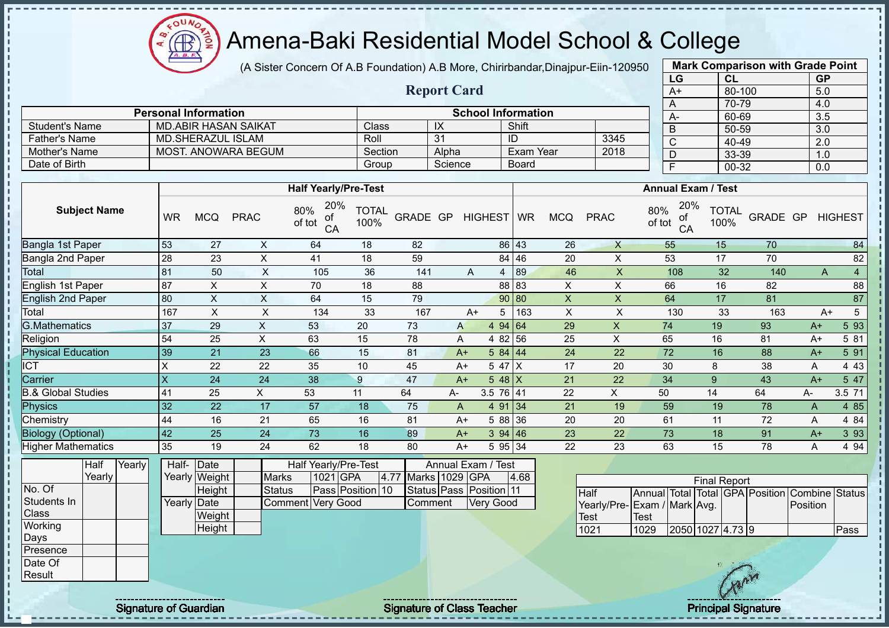**AR** 

# Amena-Baki Residential Model School & College

(A Sister Concern Of A.B Foundation) A.B More, Chirirbandar,Dinajpur-Eiin-120950

**Report Card**

| <b>Mark Comparison with Grade Point</b> |        |                  |  |  |  |  |  |  |  |
|-----------------------------------------|--------|------------------|--|--|--|--|--|--|--|
| LG                                      | CL     | <b>GP</b>        |  |  |  |  |  |  |  |
| $A+$                                    | 80-100 | 5.0              |  |  |  |  |  |  |  |
| A                                       | 70-79  | 4.0              |  |  |  |  |  |  |  |
| А-                                      | 60-69  | $3.\overline{5}$ |  |  |  |  |  |  |  |
| B                                       | 50-59  | 3.0              |  |  |  |  |  |  |  |
| C                                       | 40-49  | 2.0              |  |  |  |  |  |  |  |
| D                                       | 33-39  | 1.0              |  |  |  |  |  |  |  |
| F                                       | 00-32  | 0.0              |  |  |  |  |  |  |  |

|                       | <b>Personal Information</b> |         |         | <b>School Information</b> |      |
|-----------------------|-----------------------------|---------|---------|---------------------------|------|
| <b>Student's Name</b> | MD ABIR HASAN SAIKAT        | Class   | IX      | Shift                     |      |
| <b>Father's Name</b>  | MD.SHERAZUL ISLAM           | Roll    | 31      |                           | 3345 |
| Mother's Name         | MOST. ANOWARA BEGUM         | Section | Alpha   | Exam Year                 | 2018 |
| Date of Birth         |                             | Group   | Science | <b>Board</b>              |      |

|                           |     |            |             | <b>Half Yearly/Pre-Test</b>      |                      |          |    |      |            |     |            |              | <b>Annual Exam / Test</b>        |                      |          |      |                |
|---------------------------|-----|------------|-------------|----------------------------------|----------------------|----------|----|------|------------|-----|------------|--------------|----------------------------------|----------------------|----------|------|----------------|
| <b>Subject Name</b>       | WR  | <b>MCQ</b> | <b>PRAC</b> | 20%<br>80%<br>οf<br>of tot<br>CA | <b>TOTAL</b><br>100% | GRADE GP |    |      | HIGHEST WR |     | <b>MCQ</b> | <b>PRAC</b>  | 20%<br>80%<br>οf<br>of tot<br>CA | <b>TOTAL</b><br>100% | GRADE GP |      | <b>HIGHEST</b> |
| Bangla 1st Paper          | 53  | 27         | X           | 64                               | 18                   | 82       |    |      | 86 43      |     | 26         | $\mathsf{X}$ | 55                               | 15                   | 70       |      | 84             |
| Bangla 2nd Paper          | 28  | 23         | X           | 41                               | 18                   | 59       |    |      | 84 46      |     | 20         | X            | 53                               | 17                   | 70       |      | 82             |
| Total                     | 81  | 50         | X           | 105                              | 36                   | 141      |    | A    | 4          | 89  | 46         | X.           | 108                              | 32                   | 140      | A    | 4              |
| English 1st Paper         | 87  | X          | X           | 70                               | 18                   | 88       |    |      | 88 83      |     | X          | X            | 66                               | 16                   | 82       |      | 88             |
| <b>English 2nd Paper</b>  | 80  | X          | X           | 64                               | 15                   | 79       |    |      | 90 80      |     | X          | X            | 64                               | 17                   | 81       |      | 87             |
| Total                     | 167 | X          | X           | 134                              | 33                   | 167      |    | $A+$ | 5          | 163 | X          | X            | 130                              | 33                   | 163      |      | 5<br>$A+$      |
| <b>G.Mathematics</b>      | 37  | 29         | X           | 53                               | 20                   | 73       |    | A    | 494 64     |     | 29         | X            | 74                               | 19                   | 93       | $A+$ | 5 9 3          |
| Religion                  | 54  | 25         | X           | 63                               | 15                   | 78       |    | A    | 4 82 56    |     | 25         | X            | 65                               | 16                   | 81       | $A+$ | 5 81           |
| <b>Physical Education</b> | 39  | 21         | 23          | 66                               | 15                   | 81       |    | $A+$ | 584 44     |     | 24         | 22           | 72                               | 16                   | 88       | $A+$ | 5 91           |
| <b>ICT</b>                | X   | 22         | 22          | 35                               | 10                   | 45       |    | A+   | 5 47       | ΙX  | 17         | 20           | 30                               | 8                    | 38       | Α    | 4 4 3          |
| Carrier                   | X   | 24         | 24          | 38                               | 9                    | 47       |    | $A+$ | 5 48 $X$   |     | 21         | 22           | 34                               | 9                    | 43       | $A+$ | 5 47           |
| 8.& Global Studies        | 41  | 25         | X           | 53                               | 11                   | 64       | A- |      | 3.5 76 41  |     | 22         | X            | 50                               | 14                   | 64       | A-   | 3.5 71         |
| <b>Physics</b>            | 32  | 22         | 17          | 57                               | 18                   | 75       | A  |      | 4 91 34    |     | 21         | 19           | 59                               | 19                   | 78       | A    | 4 8 5          |
| Chemistry                 | 44  | 16         | 21          | 65                               | 16                   | 81       |    | A+   | 5 88 36    |     | 20         | 20           | 61                               | 11                   | 72       | A    | 4 8 4          |
| <b>Biology (Optional)</b> | 42  | 25         | 24          | 73                               | 16                   | 89       |    | $A+$ | 394   46   |     | 23         | 22           | 73                               | 18                   | 91       | $A+$ | 3 9 3          |
| Higher Mathematics        | 35  | 19         | 24          | 62                               | 18                   | 80       |    | $A+$ | 5 95 34    |     | 22         | 23           | 63                               | 15                   | 78       | A    | 4 9 4          |

|              | Half   | Yearly | Half- Date  |               |                          |          | Half Yearly/Pre-Test |      | Annual Exam / Test |                         |      |  |
|--------------|--------|--------|-------------|---------------|--------------------------|----------|----------------------|------|--------------------|-------------------------|------|--|
|              | Yearlv |        |             | Yearly Weight | <b>Marks</b>             | 1021 GPA |                      | 4.77 | Marks 1029 GPA     |                         | 4.68 |  |
| No. Of       |        |        |             | Height        | Status                   |          | Pass Position 10     |      |                    | Status Pass Position 11 |      |  |
| Students In  |        |        | Yearly Date |               | <b>Comment Very Good</b> |          |                      |      | Comment            | <b>Very Good</b>        |      |  |
| <b>Class</b> |        |        |             | Weight        |                          |          |                      |      |                    |                         |      |  |
| Working      |        |        |             | Height        |                          |          |                      |      |                    |                         |      |  |
| Days         |        |        |             |               |                          |          |                      |      |                    |                         |      |  |
| Presence     |        |        |             |               |                          |          |                      |      |                    |                         |      |  |
| Date Of      |        |        |             |               |                          |          |                      |      |                    |                         |      |  |
| Result       |        |        |             |               |                          |          |                      |      |                    |                         |      |  |

| <b>Final Report</b>          |             |  |                  |  |  |                                                |      |  |  |  |
|------------------------------|-------------|--|------------------|--|--|------------------------------------------------|------|--|--|--|
| <b>Half</b>                  |             |  |                  |  |  | Annual Total Total GPA Position Combine Status |      |  |  |  |
| Yearly/Pre- Exam / Mark Avg. |             |  |                  |  |  | Position                                       |      |  |  |  |
| <b>I</b> Test                | <b>Test</b> |  |                  |  |  |                                                |      |  |  |  |
| 1021                         | 1029        |  | 2050 1027 4.73 9 |  |  |                                                | Pass |  |  |  |

experiment the contract of Class Teacher and the Class Teacher and the Class Teacher Principal Signature of Guardian Signature of Class Teacher and the Principal Signature of Class Teacher and the Class Teacher and the Cla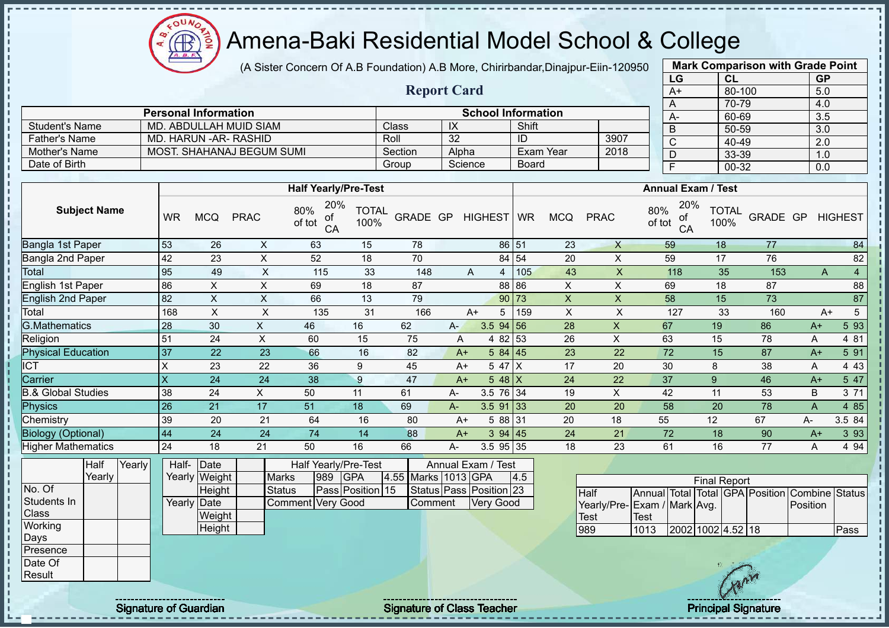(A Sister Concern Of A.B Foundation) A.B More, Chirirbandar,Dinajpur-Eiin-120950

| 0 |      | <b>Mark Comparison with Grade Point</b> |           |
|---|------|-----------------------------------------|-----------|
|   | LG   | <b>CL</b>                               | <b>GP</b> |
|   | $A+$ | 80-100                                  | 5.0       |
|   | A    | 70-79                                   | 4.0       |
|   | A-   | 60-69                                   | 3.5       |
|   | B    | 50-59                                   | 3.0       |
|   | C    | 40-49                                   | 2.0       |
|   | D    | 33-39                                   | 1.0       |
|   | F    | 00-32                                   | 0.0       |
|   |      |                                         |           |

|                      |                             |         | <b>Report Card</b> |                           |      |  |
|----------------------|-----------------------------|---------|--------------------|---------------------------|------|--|
|                      | <b>Personal Information</b> |         |                    | <b>School Information</b> |      |  |
| Student's Name       | MD. ABDULLAH MUID SIAM      | Class   | IX                 | Shift                     |      |  |
| <b>Father's Name</b> | MD. HARUN -AR- RASHID       | Roll    | 32                 | ID                        | 3907 |  |
| Mother's Name        | MOST. SHAHANAJ BEGUM SUMI   | Section | Alpha              | Exam Year                 | 2018 |  |
| Date of Birth        |                             | Group   | Science            | <b>Board</b>              |      |  |

|                               |                         |            |             | <b>Half Yearly/Pre-Test</b>      |                      |          |       |             |       |                |             | <b>Annual Exam / Test</b>        |                      |          |      |                |
|-------------------------------|-------------------------|------------|-------------|----------------------------------|----------------------|----------|-------|-------------|-------|----------------|-------------|----------------------------------|----------------------|----------|------|----------------|
| <b>Subject Name</b>           | <b>WR</b>               | <b>MCQ</b> | <b>PRAC</b> | 20%<br>80%<br>οf<br>of tot<br>CA | <b>TOTAL</b><br>100% | GRADE GP |       | HIGHEST WR  |       | <b>MCQ</b>     | <b>PRAC</b> | 20%<br>80%<br>оf<br>of tot<br>CA | <b>TOTAL</b><br>100% | GRADE GP |      | <b>HIGHEST</b> |
| Bangla 1st Paper              | 53                      | 26         | X           | 63                               | 15                   | 78       |       |             | 86 51 | 23             | X           | 59                               | 18                   | 77       |      | 84             |
| Bangla 2nd Paper              | 42                      | 23         | X           | 52                               | 18                   | 70       |       |             | 84 54 | 20             | X           | 59                               | 17                   | 76       |      | 82             |
| Total                         | 95                      | 49         | X           | 115                              | 33                   | 148      |       | A<br>4      | 105   | 43             | X.          | 118                              | 35                   | 153      | A    | 4              |
| English 1st Paper             | 86                      | X          | Χ           | 69                               | 18                   | 87       |       |             | 88 86 | X              | X           | 69                               | 18                   | 87       |      | 88             |
| <b>English 2nd Paper</b>      | 82                      | X          | X           | 66                               | 13                   | 79       |       |             | 90 73 | $\pmb{\times}$ | X           | 58                               | 15                   | 73       |      | 87             |
| Total                         | 168                     | X          | X           | 135                              | 31                   | 166      |       | A+<br>5     | 159   | X              | X           | 127                              | 33                   | 160      | $A+$ | 5              |
| G.Mathematics                 | 28                      | 30         | X           | 46                               | 16                   | 62       | $A -$ | $3.5$ 94 56 |       | 28             | X           | 67                               | 19                   | 86       | $A+$ | 5 93           |
| Religion                      | 51                      | 24         | X           | 60                               | 15                   | 75       | A     | 4 82 53     |       | 26             | X           | 63                               | 15                   | 78       | Α    | 4 81           |
| <b>Physical Education</b>     | 37                      | 22         | 23          | 66                               | 16                   | 82       | $A+$  | 584   45    |       | 23             | 22          | 72                               | 15                   | 87       | $A+$ | 5 91           |
| ICT                           | X                       | 23         | 22          | 36                               | 9                    | 45       | $A+$  | 5 47 X      |       | 17             | 20          | 30                               | 8                    | 38       | A    | 4 4 3          |
| Carrier                       | $\overline{\mathsf{X}}$ | 24         | 24          | 38                               | 9                    | 47       | $A+$  | 5 48 $X$    |       | 24             | 22          | 37                               | 9                    | 46       | $A+$ | 5 47           |
| <b>B.&amp; Global Studies</b> | 38                      | 24         | X           | 50                               | 11                   | 61       | A-    | 3.5 76 34   |       | 19             | X           | 42                               | 11                   | 53       | B    | 3 71           |
| Physics                       | 26                      | 21         | 17          | 51                               | 18                   | 69       | A-    | $3.5$ 91 33 |       | 20             | 20          | 58                               | 20                   | 78       | A    | 4 8 5          |
| Chemistry                     | 39                      | 20         | 21          | 64                               | 16                   | 80       | $A+$  | 5 88 31     |       | 20             | 18          | 55                               | 12                   | 67       | A-   | 3.5 84         |
| <b>Biology (Optional)</b>     | 44                      | 24         | 24          | 74                               | 14                   | 88       | $A+$  | 394   45    |       | 24             | 21          | 72                               | 18                   | 90       | $A+$ | 3 9 3          |
| <b>Higher Mathematics</b>     | 24                      | 18         | 21          | 50                               | 16                   | 66       | $A -$ | 3.5 95 35   |       | 18             | 23          | 61                               | 16                   | 77       | Α    | 4 9 4          |
|                               |                         |            |             |                                  |                      |          |       |             |       |                |             |                                  |                      |          |      |                |

|                 | Half   | Yearly | Half- Date   |               |                   |      | <b>Half Yearly/Pre-Test</b> |                     | Annual Exam / Test      |     |
|-----------------|--------|--------|--------------|---------------|-------------------|------|-----------------------------|---------------------|-------------------------|-----|
|                 | Yearlv |        |              | Yearly Weight | <b>Marks</b>      | 1989 | <b>IGPA</b>                 | 4.55 Marks 1013 GPA |                         | 4.5 |
| No. Of          |        |        |              | Height        | <b>Status</b>     |      | Pass Position 15            |                     | Status Pass Position 23 |     |
| Students In     |        |        | Yearly  Date |               | Comment Verv Good |      |                             | Comment             | IVerv Good              |     |
| <b>Class</b>    |        |        |              | Weight        |                   |      |                             |                     |                         |     |
| <b>Working</b>  |        |        |              | Height        |                   |      |                             |                     |                         |     |
| <b>IDays</b>    |        |        |              |               |                   |      |                             |                     |                         |     |
| <b>Presence</b> |        |        |              |               |                   |      |                             |                     |                         |     |
| Date Of         |        |        |              |               |                   |      |                             |                     |                         |     |

| <b>Final Report</b>         |       |                   |  |  |  |                                                |      |  |  |  |  |
|-----------------------------|-------|-------------------|--|--|--|------------------------------------------------|------|--|--|--|--|
| <b>Half</b>                 |       |                   |  |  |  | Annual Total Total GPA Position Combine Status |      |  |  |  |  |
| Yearly/Pre-Exam / Mark Avg. |       |                   |  |  |  | <b>Position</b>                                |      |  |  |  |  |
| <b>Test</b>                 | 'Test |                   |  |  |  |                                                |      |  |  |  |  |
| 989                         | 1013  | 2002 1002 4.52 18 |  |  |  |                                                | Pass |  |  |  |  |

Result

Signature of Guardian Signature of Class Teacher Principal Signature of Class Teacher Principal Signature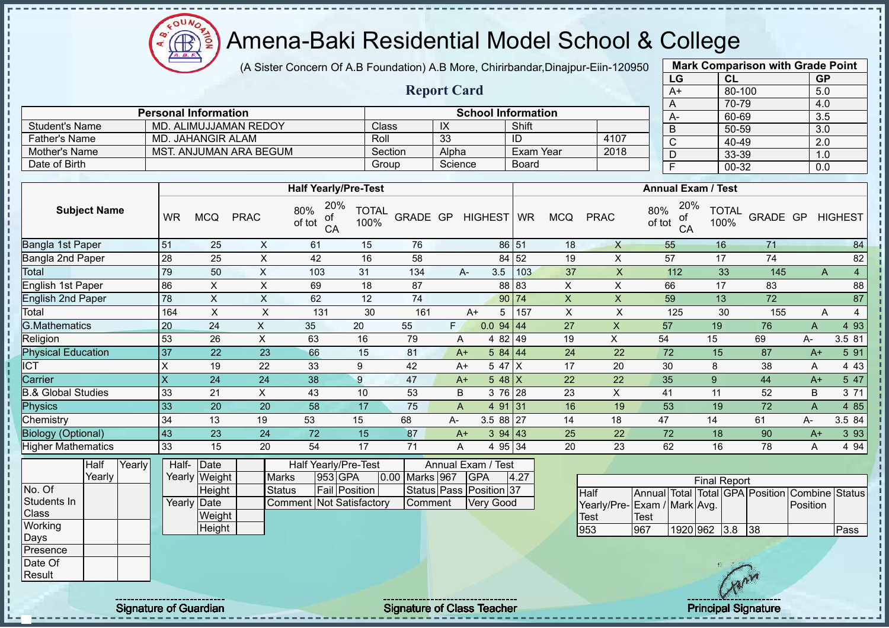$\Omega$ **AR** 

# Amena-Baki Residential Model School & College

(A Sister Concern Of A.B Foundation) A.B More, Chirirbandar,Dinajpur-Eiin-120950

**Report Card**

|      | <b>Mark Comparison with Grade Point</b> |           |
|------|-----------------------------------------|-----------|
| LG   | <b>CL</b>                               | <b>GP</b> |
| $A+$ | 80-100                                  | 5.0       |
| A    | 70-79                                   | 4.0       |
| A-   | 60-69                                   | 3.5       |
| B    | 50-59                                   | 3.0       |
| C    | 40-49                                   | 2.0       |
| D    | 33-39                                   | 1.0       |
| F    | 00-32                                   | 0.0       |
|      |                                         |           |

|                       | <b>Personal Information</b> | <b>School Information</b> |         |           |      |  |  |  |
|-----------------------|-----------------------------|---------------------------|---------|-----------|------|--|--|--|
| <b>Student's Name</b> | MD. ALIMUJJAMAN REDOY       | Class                     | IX      | Shift     |      |  |  |  |
| <b>Father's Name</b>  | MD. JAHANGIR ALAM           | Roll                      | 33      | ID        | 4107 |  |  |  |
| Mother's Name         | MST. ANJUMAN ARA BEGUM      | Section                   | Alpha   | Exam Year | 2018 |  |  |  |
| Date of Birth         |                             | Group                     | Science | Board     |      |  |  |  |

|                           |                           |     |             | <b>Half Yearly/Pre-Test</b>      |                      |          |    |                  |       |            |             | <b>Annual Exam / Test</b>        |                      |          |      |                |
|---------------------------|---------------------------|-----|-------------|----------------------------------|----------------------|----------|----|------------------|-------|------------|-------------|----------------------------------|----------------------|----------|------|----------------|
| <b>Subject Name</b>       | <b>WR</b>                 | MCQ | <b>PRAC</b> | 20%<br>80%<br>οf<br>of tot<br>CA | <b>TOTAL</b><br>100% | GRADE GP |    | HIGHEST WR       |       | <b>MCQ</b> | <b>PRAC</b> | 20%<br>80%<br>οf<br>of tot<br>CA | <b>TOTAL</b><br>100% | GRADE GP |      | <b>HIGHEST</b> |
| Bangla 1st Paper          | 51                        | 25  | X           | 61                               | 15                   | 76       |    |                  | 86 51 | 18         | $\times$    | 55                               | 16                   | 71       |      | 84             |
| Bangla 2nd Paper          | 28                        | 25  | X           | 42                               | 16                   | 58       |    |                  | 84 52 | 19         | X           | 57                               | 17                   | 74       |      | 82             |
| Total                     | 79                        | 50  | X           | 103                              | 31                   | 134      |    | 3.5<br>A-        | 103   | 37         | X           | 112                              | 33                   | 145      |      | A<br>4         |
| English 1st Paper         | 86                        | X   | X           | 69                               | 18                   | 87       |    |                  | 88 83 | X          | X           | 66                               | 17                   | 83       |      | 88             |
| <b>English 2nd Paper</b>  | 78                        | X   | X           | 62                               | 12                   | 74       |    |                  | 90 74 | X          | X           | 59                               | 13                   | 72       |      | 87             |
| Total                     | 164                       | X   | X           | 131                              | 30                   | 161      |    | A+<br>5          | 157   | X          | X           | 125                              | 30                   | 155      |      | Α<br>4         |
| <b>G.Mathematics</b>      | 20                        | 24  | X           | 35                               | 20                   | 55       | F. | $0.0$ 94 44      |       | 27         | X           | 57                               | 19                   | 76       | A    | 4 9 3          |
| Religion                  | 53                        | 26  | X           | 63                               | 16                   | 79       |    | 4 82 49<br>A     |       | 19         | X           | 54                               | 15                   | 69       | A-   | 3.5 81         |
| <b>Physical Education</b> | 37                        | 22  | 23          | 66                               | 15                   | 81       |    | 584   44<br>$A+$ |       | 24         | 22          | 72                               | 15                   | 87       | $A+$ | 5 91           |
| <b>ICT</b>                | X                         | 19  | 22          | 33                               | 9                    | 42       |    | 5 47<br>$A+$     | ΙX    | 17         | 20          | 30                               | 8                    | 38       | Α    | 4 4 3          |
| Carrier                   | $\boldsymbol{\mathsf{X}}$ | 24  | 24          | 38                               | 9                    | 47       |    | 5 48 $X$<br>$A+$ |       | 22         | 22          | 35                               | 9                    | 44       | $A+$ | 5 47           |
| 3.& Global Studies        | 33                        | 21  | $\times$    | 43                               | 10                   | 53       |    | B<br>3 76 28     |       | 23         | X           | 41                               | 11                   | 52       | B    | 3 71           |
| <b>Physics</b>            | 33                        | 20  | 20          | 58                               | 17                   | 75       |    | 4 91 31<br>A     |       | 16         | 19          | 53                               | 19                   | 72       | A    | 4 8 5          |
| Chemistry                 | 34                        | 13  | 19          | 53                               | 15                   | 68       | A- | 3.5 88 27        |       | 14         | 18          | 47                               | 14                   | 61       | A-   | 3.5 84         |
| <b>Biology (Optional)</b> | 43                        | 23  | 24          | 72                               | 15                   | 87       |    | 394 43<br>$A+$   |       | 25         | 22          | 72                               | 18                   | 90       | $A+$ | 3 9 3          |
| <b>Higher Mathematics</b> | 33                        | 15  | 20          | 54                               | 17                   | 71       |    | 4 95 34<br>A     |       | 20         | 23          | 62                               | 16                   | 78       | A    | 4 9 4          |
|                           |                           |     |             |                                  |                      |          |    |                  |       |            |             |                                  |                      |          |      |                |

|              | Half   | Yearly | Half- Date  |               |                                 | Half Yearly/Pre-Test |  | Annual Exam / Test |                         |      |
|--------------|--------|--------|-------------|---------------|---------------------------------|----------------------|--|--------------------|-------------------------|------|
|              | Yearlv |        |             | Yearly Weight | <b>Marks</b>                    | 953 GPA              |  | 0.00 Marks 967     | <b>IGPA</b>             | 4.27 |
| No. Of       |        |        |             | Height        | <b>Status</b>                   | <b>Fail Position</b> |  |                    | Status Pass Position 37 |      |
| Students In  |        |        | Yearly Date |               | <b>Comment Not Satisfactory</b> |                      |  | Comment            | <b>Very Good</b>        |      |
| <b>Class</b> |        |        |             | Weight        |                                 |                      |  |                    |                         |      |
| Working      |        |        |             | Height        |                                 |                      |  |                    |                         |      |
| Days         |        |        |             |               |                                 |                      |  |                    |                         |      |
| Presence     |        |        |             |               |                                 |                      |  |                    |                         |      |
| Date Of      |        |        |             |               |                                 |                      |  |                    |                         |      |
| Result       |        |        |             |               |                                 |                      |  |                    |                         |      |

| <b>Final Report</b>         |      |              |  |  |     |                                                |      |  |  |  |  |  |  |
|-----------------------------|------|--------------|--|--|-----|------------------------------------------------|------|--|--|--|--|--|--|
| <b>Half</b>                 |      |              |  |  |     | Annual Total Total GPA Position Combine Status |      |  |  |  |  |  |  |
| Yearly/Pre-Exam / Mark Avg. |      |              |  |  |     | <b>IPosition</b>                               |      |  |  |  |  |  |  |
| <b>Test</b>                 | Test |              |  |  |     |                                                |      |  |  |  |  |  |  |
| 953                         | 967  | 1920 962 3.8 |  |  | 138 |                                                | Pass |  |  |  |  |  |  |

 $\mathbf{I}$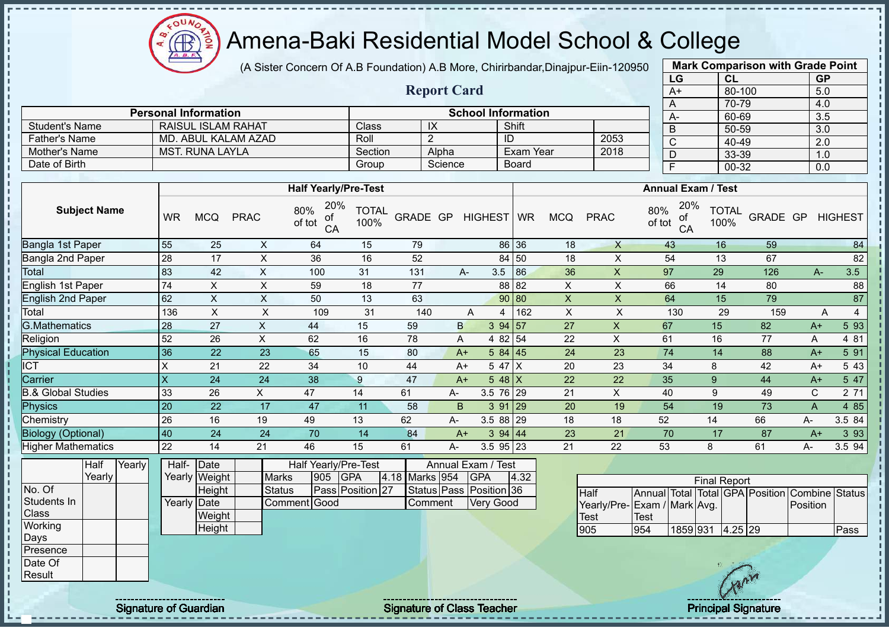$\Omega$ **AR** 

# Amena-Baki Residential Model School & College

(A Sister Concern Of A.B Foundation) A.B More, Chirirbandar,Dinajpur-Eiin-120950

**Report Card**

| <b>Mark Comparison with Grade Point</b> |        |           |  |  |  |  |  |  |  |  |  |  |
|-----------------------------------------|--------|-----------|--|--|--|--|--|--|--|--|--|--|
| LG                                      | CL     | <b>GP</b> |  |  |  |  |  |  |  |  |  |  |
| A+                                      | 80-100 | 5.0       |  |  |  |  |  |  |  |  |  |  |
| A                                       | 70-79  | 4.0       |  |  |  |  |  |  |  |  |  |  |
| А-                                      | 60-69  | 3.5       |  |  |  |  |  |  |  |  |  |  |
| B                                       | 50-59  | 3.0       |  |  |  |  |  |  |  |  |  |  |
| $\mathsf{C}$                            | 40-49  | 2.0       |  |  |  |  |  |  |  |  |  |  |
| D                                       | 33-39  | 1.0       |  |  |  |  |  |  |  |  |  |  |
| E                                       | 00-32  | 0.0       |  |  |  |  |  |  |  |  |  |  |
|                                         |        |           |  |  |  |  |  |  |  |  |  |  |

|                       | <b>Personal Information</b> |         |         | <b>School Information</b> |      | $A-$ |
|-----------------------|-----------------------------|---------|---------|---------------------------|------|------|
| <b>Student's Name</b> | RAISUL ISLAM RAHAT          | Class   | IX      | Shift                     |      |      |
| <b>Father's Name</b>  | MD. ABUL KALAM AZAD         | Roll    |         | ID                        | 2053 |      |
| Mother's Name         | MST. RUNA LAYLA             | Section | Alpha   | Exam Year                 | 2018 |      |
| Date of Birth         |                             | Group   | Science | <b>Board</b>              |      |      |

|                           |           |            |             | <b>Half Yearly/Pre-Test</b>      |                      |          |    |                    |       |            |             | <b>Annual Exam / Test</b>        |                      |          |             |                |
|---------------------------|-----------|------------|-------------|----------------------------------|----------------------|----------|----|--------------------|-------|------------|-------------|----------------------------------|----------------------|----------|-------------|----------------|
| <b>Subject Name</b>       | <b>WR</b> | <b>MCQ</b> | <b>PRAC</b> | 20%<br>80%<br>οf<br>of tot<br>CA | <b>TOTAL</b><br>100% | GRADE GP |    | HIGHEST WR         |       | <b>MCQ</b> | <b>PRAC</b> | 20%<br>80%<br>of<br>of tot<br>CA | <b>TOTAL</b><br>100% | GRADE GP |             | <b>HIGHEST</b> |
| Bangla 1st Paper          | 55        | 25         | X           | 64                               | 15                   | 79       |    |                    | 86 36 | 18         | X           | 43                               | 16                   | 59       |             | 84             |
| Bangla 2nd Paper          | 28        | 17         | X           | 36                               | 16                   | 52       |    |                    | 84 50 | 18         | X           | 54                               | 13                   | 67       |             | 82             |
| Total                     | 83        | 42         | X           | 100                              | 31                   | 131      |    | 3.5<br>A-          | 86    | 36         | X           | 97                               | 29                   | 126      | $A-$        | 3.5            |
| English 1st Paper         | 74        | X.         | X           | 59                               | 18                   | 77       |    |                    | 88 82 | X          | X           | 66                               | 14                   | 80       |             | 88             |
| <b>English 2nd Paper</b>  | 62        | X          | X           | 50                               | 13                   | 63       |    |                    | 90 80 | X          | X           | 64                               | 15                   | 79       |             | 87             |
| Total                     | 136       | X          | X           | 109                              | 31                   | 140      |    | Α<br>4             | 162   | X          | X           | 130                              | 29                   | 159      | Α           | 4              |
| <b>G.Mathematics</b>      | 28        | 27         | X           | 44                               | 15                   | 59       | B  | 394 57             |       | 27         | X           | 67                               | 15                   | 82       | $A+$        | 5 93           |
| Religion                  | 52        | 26         | X           | 62                               | 16                   | 78       |    | 4 82 54<br>A       |       | 22         | X           | 61                               | 16                   | 77       | A           | 4 81           |
| <b>Physical Education</b> | 36        | 22         | 23          | 65                               | 15                   | 80       |    | 584 45<br>$A+$     |       | 24         | 23          | 74                               | 14                   | 88       | $A+$        | 5 91           |
| ICT                       | X         | 21         | 22          | 34                               | 10                   | 44       |    | 5 47 $ X $<br>$A+$ |       | 20         | 23          | 34                               | 8                    | 42       | $A+$        | 5 4 3          |
| Carrier                   | X         | 24         | 24          | 38                               | 9                    | 47       |    | 5 48 $X$<br>$A+$   |       | 22         | 22          | 35                               | 9                    | 44       | $A+$        | 5 47           |
| 3.& Global Studies        | 33        | 26         | X.          | 47                               | 14                   | 61       | A- | 3.5 76 29          |       | 21         | X           | 40                               | 9                    | 49       | $\mathbf C$ | 2 71           |
| Physics                   | 20        | 22         | 17          | 47                               | 11                   | 58       | B  | 3 91               | 29    | 20         | 19          | 54                               | 19                   | 73       | A           | 4 8 5          |
| Chemistry                 | 26        | 16         | 19          | 49                               | 13                   | 62       | А- | $3.588$   29       |       | 18         | 18          | 52                               | 14                   | 66       | А-          | 3.5 84         |
| <b>Biology (Optional)</b> | 40        | 24         | 24          | 70                               | 14                   | 84       |    | 394   44<br>$A+$   |       | 23         | 21          | 70                               | 17                   | 87       | $A+$        | 3 9 3          |
| <b>Higher Mathematics</b> | 22        | 14         | 21          | 46                               | 15                   | 61       | А- | $3.5$ 95 23        |       | 21         | 22          | 53                               | 8                    | 61       | А-          | 3.5 94         |
|                           |           |            |             |                                  |                      |          |    |                    |       |            |             |                                  |                      |          |             |                |

|              | Half   | Yearly | Half- Date  |               | Half Yearly/Pre-Test<br>Annual Exam / Test |     |                  |  |                |  |                         |      |  |
|--------------|--------|--------|-------------|---------------|--------------------------------------------|-----|------------------|--|----------------|--|-------------------------|------|--|
|              | Yearly |        |             | Yearly Weight | <b>Marks</b>                               | 905 | <b>IGPA</b>      |  | 4.18 Marks 954 |  | <b>GPA</b>              | 4.32 |  |
| No. Of       |        |        |             | Height        | <b>Status</b>                              |     | Pass Position 27 |  |                |  | Status Pass Position 36 |      |  |
| Students In  |        |        | Yearly Date |               | Comment Good                               |     |                  |  | Comment        |  | <b>Very Good</b>        |      |  |
| <b>Class</b> |        |        |             | Weight        |                                            |     |                  |  |                |  |                         |      |  |
| Working      |        |        |             | Height        |                                            |     |                  |  |                |  |                         |      |  |
| <b>IDays</b> |        |        |             |               |                                            |     |                  |  |                |  |                         |      |  |
| Presence     |        |        |             |               |                                            |     |                  |  |                |  |                         |      |  |
| Date Of      |        |        |             |               |                                            |     |                  |  |                |  |                         |      |  |
| Result       |        |        |             |               |                                            |     |                  |  |                |  |                         |      |  |

| <b>Final Report</b>          |      |                  |  |  |  |                                                |      |  |  |  |  |  |  |
|------------------------------|------|------------------|--|--|--|------------------------------------------------|------|--|--|--|--|--|--|
| <b>Half</b>                  |      |                  |  |  |  | Annual Total Total GPA Position Combine Status |      |  |  |  |  |  |  |
| Yearly/Pre- Exam / Mark Avg. |      |                  |  |  |  | Position                                       |      |  |  |  |  |  |  |
| <b>I</b> Test                | Test |                  |  |  |  |                                                |      |  |  |  |  |  |  |
| 1905                         | 954  | 1859 931 4.25 29 |  |  |  |                                                | Pass |  |  |  |  |  |  |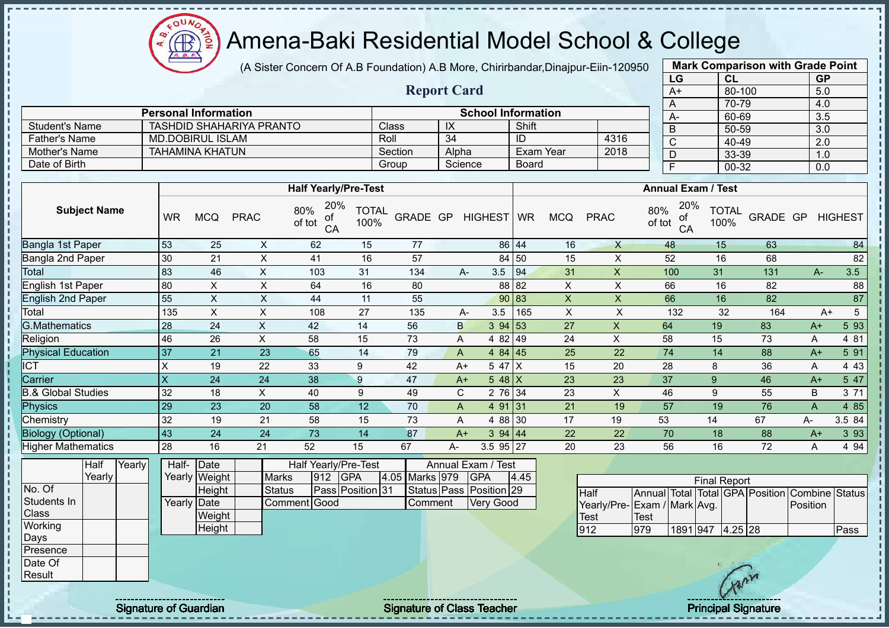(A Sister Concern Of A.B Foundation) A.B More, Chirirbandar,Dinajpur-Eiin-120950

**Report Card**

| <b>Mark Comparison with Grade Point</b> |           |           |  |  |  |  |  |  |  |  |  |  |
|-----------------------------------------|-----------|-----------|--|--|--|--|--|--|--|--|--|--|
| LG                                      | <b>CL</b> | <b>GP</b> |  |  |  |  |  |  |  |  |  |  |
| $A+$                                    | 80-100    | 5.0       |  |  |  |  |  |  |  |  |  |  |
| A                                       | 70-79     | 4.0       |  |  |  |  |  |  |  |  |  |  |
| А-                                      | 60-69     | 3.5       |  |  |  |  |  |  |  |  |  |  |
| B                                       | 50-59     | 3.0       |  |  |  |  |  |  |  |  |  |  |
| C                                       | 40-49     | 2.0       |  |  |  |  |  |  |  |  |  |  |
| D                                       | 33-39     | 1.0       |  |  |  |  |  |  |  |  |  |  |
| E                                       | $00 - 32$ | 0.0       |  |  |  |  |  |  |  |  |  |  |
|                                         |           |           |  |  |  |  |  |  |  |  |  |  |

|                | <b>Personal Information</b>     |              |         | <b>School Information</b> |      | $A -$    |
|----------------|---------------------------------|--------------|---------|---------------------------|------|----------|
| Student's Name | <b>TASHDID SHAHARIYA PRANTO</b> | <b>Class</b> | IX      | Shift                     |      | <b>B</b> |
| ⊺Father's Name | <b>MD.DOBIRUL ISLAM</b>         | Roll         | -34     |                           | 4316 | $\sim$   |
| Mother's Name  | TAHAMINA KHATUN                 | Section      | Alpha   | Exam Year                 | 2018 |          |
| Date of Birth  |                                 | Group        | Science | <b>Board</b>              |      |          |

|                           |           |            |             | <b>Half Yearly/Pre-Test</b>      |                      |          |    |                 |               |            |              | <b>Annual Exam / Test</b>        |                      |          |              |                |
|---------------------------|-----------|------------|-------------|----------------------------------|----------------------|----------|----|-----------------|---------------|------------|--------------|----------------------------------|----------------------|----------|--------------|----------------|
| <b>Subject Name</b>       | <b>WR</b> | <b>MCQ</b> | <b>PRAC</b> | 20%<br>80%<br>of<br>of tot<br>CA | <b>TOTAL</b><br>100% | GRADE GP |    | HIGHEST WR      |               | <b>MCQ</b> | <b>PRAC</b>  | 20%<br>80%<br>οf<br>of tot<br>CA | <b>TOTAL</b><br>100% | GRADE GP |              | <b>HIGHEST</b> |
| Bangla 1st Paper          | 53        | 25         | X           | 62                               | 15                   | 77       |    |                 | 86 44         | 16         | $\mathsf{X}$ | 48                               | 15                   | 63       |              | 84             |
| Bangla 2nd Paper          | 30        | 21         | X           | 41                               | 16                   | 57       |    |                 | 84 50         | 15         | X            | 52                               | 16                   | 68       |              | 82             |
| Total                     | 83        | 46         | X           | 103                              | 31                   | 134      |    | 3.5<br>A-       | 94            | 31         | X            | 100                              | 31                   | 131      | $A-$         | 3.5            |
| English 1st Paper         | 80        | X          | X           | 64                               | 16                   | 80       |    |                 | 88 82         | X          | X            | 66                               | 16                   | 82       |              | 88             |
| <b>English 2nd Paper</b>  | 55        | X          | X           | 44                               | 11                   | 55       |    |                 | 90 83         | X          | X            | 66                               | 16                   | 82       |              | 87             |
| Total                     | 135       | X          | X           | 108                              | 27                   | 135      |    | 3.5<br>A-       | 165           | X          | X            | 132                              | 32                   | 164      | $A+$         | 5              |
| <b>G.Mathematics</b>      | 28        | 24         | X           | 42                               | 14                   | 56       |    | $\mathsf{B}$    | $3 \t94 \t53$ | 27         | X            | 64                               | 19                   | 83       | $A+$         | 5 9 3          |
| Religion                  | 46        | 26         | X           | 58                               | 15                   | 73       |    | A               | 4 82 49       | 24         | X            | 58                               | 15                   | 73       | Α            | 4 81           |
| <b>Physical Education</b> | 37        | 21         | 23          | 65                               | 14                   | 79       |    | A               | $484$   45    | 25         | 22           | 74                               | 14                   | 88       | $A+$         | 5 91           |
| $\overline{CT}$           | X         | 19         | 22          | 33                               | 9                    | 42       |    | 5 47 X<br>$A+$  |               | 15         | 20           | 28                               | 8                    | 36       | A            | 4 4 3          |
| Carrier                   | ΙX        | 24         | 24          | 38                               | 9                    | 47       |    | $548$ X<br>$A+$ |               | 23         | 23           | 37                               | 9                    | 46       | $A+$         | 5 47           |
| 3.& Global Studies        | 32        | 18         | X           | 40                               | 9                    | 49       |    | $\mathbf{C}$    | 2 76 34       | 23         | X            | 46                               | 9                    | 55       | B            | 3 71           |
| Physics                   | 29        | 23         | 20          | 58                               | 12                   | 70       |    | 4 91 31<br>A    |               | 21         | 19           | 57                               | 19                   | 76       | $\mathsf{A}$ | 4 8 5          |
| Chemistry                 | 32        | 19         | 21          | 58                               | 15                   | 73       |    | A               | 4 88 30       | 17         | 19           | 53                               | 14                   | 67       | A-           | 3.5 84         |
| <b>Biology (Optional)</b> | 43        | 24         | 24          | 73                               | 14                   | 87       |    | 394 44<br>$A+$  |               | 22         | 22           | 70                               | 18                   | 88       | $A+$         | 3 9 3          |
| <b>Higher Mathematics</b> | 28        | 16         | 21          | 52                               | 15                   | 67       | А- | 3.5 95 27       |               | 20         | 23           | 56                               | 16                   | 72       | A            | 4 9 4          |
|                           |           |            |             |                                  |                      |          |    |                 |               |            |              |                                  |                      |          |              |                |

|              | Half     | Yearly | Half-       | $\vert$ Date  |               |     | Half Yearly/Pre-Test |                | Annual Exam / Test      |      |             |
|--------------|----------|--------|-------------|---------------|---------------|-----|----------------------|----------------|-------------------------|------|-------------|
|              | Yearly l |        |             | Yearly Weight | <b>Marks</b>  | 912 | <b>IGPA</b>          | 4.05 Marks 979 | <b>GPA</b>              | 4.45 |             |
| No. Of       |          |        |             | Height        | <b>Status</b> |     | Pass Position 31     |                | Status Pass Position 29 |      | Half        |
| Students In  |          |        | Yearly Date |               | Comment Good  |     |                      | <b>Comment</b> | Very Good               |      | Yearly/Pre- |
| <b>Class</b> |          |        |             | Weight        |               |     |                      |                |                         |      | <b>Test</b> |
| Working      |          |        |             | Height        |               |     |                      |                |                         |      | 912         |
| Days         |          |        |             |               |               |     |                      |                |                         |      |             |
| Presence     |          |        |             |               |               |     |                      |                |                         |      |             |
| Date Of      |          |        |             |               |               |     |                      |                |                         |      |             |
| Result       |          |        |             |               |               |     |                      |                |                         |      |             |

| <b>Final Report</b>         |      |                  |  |  |  |                                                |      |  |  |  |  |  |  |  |
|-----------------------------|------|------------------|--|--|--|------------------------------------------------|------|--|--|--|--|--|--|--|
| Half                        |      |                  |  |  |  | Annual Total Total GPA Position Combine Status |      |  |  |  |  |  |  |  |
| Yearly/Pre-Exam / Mark Avg. |      |                  |  |  |  | Position                                       |      |  |  |  |  |  |  |  |
| <b>I</b> Test               | Test |                  |  |  |  |                                                |      |  |  |  |  |  |  |  |
| 1912                        | 979  | 1891 947 4.25 28 |  |  |  |                                                | Pass |  |  |  |  |  |  |  |

**AR** 

Signature of Guardian Teacher Signature of Class Teacher Principal Signature of Guardian Signature of Class Teacher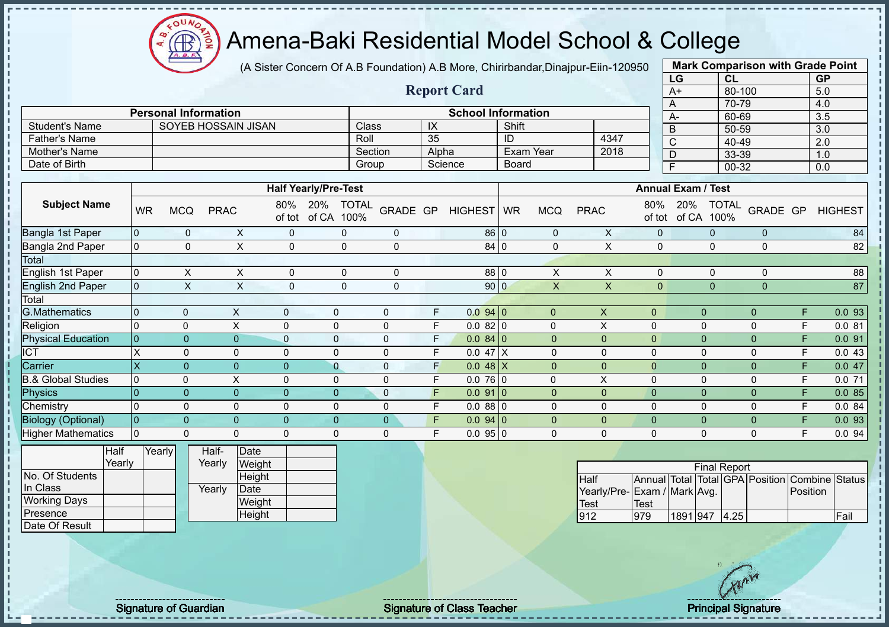(A Sister Concern Of A.B Foundation) A.B More, Chirirbandar,Dinajpur-Eiin-120950

|                               |                |           |                             |                |                                |              |                             |               |                     |                         |         |                           |              |                  |                             |                           | LG                       |              | CL                  |                | <b>GP</b>                                      |                |
|-------------------------------|----------------|-----------|-----------------------------|----------------|--------------------------------|--------------|-----------------------------|---------------|---------------------|-------------------------|---------|---------------------------|--------------|------------------|-----------------------------|---------------------------|--------------------------|--------------|---------------------|----------------|------------------------------------------------|----------------|
|                               |                |           |                             |                |                                |              |                             |               |                     |                         |         | <b>Report Card</b>        |              |                  |                             |                           | $A+$                     |              | 80-100              |                | 5.0                                            |                |
|                               |                |           |                             |                |                                |              |                             |               |                     |                         |         |                           |              |                  |                             |                           | A                        |              | 70-79               |                | 4.0                                            |                |
|                               |                |           | <b>Personal Information</b> |                |                                |              |                             |               |                     |                         |         | <b>School Information</b> |              |                  |                             |                           | $A-$                     |              | 60-69               |                | 3.5                                            |                |
| <b>Student's Name</b>         |                |           |                             |                | <b>SOYEB HOSSAIN JISAN</b>     |              |                             | Class         |                     | $\overline{\mathsf{X}}$ |         |                           | Shift        |                  |                             |                           | B                        |              | 50-59               |                | 3.0                                            |                |
| <b>Father's Name</b>          |                |           |                             |                |                                |              |                             | Roll          |                     | $\overline{35}$         |         |                           | ID           |                  | 4347                        |                           | $\overline{C}$           |              | 40-49               |                | $\overline{2.0}$                               |                |
| Mother's Name                 |                |           |                             |                |                                |              |                             |               | Section             |                         | Alpha   |                           |              | <b>Exam Year</b> | 2018                        |                           | $\overline{D}$           |              | 33-39               |                | 1.0                                            |                |
| Date of Birth                 |                |           |                             |                |                                |              |                             | Group         |                     |                         | Science |                           | <b>Board</b> |                  |                             |                           | $\overline{\mathsf{F}}$  |              | $00 - 32$           |                | 0.0                                            |                |
|                               |                |           |                             |                |                                |              |                             |               |                     |                         |         |                           |              |                  |                             |                           |                          |              |                     |                |                                                |                |
|                               |                |           |                             |                |                                |              | <b>Half Yearly/Pre-Test</b> |               |                     |                         |         |                           |              |                  |                             | <b>Annual Exam / Test</b> |                          |              |                     |                |                                                |                |
| <b>Subject Name</b>           |                | <b>WR</b> | <b>MCQ</b>                  | <b>PRAC</b>    | 80%                            | of tot       | 20%<br>of CA                | TOTAL<br>100% | GRADE GP            |                         |         | <b>HIGHEST</b>            | <b>WR</b>    | <b>MCQ</b>       | <b>PRAC</b>                 | 80%                       | 20%<br>of tot of CA 100% |              | <b>TOTAL</b>        | GRADE GP       |                                                | <b>HIGHEST</b> |
| Bangla 1st Paper              | $\mathbf{0}$   |           | $\mathbf 0$                 |                | X                              | $\Omega$     |                             | $\mathbf{0}$  | $\mathbf 0$         |                         |         | 86 0                      |              | $\mathbf 0$      | X                           | $\mathbf{0}$              |                          | $\Omega$     |                     | $\Omega$       |                                                | 84             |
| Bangla 2nd Paper              | $\overline{0}$ |           | $\mathbf 0$                 |                | $\mathsf{x}$                   | $\mathbf{0}$ |                             | $\mathbf 0$   | $\Omega$            |                         |         | 84 0                      |              | $\mathbf{0}$     | $\mathsf{X}$                | $\mathbf{0}$              |                          | $\Omega$     |                     | $\Omega$       |                                                | 82             |
| Total                         |                |           |                             |                |                                |              |                             |               |                     |                         |         |                           |              |                  |                             |                           |                          |              |                     |                |                                                |                |
| English 1st Paper             | $\mathbf 0$    |           | $\pmb{\times}$              |                | X                              | $\mathbf 0$  |                             | $\mathbf 0$   | 0                   |                         |         | 88 0                      |              | $\pmb{\times}$   | $\pmb{\times}$              | $\mathbf 0$               |                          | $\mathbf 0$  |                     | 0              |                                                | 88             |
| <b>English 2nd Paper</b>      | $\mathbf 0$    |           | $\boldsymbol{\mathsf{X}}$   |                | $\mathsf X$                    | $\mathbf 0$  |                             | $\mathbf 0$   | $\mathbf 0$         |                         |         | 90 0                      |              | $\mathsf{X}$     | $\mathsf{X}$                | $\mathbf{0}$              |                          | $\mathbf 0$  |                     | $\mathbf{0}$   |                                                | 87             |
| Total                         |                |           |                             |                |                                |              |                             |               |                     |                         |         |                           |              |                  |                             |                           |                          |              |                     |                |                                                |                |
| <b>G.Mathematics</b>          | 0              |           | $\mathbf 0$                 | $\pmb{\times}$ |                                | $\mathbf{0}$ | $\mathbf 0$                 |               | $\pmb{0}$           | F                       |         | 0.0940                    |              | $\overline{0}$   | $\boldsymbol{\mathsf{X}}$   | $\pmb{0}$                 |                          | $\mathbf{0}$ |                     | $\overline{0}$ | F                                              | 0.093          |
| Religion                      | $\Omega$       |           | $\pmb{0}$                   | $\pmb{\times}$ | $\mathbf 0$                    |              | $\mathbf 0$                 |               | $\pmb{0}$           | $\mathsf F$             |         | 0.0820                    |              | 0                | $\mathsf X$                 | 0                         |                          | $\pmb{0}$    |                     | $\mathbf 0$    | F                                              | 0.081          |
| <b>Physical Education</b>     | $\overline{0}$ |           | $\mathbf{0}$                |                | $\overline{0}$<br>$\mathbf{0}$ |              | $\mathbf 0$                 |               | $\pmb{0}$           | F                       |         | $0.084$ 0                 |              | $\overline{0}$   | $\mathbf{0}$                | $\pmb{0}$                 |                          | $\pmb{0}$    |                     | $\overline{0}$ | F                                              | 0.091          |
| $\overline{ICT}$              | X              |           | $\mathbf 0$                 | $\Omega$       | $\mathbf 0$                    |              | $\Omega$                    |               | $\pmb{0}$           | F                       |         | $0.047$ X                 |              | $\Omega$         | 0                           | 0                         |                          | $\pmb{0}$    |                     | $\Omega$       | F                                              | 0.043          |
| Carrier                       | X              |           | $\mathbf{0}$                |                | $\overline{0}$<br>$\Omega$     |              | $\overline{0}$              |               | $\pmb{0}$           | F                       |         | $0.048$ X                 |              | $\overline{0}$   | $\overline{0}$              | $\mathbf 0$               |                          | $\mathbf 0$  |                     | $\Omega$       | F                                              | 0.047          |
| <b>B.&amp; Global Studies</b> | $\Omega$       |           | $\pmb{0}$                   | X              | $\mathbf 0$                    |              | $\mathbf 0$                 |               | $\pmb{0}$           | F                       |         | $0.076$ <sub>0</sub>      |              | $\Omega$         | $\pmb{\mathsf{X}}$          | 0                         |                          | $\pmb{0}$    |                     | $\mathbf 0$    | F                                              | 0.071          |
| <b>Physics</b>                | $\Omega$       |           | $\mathbf{0}$                |                | $\overline{0}$<br>$\Omega$     |              | $\Omega$                    |               | $\pmb{0}$           | F                       |         | $0.091$ 0                 |              | $\Omega$         | $\mathbf{0}$                | $\mathbf 0$               |                          | $\mathbf 0$  |                     | $\Omega$       | F                                              | 0.085          |
| Chemistry                     | 0              |           | $\mathbf 0$                 | $\Omega$       | $\mathbf 0$                    |              | $\Omega$                    |               | $\pmb{0}$           | F                       |         | 0.0880                    |              | $\Omega$         | 0                           | $\mathbf 0$               |                          | $\pmb{0}$    |                     | $\Omega$       | E                                              | 0.084          |
| <b>Biology (Optional)</b>     | $\overline{0}$ |           | $\pmb{0}$                   |                | $\overline{0}$<br>$\Omega$     |              | $\mathbf{0}$                |               | $\pmb{0}$           | F                       |         | $0.094$ 0                 |              | $\mathbf 0$      | $\mathbf 0$                 | $\overline{0}$            |                          | $\pmb{0}$    |                     | $\Omega$       |                                                | 0.0 93         |
| <b>Higher Mathematics</b>     | $\mathbf 0$    |           | $\mathbf 0$                 |                | $\mathbf{0}$<br>$\Omega$       |              | $\Omega$                    |               | $\mathsf{O}\xspace$ | F                       |         | 0.0950                    |              | $\mathbf 0$      | $\Omega$                    | $\Omega$                  |                          | $\mathbf 0$  |                     | $\Omega$       | E                                              | 0.094          |
|                               | <b>Half</b>    | Yearly    |                             | Half-          | Date                           |              |                             |               |                     |                         |         |                           |              |                  |                             |                           |                          |              |                     |                |                                                |                |
|                               | Yearly         |           |                             | Yearly         | Weight                         |              |                             |               |                     |                         |         |                           |              |                  |                             |                           |                          |              | <b>Final Report</b> |                |                                                |                |
| No. Of Students               |                |           |                             |                | Height                         |              |                             |               |                     |                         |         |                           |              |                  | Half                        |                           |                          |              |                     |                | Annual Total Total GPA Position Combine Status |                |
| In Class                      |                |           |                             | Yearly         | Date                           |              |                             |               |                     |                         |         |                           |              |                  | Yearly/Pre-Exam / Mark Avg. |                           |                          |              |                     |                | Position                                       |                |
| <b>Working Days</b>           |                |           |                             |                | Weight                         |              |                             |               |                     |                         |         |                           |              |                  | <b>Test</b>                 | <b>Test</b>               |                          |              |                     |                |                                                |                |
| Presence                      |                |           |                             |                | Height                         |              |                             |               |                     |                         |         |                           |              |                  | 912                         | 979                       |                          |              | 1891 947 4.25       |                |                                                | Fail           |

**Mark Comparison with Grade Point**

Signature of Guardian Signature of Class Teacher Principal Signature Principal Signature

 $\Omega$ Æ

Date Of Result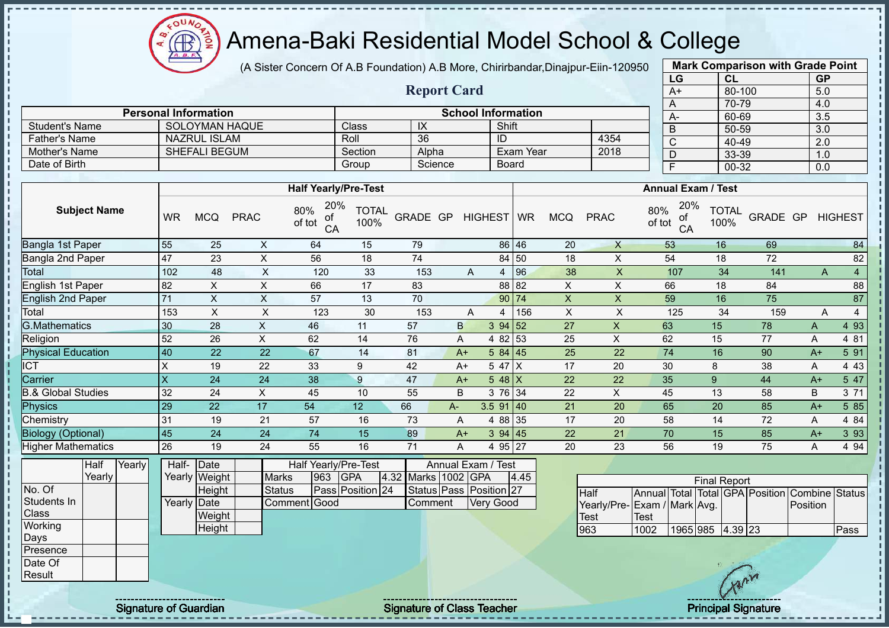$\Omega$ **AB** 

# Amena-Baki Residential Model School & College

(A Sister Concern Of A.B Foundation) A.B More, Chirirbandar,Dinajpur-Eiin-120950

**Report Card**

| <b>Mark Comparison with Grade Point</b> |        |           |  |  |  |  |  |  |  |  |  |
|-----------------------------------------|--------|-----------|--|--|--|--|--|--|--|--|--|
| LG                                      | CL     | <b>GP</b> |  |  |  |  |  |  |  |  |  |
| $A+$                                    | 80-100 | 5.0       |  |  |  |  |  |  |  |  |  |
| A                                       | 70-79  | 4.0       |  |  |  |  |  |  |  |  |  |
| A-                                      | 60-69  | 3.5       |  |  |  |  |  |  |  |  |  |
| B                                       | 50-59  | 3.0       |  |  |  |  |  |  |  |  |  |
| C                                       | 40-49  | 2.0       |  |  |  |  |  |  |  |  |  |
| D                                       | 33-39  | 1.0       |  |  |  |  |  |  |  |  |  |
| F                                       | 00-32  | 0.0       |  |  |  |  |  |  |  |  |  |
|                                         |        |           |  |  |  |  |  |  |  |  |  |

| <b>Student's Name</b>         |           | SOLOYMAN HAQUE       |                |                                  | Class                | IX              |         |              | Shift       |            |              | $\Gamma$<br>B                    | vv-vv<br>50-59       |          | ◡.◡<br>3.0 |                |
|-------------------------------|-----------|----------------------|----------------|----------------------------------|----------------------|-----------------|---------|--------------|-------------|------------|--------------|----------------------------------|----------------------|----------|------------|----------------|
| <b>Father's Name</b>          |           | <b>NAZRUL ISLAM</b>  |                |                                  | Roll                 | $\overline{36}$ |         |              | ID          |            | 4354         | C                                | 40-49                |          | 2.0        |                |
| Mother's Name                 |           | <b>SHEFALI BEGUM</b> |                |                                  | Section              | Alpha           |         |              | Exam Year   |            | 2018         | D                                | 33-39                |          | 1.0        |                |
| Date of Birth                 |           |                      |                |                                  | Group                |                 | Science |              | Board       |            |              | F                                | 00-32                |          | 0.0        |                |
|                               |           |                      |                |                                  |                      |                 |         |              |             |            |              |                                  |                      |          |            |                |
|                               |           |                      |                | <b>Half Yearly/Pre-Test</b>      |                      |                 |         |              |             |            |              | <b>Annual Exam / Test</b>        |                      |          |            |                |
| <b>Subject Name</b>           | <b>WR</b> | <b>MCQ</b>           | <b>PRAC</b>    | 20%<br>80%<br>оf<br>of tot<br>CA | <b>TOTAL</b><br>100% | GRADE GP        |         | HIGHEST   WR |             | <b>MCQ</b> | <b>PRAC</b>  | 20%<br>80%<br>of<br>of tot<br>CA | <b>TOTAL</b><br>100% | GRADE GP |            | <b>HIGHEST</b> |
| Bangla 1st Paper              | 55        | 25                   | X              | 64                               | 15                   | 79              |         |              | 86 46       | 20         | $\mathsf{X}$ | 53                               | 16                   | 69       |            | 84             |
| Bangla 2nd Paper              | 47        | 23                   | $\pmb{\times}$ | 56                               | 18                   | 74              |         |              | 84 50       | 18         | X            | 54                               | 18                   | 72       |            | 82             |
| Total                         | 102       | 48                   | X              | 120                              | 33                   | 153             |         | A            | 96<br>4     | 38         | X            | 107                              | 34                   | 141      | A          | $\overline{4}$ |
| English 1st Paper             | 82        | X.                   | X              | 66                               | 17                   | 83              |         |              | 88 82       | X          | X            | 66                               | 18                   | 84       |            | 88             |
| <b>English 2nd Paper</b>      | 71        | X                    | X              | 57                               | 13                   | 70              |         |              | 90 74       | X          | X            | 59                               | 16                   | 75       |            | 87             |
| Total                         | 153       | X                    | X              | 123                              | 30                   | 153             |         | A            | 156<br>4    | X          | X            | 125                              | 34                   | 159      | A          | 4              |
| <b>G.Mathematics</b>          | 30        | 28                   | X              | 46                               | 11                   | 57              | B       |              | 52<br>394   | 27         | X            | 63                               | 15                   | 78       | A          | 4 9 3          |
| Religion                      | 52        | 26                   | X              | 62                               | 14                   | 76              | A       |              | 53<br>4 8 2 | 25         | X            | 62                               | 15                   | 77       | A          | 4 81           |
| <b>Physical Education</b>     | 40        | 22                   | 22             | 67                               | 14                   | 81              | $A+$    |              | 584 45      | 25         | 22           | 74                               | 16                   | 90       | $A+$       | 5 91           |
| <b>ICT</b>                    | X         | 19                   | 22             | 33                               | 9                    | 42              | $A+$    |              | 5 47 X      | 17         | 20           | 30                               | 8                    | 38       | Α          | 4 4 3          |
| Carrier                       | X         | 24                   | 24             | 38                               | 9                    | 47              | $A+$    |              | 5 48 $X$    | 22         | 22           | 35                               | 9                    | 44       | $A+$       | 5 47           |
| <b>B.&amp; Global Studies</b> | 32        | 24                   | X              | 45                               | 10                   | 55              | B       |              | 3 76 34     | 22         | X            | 45                               | 13                   | 58       | B          | 3 7 1          |
| <b>Physics</b>                | 29        | 22                   | 17             | 54                               | 12 <sup>°</sup>      | 66              | A-      |              | $3.5$ 91 40 | 21         | 20           | 65                               | 20                   | 85       | $A+$       | 5 8 5          |
| Chemistry                     | 31        | 19                   | 21             | 57                               | 16                   | 73              | A       |              | 4 88 35     | 17         | 20           | 58                               | 14                   | 72       | A          | 4 84           |
| <b>Biology (Optional)</b>     | 45        | 24                   | 24             | 74                               | 15                   | 89              | $A+$    |              | 394   45    | 22         | 21           | 70                               | 15                   | 85       | $A+$       | 3 9 3          |
| Higher Mathematics            | 26        | 19                   | 24             | 55                               | 16                   | 71              | A       |              | 4 95 27     | 20         | 23           | 56                               | 19                   | 75       | Α          | 4 9 4          |
|                               |           |                      |                |                                  |                      |                 |         |              |             |            |              |                                  |                      |          |            |                |

|              | Half   | Yearly | Half- Date  |               | Annual Exam / Test<br><b>Half Yearly/Pre-Test</b> |     |                  |  |                     |  |                         |      |  |
|--------------|--------|--------|-------------|---------------|---------------------------------------------------|-----|------------------|--|---------------------|--|-------------------------|------|--|
|              | Yearly |        |             | Yearly Weight | <b>Marks</b>                                      | 963 | <b>IGPA</b>      |  | 4.32 Marks 1002 GPA |  |                         | 4.45 |  |
| No. Of       |        |        |             | Height        | Status                                            |     | Pass Position 24 |  |                     |  | Status Pass Position 27 |      |  |
| Students In  |        |        | Yearly Date |               | Comment Good                                      |     |                  |  | lComment            |  | Verv Good               |      |  |
| <b>Class</b> |        |        |             | Weight        |                                                   |     |                  |  |                     |  |                         |      |  |
| Working      |        |        |             | Height        |                                                   |     |                  |  |                     |  |                         |      |  |
| Days         |        |        |             |               |                                                   |     |                  |  |                     |  |                         |      |  |
| Presence     |        |        |             |               |                                                   |     |                  |  |                     |  |                         |      |  |
| Date Of      |        |        |             |               |                                                   |     |                  |  |                     |  |                         |      |  |
| Result       |        |        |             |               |                                                   |     |                  |  |                     |  |                         |      |  |

**Personal Information**<br> **School Information**<br> **School Information**<br> **School Information** 

|                             | <b>Final Report</b> |                  |  |  |  |                                                |      |  |  |  |  |  |  |  |  |
|-----------------------------|---------------------|------------------|--|--|--|------------------------------------------------|------|--|--|--|--|--|--|--|--|
| <b>Half</b>                 |                     |                  |  |  |  | Annual Total Total GPA Position Combine Status |      |  |  |  |  |  |  |  |  |
| Yearly/Pre-Exam / Mark Avg. |                     |                  |  |  |  | <b>Position</b>                                |      |  |  |  |  |  |  |  |  |
| Test                        | Test                |                  |  |  |  |                                                |      |  |  |  |  |  |  |  |  |
| 963                         | 1002                | 1965 985 4.39 23 |  |  |  |                                                | Pass |  |  |  |  |  |  |  |  |

Signature of Guardian Signature of Class Teacher Principal Signature of Guardian Signature of Class Teacher Principal Signature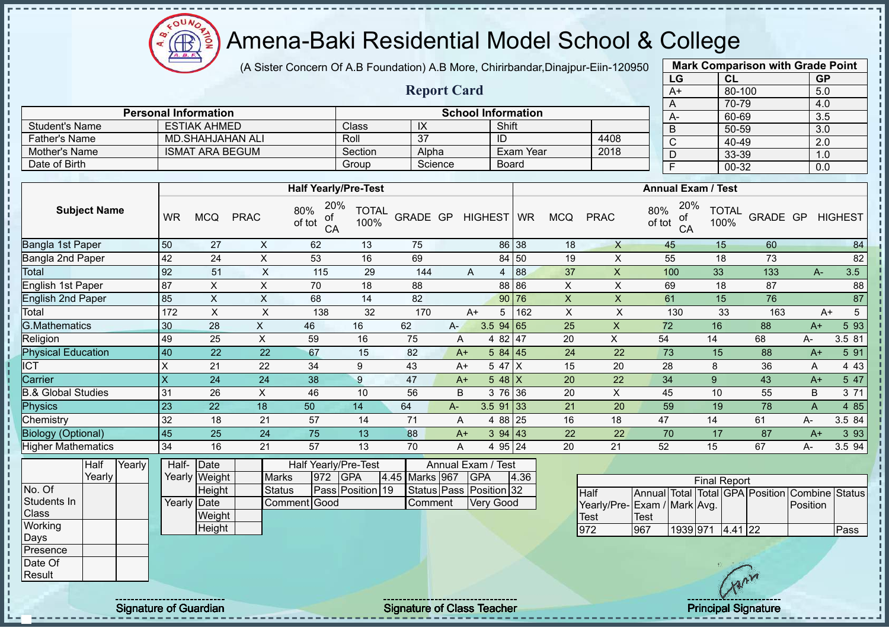OUN Æ

# Amena-Baki Residential Model School & College

(A Sister Concern Of A.B Foundation) A.B More, Chirirbandar,Dinajpur-Eiin-120950

**Report Card**

**Personal Information School Information** 

Father's Name MD.SHAHJAHAN ALI Roll 37 ID 4408<br>Mother's Name ISMAT ARA BEGUM Section Alpha Exam Year 2018

Student's Name ESTIAK AHMED<br>
Father's Name MD.SHAHJAHAN ALI Roll 37 ID

Date of Birth Board Group Science Board

Mother's Name **ISMAT ARA BEGUM** Section Alpha

| <b>Mark Comparison with Grade Point</b> |        |           |  |  |  |  |  |  |  |  |  |
|-----------------------------------------|--------|-----------|--|--|--|--|--|--|--|--|--|
| LG                                      | CL     | <b>GP</b> |  |  |  |  |  |  |  |  |  |
| $A+$                                    | 80-100 | 5.0       |  |  |  |  |  |  |  |  |  |
| A                                       | 70-79  | 4.0       |  |  |  |  |  |  |  |  |  |
| A-                                      | 60-69  | 3.5       |  |  |  |  |  |  |  |  |  |
| B                                       | 50-59  | 3.0       |  |  |  |  |  |  |  |  |  |
| C                                       | 40-49  | 2.0       |  |  |  |  |  |  |  |  |  |
| D                                       | 33-39  | 1.0       |  |  |  |  |  |  |  |  |  |
| F                                       | 00-32  | 0.0       |  |  |  |  |  |  |  |  |  |
|                                         |        |           |  |  |  |  |  |  |  |  |  |

|                               |                         |                |              | <b>Half Yearly/Pre-Test</b>      |               |                |       |                                  |             |            |              | <b>Annual Exam / Test</b>        |                      |          |      |                |
|-------------------------------|-------------------------|----------------|--------------|----------------------------------|---------------|----------------|-------|----------------------------------|-------------|------------|--------------|----------------------------------|----------------------|----------|------|----------------|
| <b>Subject Name</b>           | <b>WR</b>               | <b>MCQ</b>     | <b>PRAC</b>  | 20%<br>80%<br>of<br>of tot<br>CA | TOTAL<br>100% | GRADE GP       |       | HIGHEST WR                       |             | <b>MCQ</b> | <b>PRAC</b>  | 20%<br>80%<br>οf<br>of tot<br>CA | <b>TOTAL</b><br>100% | GRADE GP |      | <b>HIGHEST</b> |
| Bangla 1st Paper              | 50                      | 27             | X            | 62                               | 13            | 75             |       |                                  | 86 38       | 18         | $\mathsf{X}$ | 45                               | 15                   | 60       |      | 84             |
| Bangla 2nd Paper              | 42                      | 24             | X            | 53                               | 16            | 69             |       |                                  | 84 50       | 19         | X            | 55                               | 18                   | 73       |      | 82             |
| Total                         | 92                      | 51             | X            | 115                              | 29            | 144            |       | A                                | 88<br>4     | 37         | X            | 100                              | 33                   | 133      | A-   | 3.5            |
| English 1st Paper             | 87                      | X              | X            | 70                               | 18            | 88             |       |                                  | 88 86       | X          | X            | 69                               | 18                   | 87       |      | 88             |
| <b>English 2nd Paper</b>      | 85                      | X              | X            | 68                               | 14            | 82             |       |                                  | 90 76       | X          | X.           | 61                               | 15                   | 76       |      | 87             |
| Total                         | 172                     | Χ              | X            | 138                              | 32            | 170            |       | $A+$                             | 162<br>5    | X          | X            | 130                              | 33                   | 163      |      | 5<br>$A+$      |
| <b>G.Mathematics</b>          | 30                      | 28             | X            | 46                               | 16            | 62             | $A -$ |                                  | $3.5$ 94 65 | 25         | X            | 72                               | 16                   | 88       | $A+$ | 5 93           |
| Religion                      | 49                      | 25             | X            | 59                               | 16            | 75             |       | A                                | 4 82 47     | 20         | X            | 54                               | 14                   | 68       | A-   | 3.5 81         |
| <b>Physical Education</b>     | 40                      | 22             | 22           | 67                               | 15            | 82             |       | $A+$                             | 584 45      | 24         | 22           | 73                               | 15                   | 88       | $A+$ | 5 91           |
| <b>ICT</b>                    | X                       | 21             | 22           | 34                               | 9             | 43             |       | A+                               | 5 47 X      | 15         | 20           | 28                               | 8                    | 36       | A    | 4 4 3          |
| Carrier                       | $\overline{\mathsf{x}}$ | 24             | 24           | 38                               | 9             | 47             |       | $A+$                             | $548$ X     | 20         | 22           | 34                               | 9                    | 43       | $A+$ | 5 47           |
| <b>B.&amp; Global Studies</b> | 31                      | 26             | X            | 46                               | 10            | 56             |       | B                                | 3 76 36     | 20         | X            | 45                               | 10                   | 55       | B    | 3 71           |
| Physics                       | 23                      | 22             | 18           | 50                               | 14            | 64             | $A -$ |                                  | $3.5$ 91 33 | 21         | 20           | 59                               | 19                   | 78       | A    | 4 8 5          |
| Chemistry                     | 32                      | 18             | 21           | 57                               | 14            | 71             |       | A                                | 4 88 25     | 16         | 18           | 47                               | 14                   | 61       | A-   | 3.5 84         |
| <b>Biology (Optional)</b>     | 45                      | 25             | 24           | 75                               | 13            | 88             |       | $A+$                             | 394 43      | 22         | 22           | 70                               | 17                   | 87       | $A+$ | 3 9 3          |
| <b>Higher Mathematics</b>     | 34                      | 16             | 21           | 57                               | 13            | 70             |       | A                                | 4 95 24     | 20         | 21           | 52                               | 15                   | 67       | А-   | 3.5 94         |
| Half<br>Yearly<br>Yearly      | Half-<br>Yearly         | Date<br>Weight | <b>Marks</b> | Half Yearly/Pre-Test<br>972      | <b>GPA</b>    | 4.45 Marks 967 |       | Annual Exam / Test<br><b>GPA</b> | 4.36        |            |              |                                  | <b>Final Report</b>  |          |      |                |

|                 | ттан   | TCAIIV | ⊓all−               | i valt        | <b>NAIL IGAILV/LIG-IGSL</b> |               | Alliludi Exdili / Test |  |                |                         |      |                              |             |          |                     |         |                            |                                               |      |
|-----------------|--------|--------|---------------------|---------------|-----------------------------|---------------|------------------------|--|----------------|-------------------------|------|------------------------------|-------------|----------|---------------------|---------|----------------------------|-----------------------------------------------|------|
|                 | Yearly |        |                     | Yearly Weight | <b>Marks</b>                | $ 972\rangle$ | <b>IGPA</b>            |  | 4.45 Marks 967 | <b>IGPA</b>             | 4.36 |                              |             |          | <b>Final Report</b> |         |                            |                                               |      |
| No. Of          |        |        |                     | Height        | Status                      |               | Pass Position 19       |  |                | Status Pass Position 32 |      | <b>Half</b>                  |             |          |                     |         |                            | Annual Total Total GPA Position Combine Statu |      |
| Students In     |        |        | Yearly <b>IDate</b> |               | Comment Good                |               |                        |  | Comment        | Very Good               |      | Yearly/Pre- Exam / Mark Avg. |             |          |                     |         |                            | Position                                      |      |
| <b>Class</b>    |        |        |                     | Weight        |                             |               |                        |  |                |                         |      | Test                         | <b>Test</b> |          |                     |         |                            |                                               |      |
| Working<br>Days |        |        |                     | Height        |                             |               |                        |  |                |                         |      | 972                          | 967         | 1939 971 |                     | 4.41 22 |                            |                                               | Pass |
| Presence        |        |        |                     |               |                             |               |                        |  |                |                         |      |                              |             |          |                     |         |                            |                                               |      |
| Date Of         |        |        |                     |               |                             |               |                        |  |                |                         |      |                              |             |          |                     |         |                            |                                               |      |
| Result          |        |        |                     |               |                             |               |                        |  |                |                         |      |                              |             |          |                     |         | $\mathbb{C}^{\mathcal{N}}$ |                                               |      |

T

Signature of Guardian Signature of Class Teacher Principal Signature Principal Signature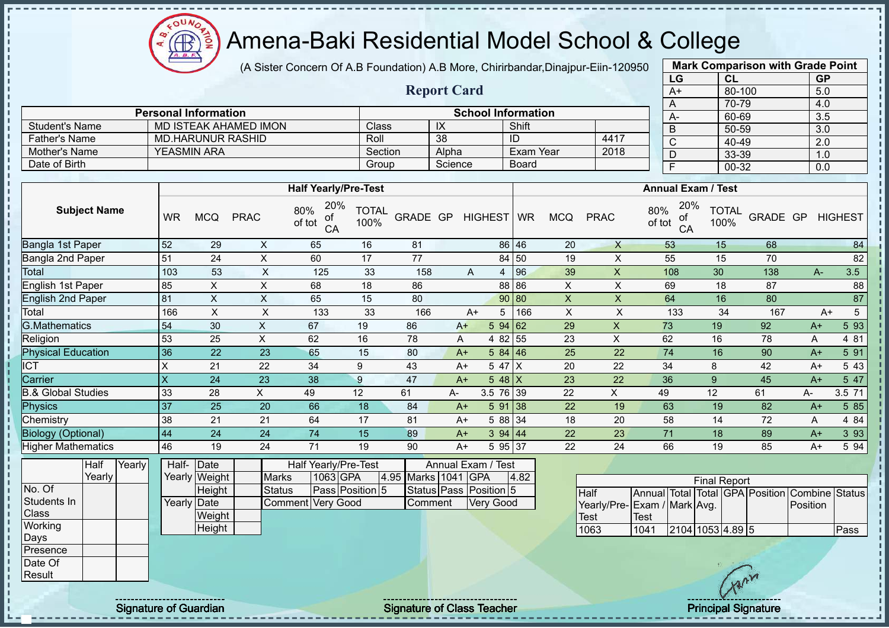(A Sister Concern Of A.B Foundation) A.B More, Chirirbandar,Dinajpur-Eiin-120950

**Report Card**

| <b>Mark Comparison with Grade Point</b><br>LG |           |  |  |  |  |  |  |  |  |  |  |
|-----------------------------------------------|-----------|--|--|--|--|--|--|--|--|--|--|
| CL                                            | <b>GP</b> |  |  |  |  |  |  |  |  |  |  |
| 80-100                                        | 5.0       |  |  |  |  |  |  |  |  |  |  |
| 70-79                                         | 4.0       |  |  |  |  |  |  |  |  |  |  |
| 60-69                                         | 3.5       |  |  |  |  |  |  |  |  |  |  |
| 50-59                                         | 3.0       |  |  |  |  |  |  |  |  |  |  |
| 40-49                                         | 2.0       |  |  |  |  |  |  |  |  |  |  |
| 33-39                                         | 1.0       |  |  |  |  |  |  |  |  |  |  |
| 00-32                                         | 0.0       |  |  |  |  |  |  |  |  |  |  |
|                                               |           |  |  |  |  |  |  |  |  |  |  |

|                      | <b>Personal Information</b> |         |         | <b>School Information</b> |      |
|----------------------|-----------------------------|---------|---------|---------------------------|------|
| Student's Name       | MD ISTEAK AHAMED IMON       | Class   | ᠕       | Shift                     |      |
| <b>Father's Name</b> | MD HARUNUR RASHID           | Roll    | 38      | ID                        | 4417 |
| Mother's Name        | <b>YEASMIN ARA</b>          | Section | Alpha   | Exam Year                 | 2018 |
| Date of Birth        |                             | Group   | Science | Board                     |      |

|                               |           |            |             | <b>Half Yearly/Pre-Test</b>      |                      |          |    |      |            |     |            |             | <b>Annual Exam / Test</b>        |                      |          |      |                |
|-------------------------------|-----------|------------|-------------|----------------------------------|----------------------|----------|----|------|------------|-----|------------|-------------|----------------------------------|----------------------|----------|------|----------------|
| <b>Subject Name</b>           | <b>WR</b> | <b>MCQ</b> | <b>PRAC</b> | 20%<br>80%<br>οf<br>of tot<br>CA | <b>TOTAL</b><br>100% | GRADE GP |    |      | HIGHEST WR |     | <b>MCQ</b> | <b>PRAC</b> | 20%<br>80%<br>of<br>of tot<br>CA | <b>TOTAL</b><br>100% | GRADE GP |      | <b>HIGHEST</b> |
| Bangla 1st Paper              | 52        | 29         | X           | 65                               | 16                   | 81       |    |      | 86 46      |     | 20         | $\times$    | 53                               | 15                   | 68       |      | 84             |
| Bangla 2nd Paper              | 51        | 24         | X           | 60                               | 17                   | 77       |    |      | 84 50      |     | 19         | X           | 55                               | 15                   | 70       |      | 82             |
| Total                         | 103       | 53         | X           | 125                              | 33                   | 158      |    | A    | 4          | 96  | 39         | X           | 108                              | 30                   | 138      |      | 3.5<br>$A -$   |
| English 1st Paper             | 85        | X          | X           | 68                               | 18                   | 86       |    |      | 88 86      |     | X          | X           | 69                               | 18                   | 87       |      | 88             |
| English 2nd Paper             | 81        | X          | X           | 65                               | 15                   | 80       |    |      | 90 80      |     | X          | X           | 64                               | 16                   | 80       |      | 87             |
| Total                         | 166       | X          | X           | 133                              | 33                   | 166      |    | $A+$ | 5          | 166 | X          | X           | 133                              | 34                   | 167      |      | 5<br>A+        |
| <b>G.Mathematics</b>          | 54        | 30         | X           | 67                               | 19                   | 86       |    | $A+$ | 594 62     |     | 29         | X           | 73                               | 19                   | 92       | $A+$ | 5 93           |
| Religion                      | 53        | 25         | X           | 62                               | 16                   | 78       |    | A    | 4 82 55    |     | 23         | X           | 62                               | 16                   | 78       | A    | 4 81           |
| <b>Physical Education</b>     | 36        | 22         | 23          | 65                               | 15                   | 80       |    | $A+$ | 584   46   |     | 25         | 22          | 74                               | 16                   | 90       | $A+$ | 5 91           |
| <b>ICT</b>                    | X         | 21         | 22          | 34                               | 9                    | 43       |    | $A+$ | 5 47 X     |     | 20         | 22          | 34                               | 8                    | 42       | $A+$ | 5 4 3          |
| Carrier                       | X         | 24         | 23          | 38                               | 9                    | 47       |    | $A+$ | 5 48 $X$   |     | 23         | 22          | 36                               | 9                    | 45       | $A+$ | 5 47           |
| <b>B.&amp; Global Studies</b> | 33        | 28         | X.          | 49                               | 12                   | 61       | A- |      | 3.5 76 39  |     | 22         | X           | 49                               | 12                   | 61       | A-   | 3.5 71         |
| Physics                       | 37        | 25         | 20          | 66                               | 18                   | 84       |    | $A+$ | 591 38     |     | 22         | 19          | 63                               | 19                   | 82       | $A+$ | 5 85           |
| Chemistry                     | 38        | 21         | 21          | 64                               | 17                   | 81       |    | $A+$ | 5 88 34    |     | 18         | 20          | 58                               | 14                   | 72       | A    | 4 8 4          |
| <b>Biology (Optional)</b>     | 44        | 24         | 24          | 74                               | 15                   | 89       |    | $A+$ | 394   44   |     | 22         | 23          | 71                               | 18                   | 89       | $A+$ | 3 9 3          |
| <b>Higher Mathematics</b>     | 46        | 19         | 24          | 71                               | 19                   | 90       |    | $A+$ | 5 95 37    |     | 22         | 24          | 66                               | 19                   | 85       | $A+$ | 5 94           |

|                 | Half     | Yearly | Half- Date  |               |                   |          | Half Yearly/Pre-Test |                     | Annual Exam / Test     |      |  |
|-----------------|----------|--------|-------------|---------------|-------------------|----------|----------------------|---------------------|------------------------|------|--|
|                 | Yearlv l |        |             | Yearly Weight | <b>Marks</b>      | 1063 GPA |                      | 4.95 Marks 1041 GPA |                        | 4.82 |  |
| No. Of          |          |        |             | Height        | <b>Status</b>     |          | Pass Position 5      |                     | Status Pass Position 5 |      |  |
| Students In     |          |        | Yearly Date |               | Comment Very Good |          |                      | Comment             | <b>Verv Good</b>       |      |  |
| <b>Class</b>    |          |        |             | Weight        |                   |          |                      |                     |                        |      |  |
| Working         |          |        |             | Height        |                   |          |                      |                     |                        |      |  |
| Days            |          |        |             |               |                   |          |                      |                     |                        |      |  |
| Presence        |          |        |             |               |                   |          |                      |                     |                        |      |  |
| <b>IDate Of</b> |          |        |             |               |                   |          |                      |                     |                        |      |  |
| Result          |          |        |             |               |                   |          |                      |                     |                        |      |  |

| <b>Final Report</b>          |      |                  |  |  |  |                                                |      |  |  |  |  |  |  |  |
|------------------------------|------|------------------|--|--|--|------------------------------------------------|------|--|--|--|--|--|--|--|
| <b>Half</b>                  |      |                  |  |  |  | Annual Total Total GPA Position Combine Status |      |  |  |  |  |  |  |  |
| Yearly/Pre- Exam / Mark Avg. |      |                  |  |  |  | Position                                       |      |  |  |  |  |  |  |  |
| <b>Test</b>                  | Test |                  |  |  |  |                                                |      |  |  |  |  |  |  |  |
| 1063                         | 1041 | 2104 1053 4.89 5 |  |  |  |                                                | Pass |  |  |  |  |  |  |  |

Signature of Guardian Signature of Class Teacher Principal Signature of Class Teacher Principal Signature of Class Teacher Principal Signature of Class Teacher Principal Signature of Class Teacher Principal Signature of Cl

ΩU **AR**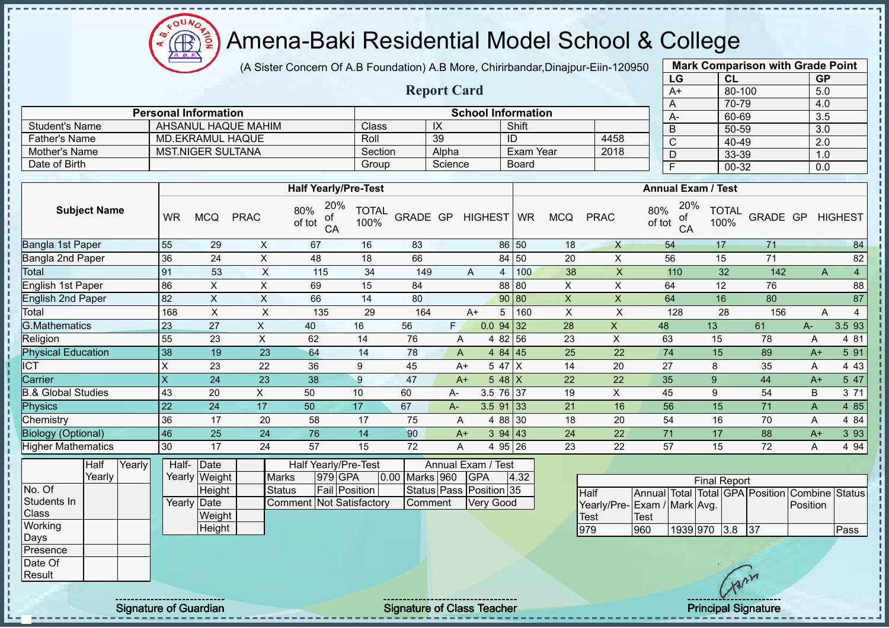COUNC  $\bigoplus$ 

 $\mathbf{I}$ 

# Amena-Baki Residential Model School & College

|                               |           |                             |                           | (A Sister Concern Of A.B Foundation) A.B More, Chirirbandar, Dinajpur-Eiin-120950 |               |          |                    | <b>Mark Comparison with Grade Point</b> |              |                |                           |                                  |                      |          |           |                |
|-------------------------------|-----------|-----------------------------|---------------------------|-----------------------------------------------------------------------------------|---------------|----------|--------------------|-----------------------------------------|--------------|----------------|---------------------------|----------------------------------|----------------------|----------|-----------|----------------|
|                               |           |                             |                           |                                                                                   |               |          |                    |                                         |              |                |                           | LG                               | CL                   |          | <b>GP</b> |                |
|                               |           |                             |                           |                                                                                   |               |          | <b>Report Card</b> |                                         |              |                |                           | $A+$                             | 80-100               |          | 5.0       |                |
|                               |           |                             |                           |                                                                                   |               |          |                    |                                         |              |                |                           | A                                | 70-79                |          | 4.0       |                |
|                               |           | <b>Personal Information</b> |                           |                                                                                   |               |          |                    | <b>School Information</b>               |              |                |                           | $A-$                             | 60-69                |          | 3.5       |                |
| <b>Student's Name</b>         |           |                             | AHSANUL HAQUE MAHIM       |                                                                                   | Class         |          | IX                 |                                         | Shift        |                |                           | $\overline{B}$                   | 50-59                |          | 3.0       |                |
| <b>Father's Name</b>          |           | <b>MD.EKRAMUL HAQUE</b>     |                           |                                                                                   | Roll          |          | 39                 |                                         | ID           |                | 4458                      | $\overline{C}$                   | 40-49                |          | 2.0       |                |
| Mother's Name                 |           | <b>MST.NIGER SULTANA</b>    |                           |                                                                                   | Section       |          | Alpha              |                                         | Exam Year    |                | 2018                      | D                                | 33-39                |          | 1.0       |                |
| Date of Birth                 |           |                             |                           |                                                                                   | Group         |          | Science            |                                         | <b>Board</b> |                |                           | $\overline{F}$                   | 00-32                |          | 0.0       |                |
|                               |           |                             |                           |                                                                                   |               |          |                    |                                         |              |                |                           |                                  |                      |          |           |                |
|                               |           |                             |                           | <b>Half Yearly/Pre-Test</b>                                                       |               |          |                    |                                         |              |                |                           | <b>Annual Exam / Test</b>        |                      |          |           |                |
| <b>Subject Name</b>           | <b>WR</b> | <b>MCQ</b>                  | <b>PRAC</b>               | 20%<br>80%<br>of<br>of tot<br>CA                                                  | TOTAL<br>100% | GRADE GP |                    | HIGHEST WR                              |              | <b>MCQ</b>     | <b>PRAC</b>               | 20%<br>80%<br>οf<br>of tot<br>CA | <b>TOTAL</b><br>100% | GRADE GP |           | <b>HIGHEST</b> |
| Bangla 1st Paper              | 55        | 29                          | X                         | 67                                                                                | 16            | 83       |                    |                                         | 86 50        | 18             | $\mathsf{X}$              | 54                               | 17                   | 71       |           | 84             |
| Bangla 2nd Paper              | 36        | 24                          | Χ                         | 48                                                                                | 18            | 66       |                    |                                         | 84 50        | 20             | X                         | 56                               | 15                   | 71       |           | 82             |
| Total                         | 91        | 53                          | $\times$                  | 115                                                                               | 34            | 149      |                    | $\overline{A}$                          | 100          | 38             | $\mathsf{X}$              | 110                              | 32                   | 142      | A         | 4              |
| English 1st Paper             | 86        | Χ                           | X                         | 69                                                                                | 15            | 84       |                    |                                         | 88 80        | X              | $\mathsf X$               | 64                               | 12                   | 76       |           | 88             |
| <b>English 2nd Paper</b>      | 82        | $\times$                    | $\boldsymbol{\mathsf{X}}$ | 66                                                                                | 14            | 80       |                    |                                         | 90 80        | $\times$       | X                         | 64                               | 16                   | 80       |           | 87             |
| Total                         | 168       | $\boldsymbol{\mathsf{X}}$   | $\boldsymbol{\mathsf{X}}$ | 135                                                                               | 29            | 164      |                    | $A+$<br>5                               | 160          | $\pmb{\times}$ | $\pmb{\mathsf{X}}$        | 128                              | 28                   | 156      | Α         | 4              |
| <b>G.Mathematics</b>          | 23        | 27                          | $\mathsf{X}$              | 40                                                                                | 16            | 56       | F.                 | $0.0$ 94 32                             |              | 28             | $\boldsymbol{\mathsf{X}}$ | 48                               | 13                   | 61       | A-        | 3.5 93         |
| Religion                      | 55        | 23                          | X                         | 62                                                                                | 14            | 76       | A                  | 4 8 2                                   | 56           | 23             | X                         | 63                               | 15                   | 78       | Α         | 4 81           |
| <b>Physical Education</b>     | 38        | 19                          | 23                        | 64                                                                                | 14            | 78       | A                  | 4 84 45                                 |              | 25             | 22                        | 74                               | 15                   | 89       | $A+$      | 5 91           |
| <b>ICT</b>                    | X         | 23                          | 22                        | 36                                                                                | 9             | 45       | $A+$               | 5 47 X                                  |              | 14             | 20                        | 27                               | 8                    | 35       | A         | 4 4 3          |
| Carrier                       | X         | 24                          | 23                        | 38                                                                                | 9             | 47       | $A+$               | $548$ X                                 |              | 22             | 22                        | 35                               | 9                    | 44       | $A+$      | 5 47           |
| <b>B.&amp; Global Studies</b> | 43        | 20                          | X                         | 50                                                                                | 10            | 60       | A-                 | 3.5 76 37                               |              | 19             | X                         | 45                               | 9                    | 54       | B         | 3 71           |
| <b>Physics</b>                | 22        | 24                          | 17                        | 50                                                                                | 17            | 67       | A-                 | $3.5$ 91 33                             |              | 21             | 16                        | 56                               | 15                   | 71       | A         | 4 8 5          |
| Chemistry                     | 36        | 17                          | 20                        | 58                                                                                | 17            | 75       | A                  | 4 88 30                                 |              | 18             | 20                        | 54                               | 16                   | 70       | A         | 4 8 4          |
|                               |           |                             |                           |                                                                                   |               |          |                    |                                         |              |                |                           |                                  |                      |          |           |                |

|                      | <b>Personal Information</b> |         |         | <b>School Information</b> |      |
|----------------------|-----------------------------|---------|---------|---------------------------|------|
| Student's Name       | AHSANUL HAQUE MAHIM         | Class   | IX      | Shift                     |      |
| <b>Father's Name</b> | MD.EKRAMUL HAQUE            | Roll    | 39      | ID                        | 4458 |
| Mother's Name        | MST.NIGER SULTANA           | Section | Alpha   | Exam Year                 | 2018 |
| Date of Birth        |                             | Group   | Science | <b>Board</b>              |      |

| טטווט איש וואט אי         |        |        | ᠇◡          | ∠∪            | $\lambda$ | ັບບ                             |    | <b>U</b>             | vv. | $\Gamma$                |            | <b>U.U</b> I U I U |      | ιv |             | $\lambda$ | ᠇◡                          | ັ                   | ◡┭                | ້                                              |       |
|---------------------------|--------|--------|-------------|---------------|-----------|---------------------------------|----|----------------------|-----|-------------------------|------------|--------------------|------|----|-------------|-----------|-----------------------------|---------------------|-------------------|------------------------------------------------|-------|
| Physics                   |        |        | 22          | 24            | 17        | 50                              |    | 17                   | 67  | A-                      |            | $3.5$ 91 33        |      | 21 |             | 16        | 56                          | 15 <sub>1</sub>     | 71                | A                                              | 4 8 5 |
| Chemistry                 |        |        | 36          | 17            | 20        |                                 | 58 | 17                   | 75  | A                       |            | 4 88 30            |      | 18 |             | 20        | 54                          | 16                  | 70                | A                                              | 4 8 4 |
| <b>Biology (Optional)</b> |        |        | 46          | 25            | 24        |                                 | 76 | 14                   | 90  | $A+$                    |            | 394 43             |      | 24 |             | 22        | 71                          | 17                  | 88                | $A+$                                           | 3 9 3 |
| <b>Higher Mathematics</b> |        |        | 30          | 17            | 24        |                                 | 57 | 15                   | 72  | A                       |            | 4 95 26            |      | 23 |             | 22        | 57                          | 15                  | 72                | A                                              | 4 9 4 |
|                           | Half   | Yearly | Half-       | $\vert$ Date  |           |                                 |    | Half Yearly/Pre-Test |     | Annual Exam / Test      |            |                    |      |    |             |           |                             |                     |                   |                                                |       |
|                           | Yearly |        |             | Yearly Weight |           | <b>Marks</b>                    |    | 979 GPA              |     | 0.00 Marks 960          | <b>GPA</b> |                    | 4.32 |    |             |           |                             | <b>Final Report</b> |                   |                                                |       |
| No. Of                    |        |        |             | Height        |           | Status                          |    | <b>Fail Position</b> |     | Status Pass Position 35 |            |                    |      |    | <b>Half</b> |           |                             |                     |                   | Annual Total Total GPA Position Combine Status |       |
| Students In               |        |        | Yearly Date |               |           | <b>Comment Not Satisfactory</b> |    |                      |     | Comment                 | Very Good  |                    |      |    |             |           | Yearly/Pre-Exam / Mark Avg. |                     |                   | Position                                       |       |
| Class                     |        |        |             | Weight        |           |                                 |    |                      |     |                         |            |                    |      |    | <b>Test</b> |           | Test                        |                     |                   |                                                |       |
| Working                   |        |        |             | Height        |           |                                 |    |                      |     |                         |            |                    |      |    | 979         |           | 960                         | 1939 970 3.8 37     |                   |                                                | Pass  |
| Days                      |        |        |             |               |           |                                 |    |                      |     |                         |            |                    |      |    |             |           |                             |                     |                   |                                                |       |
| Presence                  |        |        |             |               |           |                                 |    |                      |     |                         |            |                    |      |    |             |           |                             |                     |                   |                                                |       |
| Date Of                   |        |        |             |               |           |                                 |    |                      |     |                         |            |                    |      |    |             |           |                             |                     |                   |                                                |       |
| Result                    |        |        |             |               |           |                                 |    |                      |     |                         |            |                    |      |    |             |           |                             |                     | $\sim$ $\sqrt{ }$ |                                                |       |

| <b>Final Report</b>         |       |              |  |  |     |                                                |      |  |  |  |  |  |  |  |
|-----------------------------|-------|--------------|--|--|-----|------------------------------------------------|------|--|--|--|--|--|--|--|
| <b>Half</b>                 |       |              |  |  |     | Annual Total Total GPA Position Combine Status |      |  |  |  |  |  |  |  |
| Yearly/Pre-Exam / Mark Avg. |       |              |  |  |     | Position                                       |      |  |  |  |  |  |  |  |
| Test                        | 'Test |              |  |  |     |                                                |      |  |  |  |  |  |  |  |
| 979                         | 960   | 1939 970 3.8 |  |  | 137 |                                                | Pass |  |  |  |  |  |  |  |

Signature of Guardian Signature of Class Teacher Principal Signature of Guardian Signature of Class Teacher Principal Signature Principal Signature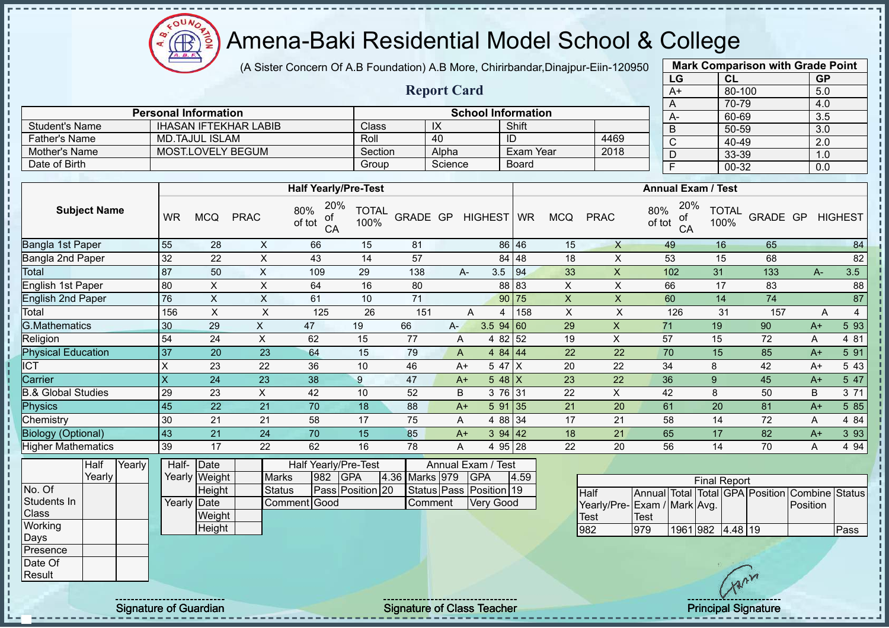$\Omega$ **AR** 

# Amena-Baki Residential Model School & College

(A Sister Concern Of A.B Foundation) A.B More, Chirirbandar,Dinajpur-Eiin-120950

**Report Card**

|    | <b>Mark Comparison with Grade Point</b> |           |
|----|-----------------------------------------|-----------|
| LG | <b>CL</b>                               | <b>GP</b> |
| A+ | 80-100                                  | 5.0       |
| A  | 70-79                                   | 4.0       |
| A- | 60-69                                   | 3.5       |
| B  | 50-59                                   | 3.0       |
| C  | 40-49                                   | 2.0       |
| D  | 33-39                                   | 1.0       |
|    | 00-32                                   | 0.0       |
|    |                                         |           |

|                       | <b>Personal Information</b> |         |         | <b>School Information</b> |      | $\cdots$                  | .     |
|-----------------------|-----------------------------|---------|---------|---------------------------|------|---------------------------|-------|
|                       |                             |         |         |                           |      | $A-$                      | 60    |
| <b>Student's Name</b> | IHASAN IFTEKHAR LABIB       | Class   | IX      | Shift                     |      | В                         | $50-$ |
| <b>Father's Name</b>  | MD.TAJUL ISLAM              | Roll    | 40      | ID                        | 4469 | ◡                         | -40   |
| Mother's Name         | MOST.LOVELY BEGUM           | Section | Alpha   | Exam Year                 | 2018 | D                         | $33-$ |
| Date of Birth         |                             | Group   | Science | <b>Board</b>              |      |                           | 00    |
|                       |                             |         |         |                           |      |                           |       |
|                       | <b>Half Yearly/Pre-Test</b> |         |         |                           |      | <b>Annual Exam / Test</b> |       |
|                       |                             |         |         |                           |      |                           |       |

|                               |           |            |             | TIAII TUAITY/ITU - IUSL          |                      |          | AIIIIUAI LAAIII / IGJL |              |          |            |             |                                  |                      |          |      |       |                |
|-------------------------------|-----------|------------|-------------|----------------------------------|----------------------|----------|------------------------|--------------|----------|------------|-------------|----------------------------------|----------------------|----------|------|-------|----------------|
| <b>Subject Name</b>           | <b>WR</b> | <b>MCQ</b> | <b>PRAC</b> | 20%<br>80%<br>οf<br>of tot<br>CA | <b>TOTAL</b><br>100% | GRADE GP |                        | HIGHEST WR   |          | <b>MCQ</b> | <b>PRAC</b> | 20%<br>80%<br>оf<br>of tot<br>CA | <b>TOTAL</b><br>100% | GRADE GP |      |       | <b>HIGHEST</b> |
| Bangla 1st Paper              | 55        | 28         | X           | 66                               | 15                   | 81       |                        |              | 86 46    | 15         | X           | 49                               | 16                   | 65       |      |       | 84             |
| Bangla 2nd Paper              | 32        | 22         | X           | 43                               | 14                   | 57       |                        |              | 84 48    | 18         | X           | 53                               | 15                   | 68       |      |       | 82             |
| Total                         | 87        | 50         | X           | 109                              | 29                   | 138      |                        | 3.5<br>A-    | 94       | 33         | X           | 102                              | 31                   | 133      |      | $A -$ | 3.5            |
| English 1st Paper             | 80        | X.         | X           | 64                               | 16                   | 80       |                        |              | 88 83    | X          | X           | 66                               | 17                   | 83       |      |       | 88             |
| <b>English 2nd Paper</b>      | 76        | X          | X           | 61                               | 10                   | 71       |                        |              | 90 75    | X          | X           | 60                               | 14                   | 74       |      |       | 87             |
| Total                         | 156       | X          | X           | 125                              | 26                   | 151      |                        | A<br>4       | 158      | X          | X           | 126                              | 31                   | 157      |      | A     | 4              |
| <b>G.Mathematics</b>          | 30        | 29         | X           | 47                               | 19                   | 66       | $A-$                   | $3.5$ 94 60  |          | 29         | $\sf X$     | 71                               | 19                   | 90       | $A+$ |       | 5 93           |
| Religion                      | 54        | 24         | X           | 62                               | 15                   | 77       | A                      |              | 4 82 52  | 19         | X           | 57                               | 15                   | 72       | A    |       | 4 81           |
| <b>Physical Education</b>     | 37        | 20         | 23          | 64                               | 15                   | 79       | A                      |              | 484   44 | 22         | 22          | 70                               | 15                   | 85       | $A+$ |       | 5 91           |
| <b>ICT</b>                    | Χ         | 23         | 22          | 36                               | 10                   | 46       |                        | $A+$         | 5 47 X   | 20         | 22          | 34                               | 8                    | 42       | $A+$ |       | 5 4 3          |
| Carrier                       | X         | 24         | 23          | 38                               | 9                    | 47       |                        | $A+$         | 5 48 $X$ | 23         | 22          | 36                               | 9                    | 45       | $A+$ |       | 5 47           |
| <b>B.&amp; Global Studies</b> | 29        | 23         | X.          | 42                               | 10                   | 52       | B                      |              | 3 76 31  | 22         | X           | 42                               | 8                    | 50       | B    |       | 3 71           |
| <b>Physics</b>                | 45        | 22         | 21          | 70                               | 18                   | 88       |                        | 5 91<br>$A+$ | 35       | 21         | 20          | 61                               | 20                   | 81       | $A+$ |       | 5 8 5          |
| Chemistry                     | 30        | 21         | 21          | 58                               | 17                   | 75       | A                      |              | 4 88 34  | 17         | 21          | 58                               | 14                   | 72       | A    |       | 4 8 4          |
| <b>Biology (Optional)</b>     | 43        | 21         | 24          | 70                               | 15                   | 85       |                        | $A+$         | 394   42 | 18         | 21          | 65                               | 17                   | 82       | $A+$ |       | 3 9 3          |
| <b>Higher Mathematics</b>     | 39        | 17         | 22          | 62                               | 16                   | 78       | A                      |              | 4 95 28  | 22         | 20          | 56                               | 14                   | 70       | A    |       | 4 9 4          |

|              | Half   | Yearly | Half-       | Date          |              |     | Half Yearly/Pre-Test |                | Annual Exam / Test      |      |
|--------------|--------|--------|-------------|---------------|--------------|-----|----------------------|----------------|-------------------------|------|
|              | Yearly |        |             | Yearly Weight | <b>Marks</b> | 982 | <b>IGPA</b>          | 4.36 Marks 979 | <b>IGPA</b>             | 4.59 |
| No. Of       |        |        |             | Height        | Status       |     | Pass Position 20     |                | Status Pass Position 19 |      |
| Students In  |        |        | Yearly Date |               | Comment Good |     |                      | lComment       | <b>Very Good</b>        |      |
| <b>Class</b> |        |        |             | Weight        |              |     |                      |                |                         |      |
| Working      |        |        |             | Height        |              |     |                      |                |                         |      |
| Days         |        |        |             |               |              |     |                      |                |                         |      |
| Presence     |        |        |             |               |              |     |                      |                |                         |      |
| Date Of      |        |        |             |               |              |     |                      |                |                         |      |
| Result       |        |        |             |               |              |     |                      |                |                         |      |

| <b>Final Report</b>         |      |                  |  |  |  |                                                |      |  |  |  |  |  |  |  |
|-----------------------------|------|------------------|--|--|--|------------------------------------------------|------|--|--|--|--|--|--|--|
| <b>I</b> Half               |      |                  |  |  |  | Annual Total Total GPA Position Combine Status |      |  |  |  |  |  |  |  |
| Yearly/Pre-Exam / Mark Avg. |      |                  |  |  |  | <b>IPosition</b>                               |      |  |  |  |  |  |  |  |
| Test                        | Test |                  |  |  |  |                                                |      |  |  |  |  |  |  |  |
| 982                         | 979  | 1961 982 4.48 19 |  |  |  |                                                | Pass |  |  |  |  |  |  |  |

Signature of Guardian Signature of Class Teacher Number of Class Teacher Principal Signature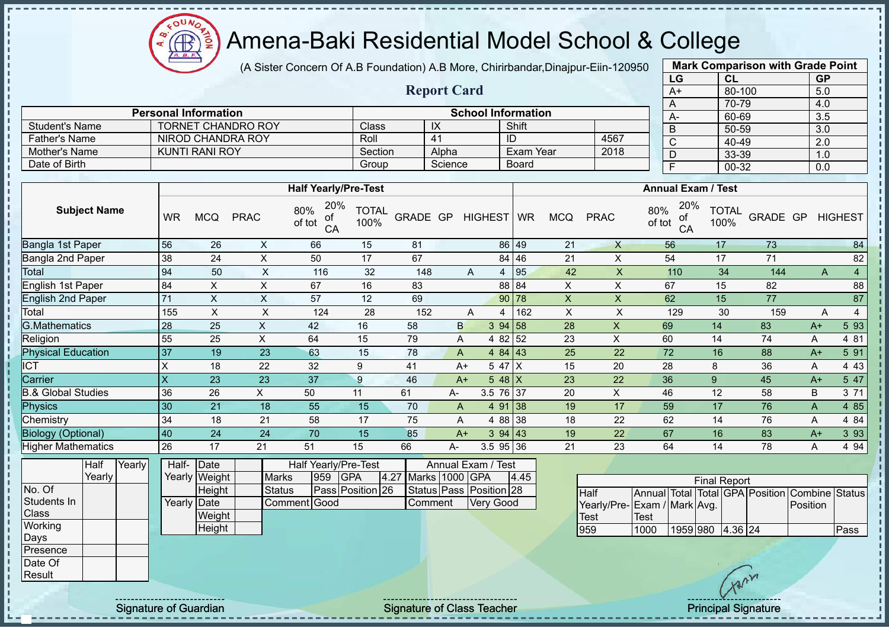COUND Amena-Baki Residential Model School & College  $\bigoplus$ ğ

(A Sister Concern Of A.B Foundation) A.B More, Chirirbandar,Dinajpur-Eiin-120950

|                                    |                         |                                 |                           |                                           |                      |          | <b>Report Card</b> |                                             |                  |                           |                                                    |               | $A+$                    | 80-100                                         |                 | 5.0                       |                 |
|------------------------------------|-------------------------|---------------------------------|---------------------------|-------------------------------------------|----------------------|----------|--------------------|---------------------------------------------|------------------|---------------------------|----------------------------------------------------|---------------|-------------------------|------------------------------------------------|-----------------|---------------------------|-----------------|
|                                    |                         | <b>Personal Information</b>     |                           |                                           |                      |          |                    | <b>School Information</b>                   |                  |                           |                                                    |               | $\overline{A}$<br>$A-$  | 70-79<br>60-69                                 |                 | 4.0<br>3.5                |                 |
| <b>Student's Name</b>              |                         | <b>TORNET CHANDRO ROY</b>       |                           |                                           | Class                |          | $\overline{X}$     |                                             | Shift            |                           |                                                    |               | $\overline{B}$          | $50 - 59$                                      |                 | $\overline{3.0}$          |                 |
| <b>Father's Name</b>               |                         | <b>NIROD CHANDRA ROY</b>        |                           |                                           | Roll                 |          | $\overline{41}$    |                                             | ID               |                           | 4567                                               |               | $\overline{C}$          | $40 - 49$                                      |                 | $\overline{2.0}$          |                 |
| Mother's Name                      |                         | <b>KUNTI RANI ROY</b>           |                           |                                           | Section              |          | Alpha              |                                             | Exam Year        |                           | 2018                                               |               | D                       | 33-39                                          |                 | 1.0                       |                 |
| Date of Birth                      |                         |                                 |                           |                                           | Group                |          | Science            |                                             | <b>Board</b>     |                           |                                                    |               | $\overline{\mathsf{F}}$ | $00 - 32$                                      |                 | 0.0                       |                 |
|                                    |                         |                                 |                           |                                           |                      |          |                    |                                             |                  |                           |                                                    |               |                         |                                                |                 |                           |                 |
|                                    |                         |                                 |                           | <b>Half Yearly/Pre-Test</b>               |                      |          |                    |                                             |                  |                           |                                                    |               |                         | <b>Annual Exam / Test</b>                      |                 |                           |                 |
| <b>Subject Name</b>                | <b>WR</b>               | <b>MCQ</b>                      | <b>PRAC</b>               | 20%<br>80%<br>of<br>of tot<br>CA          | <b>TOTAL</b><br>100% | GRADE GP |                    | HIGHEST   WR                                |                  | <b>MCQ</b>                | <b>PRAC</b>                                        | 80%<br>of tot | 20%<br>οf<br>CA         | <b>TOTAL</b><br>100%                           | GRADE GP        |                           | <b>HIGHEST</b>  |
| <b>Bangla 1st Paper</b>            | 56                      | 26                              | X                         | 66                                        | 15                   | 81       |                    |                                             | 86 49            | 21                        | $\mathsf{X}$                                       |               | 56                      | 17                                             | 73              |                           | 84              |
| Bangla 2nd Paper                   | 38                      | 24                              | $\boldsymbol{\mathsf{X}}$ | 50                                        | 17                   | 67       |                    |                                             | 84 46            | 21                        | X                                                  |               | 54                      | 17                                             | 71              |                           | 82              |
| Total                              | 94                      | 50                              | $\sf X$                   | 116                                       | 32                   | 148      |                    | A                                           | $\sqrt{95}$<br>4 | 42                        | $\mathsf X$                                        |               | 110                     | 34                                             | 144             | A                         | $\overline{4}$  |
| <b>English 1st Paper</b>           | 84                      | $\times$                        | $\mathsf X$               | 67                                        | 16                   | 83       |                    |                                             | 88 84            | $\pmb{\times}$            | $\pmb{\times}$                                     |               | 67                      | 15                                             | 82              |                           | 88              |
| <b>English 2nd Paper</b>           | $\overline{71}$         | $\overline{X}$                  | $\overline{\mathsf{x}}$   | 57                                        | 12                   | 69       |                    |                                             | $90$ 78          | $\boldsymbol{\mathsf{X}}$ | $\overline{X}$                                     |               | 62                      | 15                                             | $\overline{77}$ |                           | $\overline{87}$ |
| Total                              | 155                     | $\times$                        | $\mathsf X$               | 124                                       | 28                   | 152      |                    | A                                           | 162<br>4         | $\pmb{\times}$            | $\boldsymbol{\mathsf{X}}$                          |               | 129                     | 30                                             | 159             | A                         | $\overline{4}$  |
| G.Mathematics                      | 28                      | 25                              | $\overline{X}$            | 42                                        | 16                   | 58       | $\mathsf{B}$       |                                             | 394 58           | $\overline{28}$           | $\mathsf{X}$                                       | 69            |                         | 14                                             | 83              | $A+$                      | 593             |
| Religion                           | 55                      | 25                              | X                         | 64                                        | 15                   | 79       | A                  | 4 8 2                                       | 52               | 23                        | $\pmb{\times}$                                     | 60            |                         | 14                                             | 74              | Α                         | 4 81            |
| <b>Physical Education</b>          | 37                      | 19                              | 23                        | 63                                        | 15                   | 78       | $\mathsf{A}$       |                                             | 4 84 43          | 25                        | 22                                                 | 72            |                         | 16                                             | 88              | $A+$                      | 591             |
| <b>ICT</b>                         | X                       | 18                              | 22                        | 32                                        | 9                    | 41       |                    | $A+$                                        | 5 47 X           | 15                        | 20                                                 | 28            |                         | 8                                              | 36              | $\boldsymbol{\mathsf{A}}$ | 4 4 3           |
| Carrier                            | $\overline{\mathsf{X}}$ | 23                              | $\overline{23}$           | $\overline{37}$                           | 9                    | 46       | $A+$               |                                             | $548$ X          | 23                        | 22                                                 | 36            |                         | 9                                              | 45              | $A+$                      | 5 47            |
| <b>B.&amp; Global Studies</b>      | 36                      | 26                              | X                         | 50                                        | 11                   | 61       | А-                 |                                             | 3.5 76 37        | 20                        | $\pmb{\times}$                                     | 46            |                         | 12                                             | 58              | $\sf B$                   | 3 71            |
| <b>Physics</b>                     | 30                      | 21                              | 18                        | 55                                        | 15                   | 70       | $\mathsf{A}$       |                                             | 4 91 38          | 19                        | 17                                                 | 59            |                         | 17                                             | 76              | $\boldsymbol{\mathsf{A}}$ | 4 8 5           |
| Chemistry                          | 34                      | 18                              | 21                        | 58                                        | 17                   | 75       | A                  |                                             | 4 88 38          | 18                        | 22                                                 | 62            |                         | 14                                             | 76              | A                         | 4 84            |
| <b>Biology (Optional)</b>          | 40                      | 24                              | 24                        | 70                                        | 15                   | 85       |                    | $A+$                                        | 394 43           | 19                        | 22                                                 | 67            |                         | 16                                             | 83              | $A+$                      | 3 9 3           |
| <b>Higher Mathematics</b>          | 26                      | 17                              | 21                        | 51                                        | 15                   | 66       | А-                 |                                             | $3.5$ 95 36      | 21                        | 23                                                 | 64            |                         | 14                                             | 78              | A                         | 4 9 4           |
| Half<br>Yearly<br>Yearly<br>No. Of | Half-                   | Date<br>Yearly Weight           | <b>Marks</b>              | Half Yearly/Pre-Test<br><b>GPA</b><br>959 |                      | 4.27     | Marks 1000 GPA     | Annual Exam / Test                          | 4.45             |                           |                                                    |               |                         | <b>Final Report</b>                            |                 |                           |                 |
| Students In<br>Class               |                         | Height<br>Yearly Date<br>Weight | <b>Status</b>             | Pass Position 26<br>Comment Good          |                      |          | Comment            | Status Pass Position 28<br><b>Very Good</b> |                  |                           | Half<br>Yearly/Pre-Exam / Mark Avg.<br><b>Test</b> | <b>Test</b>   |                         | Annual Total Total GPA Position Combine Status |                 | Position                  |                 |
| Working<br>Days<br>Presence        |                         | Height                          |                           |                                           |                      |          |                    |                                             |                  |                           | 959                                                | 1000          |                         | 1959 980 4.36 24                               |                 |                           | Pass            |

**Mark Comparison with Grade Point LG CL GP**

Signature of Guardian Signature of Class Teacher Principal Signature of Class Teacher Principal Signature

No. Of Students In Class **Working** Days Presence Date Of **Result**